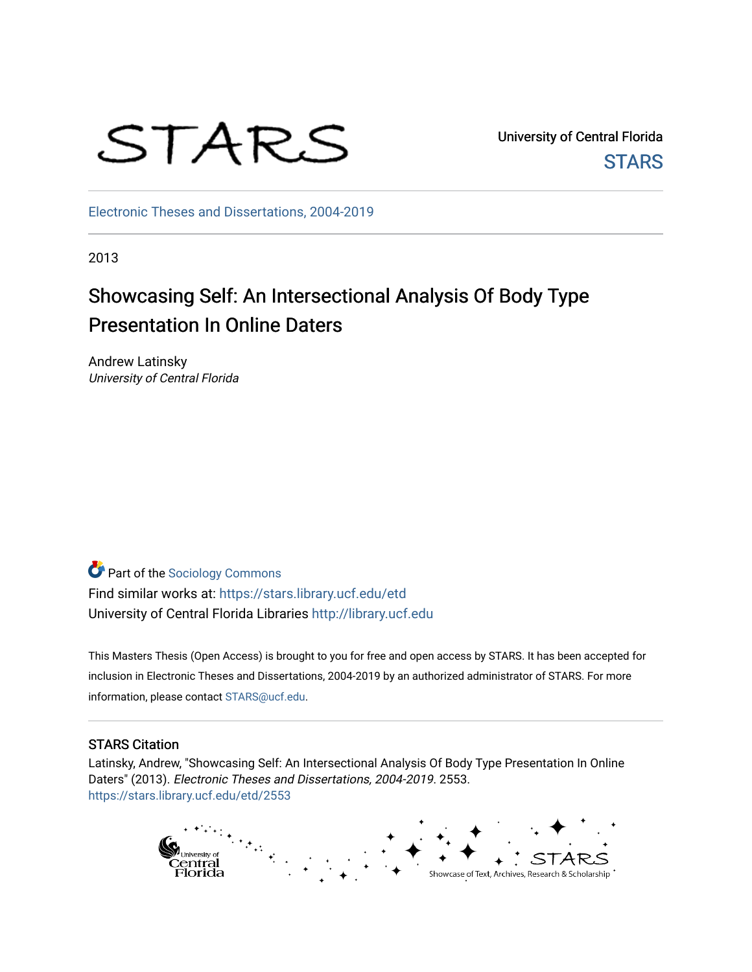

University of Central Florida **STARS** 

[Electronic Theses and Dissertations, 2004-2019](https://stars.library.ucf.edu/etd) 

2013

# Showcasing Self: An Intersectional Analysis Of Body Type Presentation In Online Daters

Andrew Latinsky University of Central Florida

Part of the [Sociology Commons](http://network.bepress.com/hgg/discipline/416?utm_source=stars.library.ucf.edu%2Fetd%2F2553&utm_medium=PDF&utm_campaign=PDFCoverPages) Find similar works at: <https://stars.library.ucf.edu/etd> University of Central Florida Libraries [http://library.ucf.edu](http://library.ucf.edu/) 

This Masters Thesis (Open Access) is brought to you for free and open access by STARS. It has been accepted for inclusion in Electronic Theses and Dissertations, 2004-2019 by an authorized administrator of STARS. For more information, please contact [STARS@ucf.edu.](mailto:STARS@ucf.edu)

#### STARS Citation

Latinsky, Andrew, "Showcasing Self: An Intersectional Analysis Of Body Type Presentation In Online Daters" (2013). Electronic Theses and Dissertations, 2004-2019. 2553. [https://stars.library.ucf.edu/etd/2553](https://stars.library.ucf.edu/etd/2553?utm_source=stars.library.ucf.edu%2Fetd%2F2553&utm_medium=PDF&utm_campaign=PDFCoverPages) 

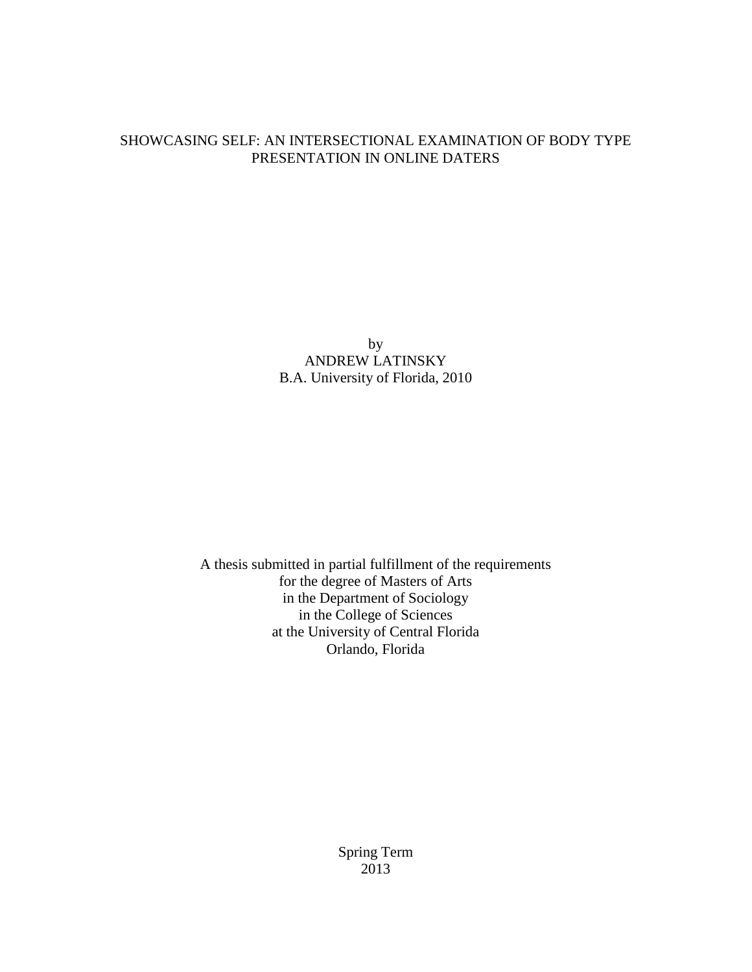## SHOWCASING SELF: AN INTERSECTIONAL EXAMINATION OF BODY TYPE PRESENTATION IN ONLINE DATERS

by ANDREW LATINSKY B.A. University of Florida, 2010

A thesis submitted in partial fulfillment of the requirements for the degree of Masters of Arts in the Department of Sociology in the College of Sciences at the University of Central Florida Orlando, Florida

> Spring Term 2013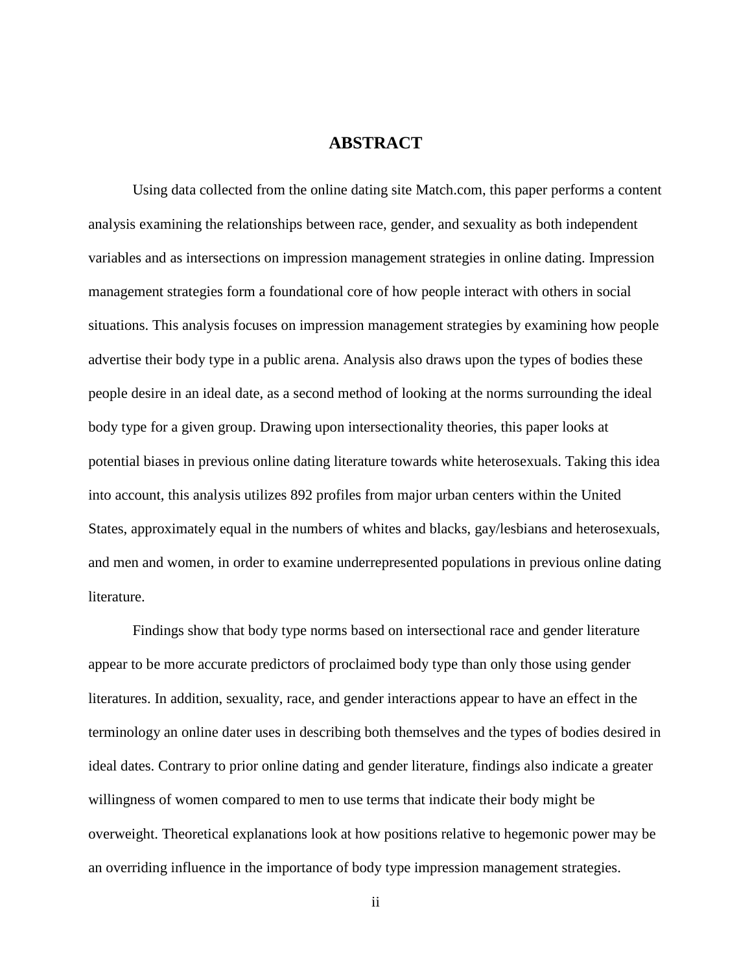## **ABSTRACT**

Using data collected from the online dating site Match.com, this paper performs a content analysis examining the relationships between race, gender, and sexuality as both independent variables and as intersections on impression management strategies in online dating. Impression management strategies form a foundational core of how people interact with others in social situations. This analysis focuses on impression management strategies by examining how people advertise their body type in a public arena. Analysis also draws upon the types of bodies these people desire in an ideal date, as a second method of looking at the norms surrounding the ideal body type for a given group. Drawing upon intersectionality theories, this paper looks at potential biases in previous online dating literature towards white heterosexuals. Taking this idea into account, this analysis utilizes 892 profiles from major urban centers within the United States, approximately equal in the numbers of whites and blacks, gay/lesbians and heterosexuals, and men and women, in order to examine underrepresented populations in previous online dating literature.

Findings show that body type norms based on intersectional race and gender literature appear to be more accurate predictors of proclaimed body type than only those using gender literatures. In addition, sexuality, race, and gender interactions appear to have an effect in the terminology an online dater uses in describing both themselves and the types of bodies desired in ideal dates. Contrary to prior online dating and gender literature, findings also indicate a greater willingness of women compared to men to use terms that indicate their body might be overweight. Theoretical explanations look at how positions relative to hegemonic power may be an overriding influence in the importance of body type impression management strategies.

ii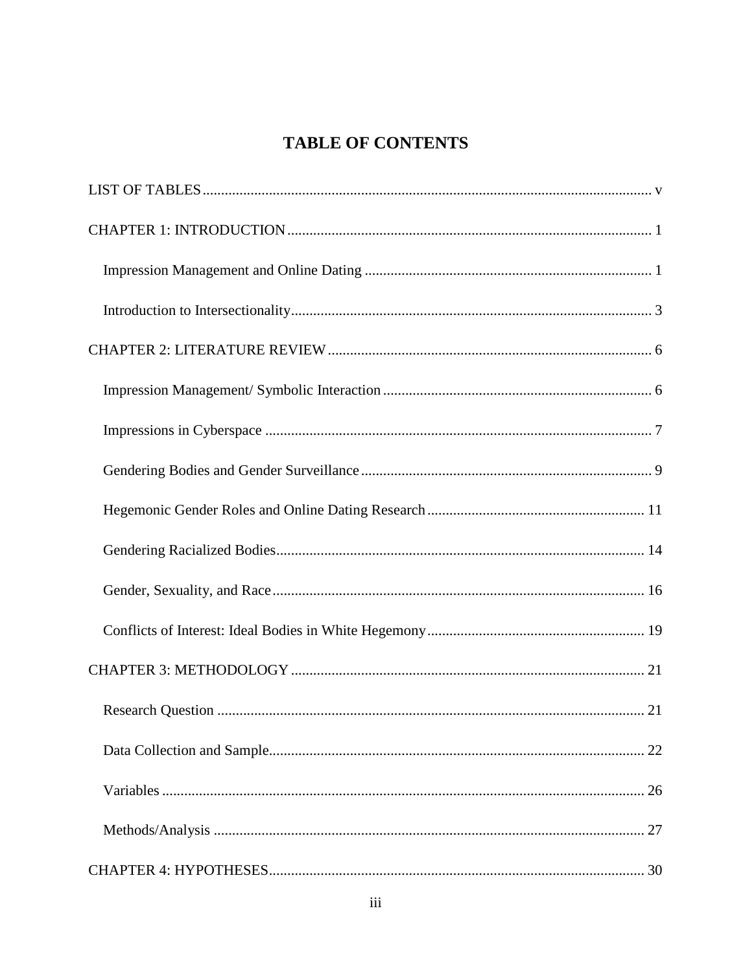## **TABLE OF CONTENTS**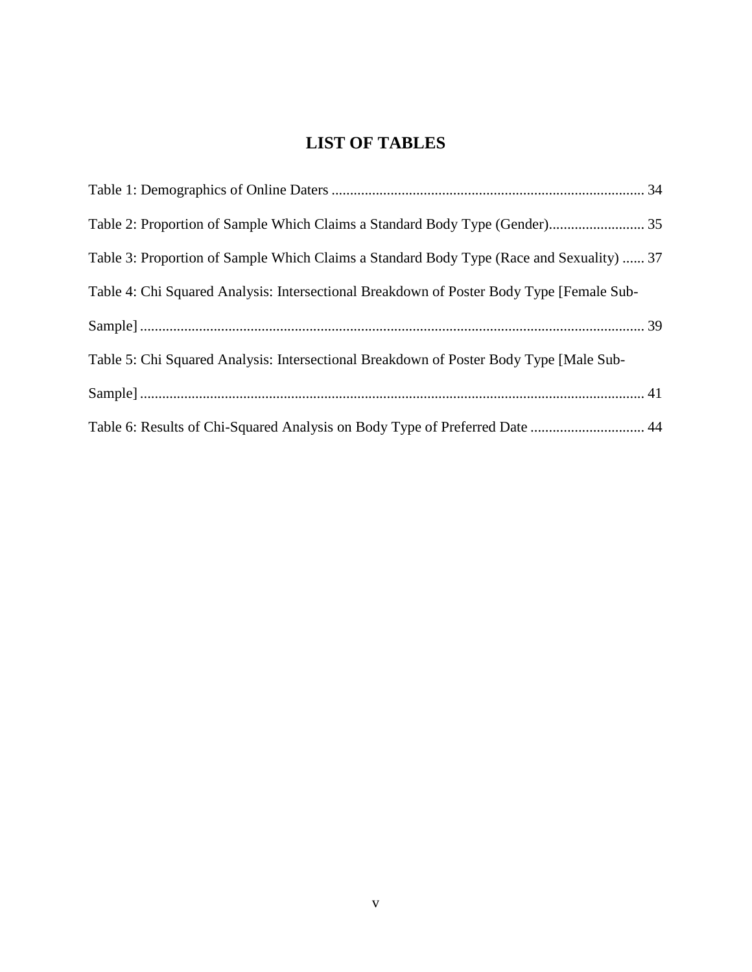## **LIST OF TABLES**

<span id="page-5-0"></span>

| Table 2: Proportion of Sample Which Claims a Standard Body Type (Gender) 35              |  |
|------------------------------------------------------------------------------------------|--|
| Table 3: Proportion of Sample Which Claims a Standard Body Type (Race and Sexuality)  37 |  |
| Table 4: Chi Squared Analysis: Intersectional Breakdown of Poster Body Type [Female Sub- |  |
|                                                                                          |  |
| Table 5: Chi Squared Analysis: Intersectional Breakdown of Poster Body Type [Male Sub-   |  |
|                                                                                          |  |
| Table 6: Results of Chi-Squared Analysis on Body Type of Preferred Date  44              |  |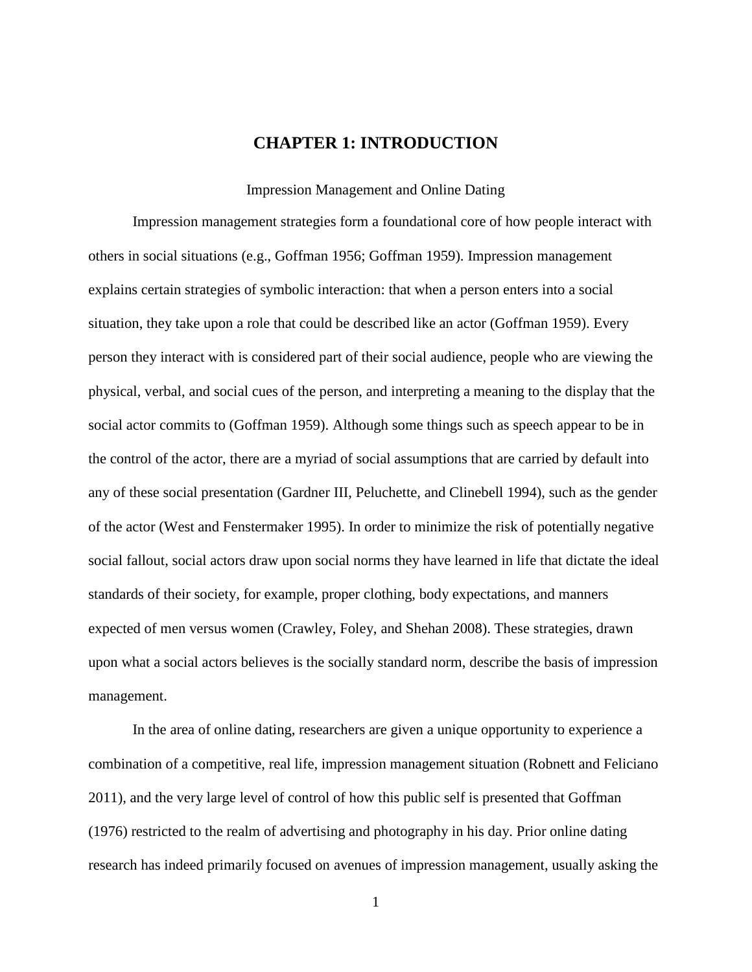### **CHAPTER 1: INTRODUCTION**

Impression Management and Online Dating

<span id="page-6-1"></span><span id="page-6-0"></span>Impression management strategies form a foundational core of how people interact with others in social situations (e.g., Goffman 1956; Goffman 1959). Impression management explains certain strategies of symbolic interaction: that when a person enters into a social situation, they take upon a role that could be described like an actor (Goffman 1959). Every person they interact with is considered part of their social audience, people who are viewing the physical, verbal, and social cues of the person, and interpreting a meaning to the display that the social actor commits to (Goffman 1959). Although some things such as speech appear to be in the control of the actor, there are a myriad of social assumptions that are carried by default into any of these social presentation (Gardner III, Peluchette, and Clinebell 1994), such as the gender of the actor (West and Fenstermaker 1995). In order to minimize the risk of potentially negative social fallout, social actors draw upon social norms they have learned in life that dictate the ideal standards of their society, for example, proper clothing, body expectations, and manners expected of men versus women (Crawley, Foley, and Shehan 2008). These strategies, drawn upon what a social actors believes is the socially standard norm, describe the basis of impression management.

In the area of online dating, researchers are given a unique opportunity to experience a combination of a competitive, real life, impression management situation (Robnett and Feliciano 2011), and the very large level of control of how this public self is presented that Goffman (1976) restricted to the realm of advertising and photography in his day. Prior online dating research has indeed primarily focused on avenues of impression management, usually asking the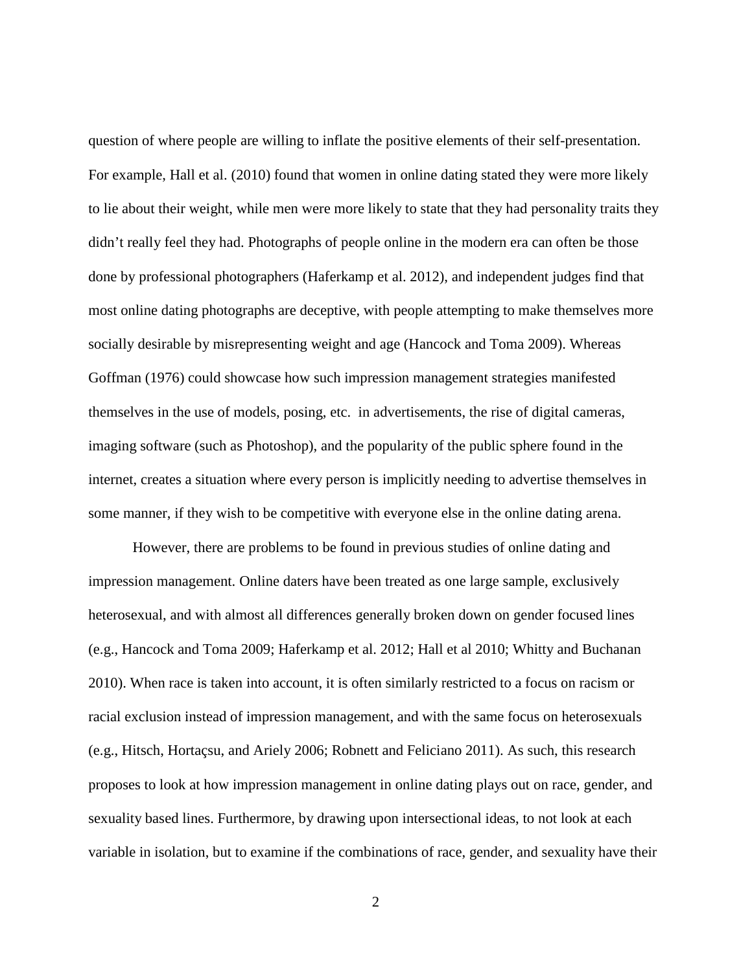question of where people are willing to inflate the positive elements of their self-presentation. For example, Hall et al. (2010) found that women in online dating stated they were more likely to lie about their weight, while men were more likely to state that they had personality traits they didn't really feel they had. Photographs of people online in the modern era can often be those done by professional photographers (Haferkamp et al. 2012), and independent judges find that most online dating photographs are deceptive, with people attempting to make themselves more socially desirable by misrepresenting weight and age (Hancock and Toma 2009). Whereas Goffman (1976) could showcase how such impression management strategies manifested themselves in the use of models, posing, etc. in advertisements, the rise of digital cameras, imaging software (such as Photoshop), and the popularity of the public sphere found in the internet, creates a situation where every person is implicitly needing to advertise themselves in some manner, if they wish to be competitive with everyone else in the online dating arena.

However, there are problems to be found in previous studies of online dating and impression management. Online daters have been treated as one large sample, exclusively heterosexual, and with almost all differences generally broken down on gender focused lines (e.g., Hancock and Toma 2009; Haferkamp et al. 2012; Hall et al 2010; Whitty and Buchanan 2010). When race is taken into account, it is often similarly restricted to a focus on racism or racial exclusion instead of impression management, and with the same focus on heterosexuals (e.g., Hitsch, Hortaçsu, and Ariely 2006; Robnett and Feliciano 2011). As such, this research proposes to look at how impression management in online dating plays out on race, gender, and sexuality based lines. Furthermore, by drawing upon intersectional ideas, to not look at each variable in isolation, but to examine if the combinations of race, gender, and sexuality have their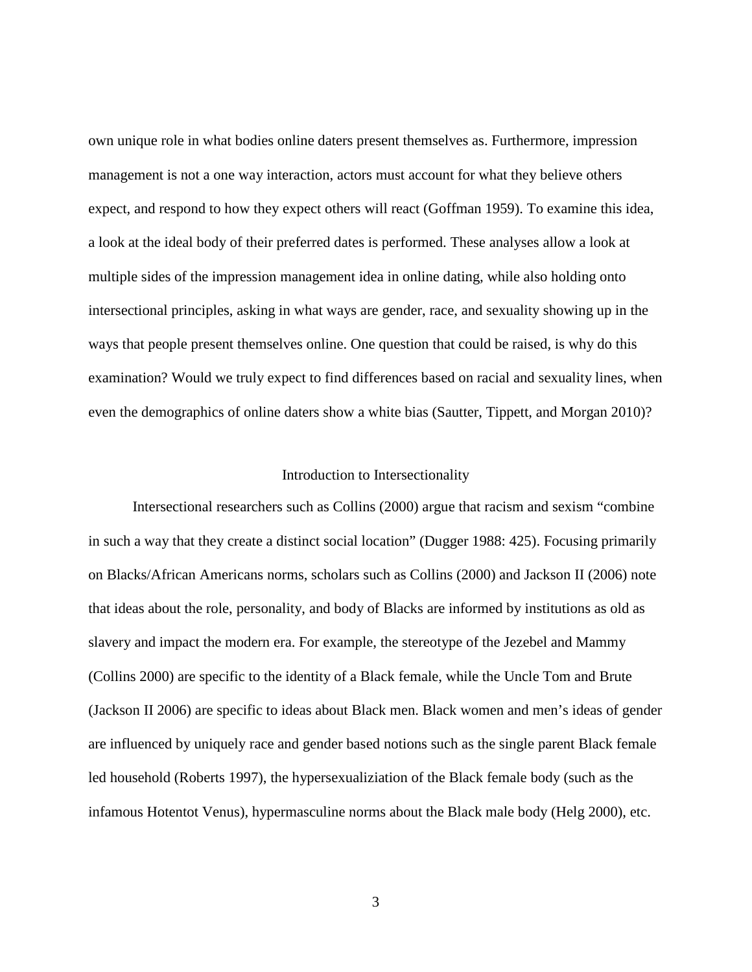own unique role in what bodies online daters present themselves as. Furthermore, impression management is not a one way interaction, actors must account for what they believe others expect, and respond to how they expect others will react (Goffman 1959). To examine this idea, a look at the ideal body of their preferred dates is performed. These analyses allow a look at multiple sides of the impression management idea in online dating, while also holding onto intersectional principles, asking in what ways are gender, race, and sexuality showing up in the ways that people present themselves online. One question that could be raised, is why do this examination? Would we truly expect to find differences based on racial and sexuality lines, when even the demographics of online daters show a white bias (Sautter, Tippett, and Morgan 2010)?

#### Introduction to Intersectionality

<span id="page-8-0"></span>Intersectional researchers such as Collins (2000) argue that racism and sexism "combine in such a way that they create a distinct social location" (Dugger 1988: 425). Focusing primarily on Blacks/African Americans norms, scholars such as Collins (2000) and Jackson II (2006) note that ideas about the role, personality, and body of Blacks are informed by institutions as old as slavery and impact the modern era. For example, the stereotype of the Jezebel and Mammy (Collins 2000) are specific to the identity of a Black female, while the Uncle Tom and Brute (Jackson II 2006) are specific to ideas about Black men. Black women and men's ideas of gender are influenced by uniquely race and gender based notions such as the single parent Black female led household (Roberts 1997), the hypersexualiziation of the Black female body (such as the infamous Hotentot Venus), hypermasculine norms about the Black male body (Helg 2000), etc.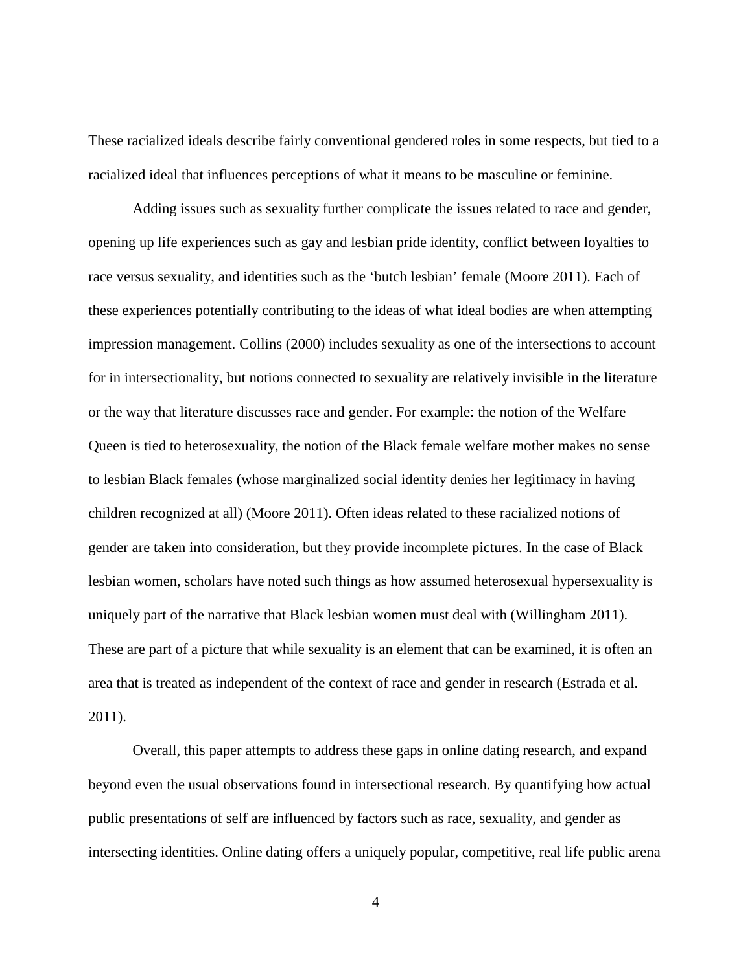These racialized ideals describe fairly conventional gendered roles in some respects, but tied to a racialized ideal that influences perceptions of what it means to be masculine or feminine.

Adding issues such as sexuality further complicate the issues related to race and gender, opening up life experiences such as gay and lesbian pride identity, conflict between loyalties to race versus sexuality, and identities such as the 'butch lesbian' female (Moore 2011). Each of these experiences potentially contributing to the ideas of what ideal bodies are when attempting impression management. Collins (2000) includes sexuality as one of the intersections to account for in intersectionality, but notions connected to sexuality are relatively invisible in the literature or the way that literature discusses race and gender. For example: the notion of the Welfare Queen is tied to heterosexuality, the notion of the Black female welfare mother makes no sense to lesbian Black females (whose marginalized social identity denies her legitimacy in having children recognized at all) (Moore 2011). Often ideas related to these racialized notions of gender are taken into consideration, but they provide incomplete pictures. In the case of Black lesbian women, scholars have noted such things as how assumed heterosexual hypersexuality is uniquely part of the narrative that Black lesbian women must deal with (Willingham 2011). These are part of a picture that while sexuality is an element that can be examined, it is often an area that is treated as independent of the context of race and gender in research (Estrada et al. 2011).

Overall, this paper attempts to address these gaps in online dating research, and expand beyond even the usual observations found in intersectional research. By quantifying how actual public presentations of self are influenced by factors such as race, sexuality, and gender as intersecting identities. Online dating offers a uniquely popular, competitive, real life public arena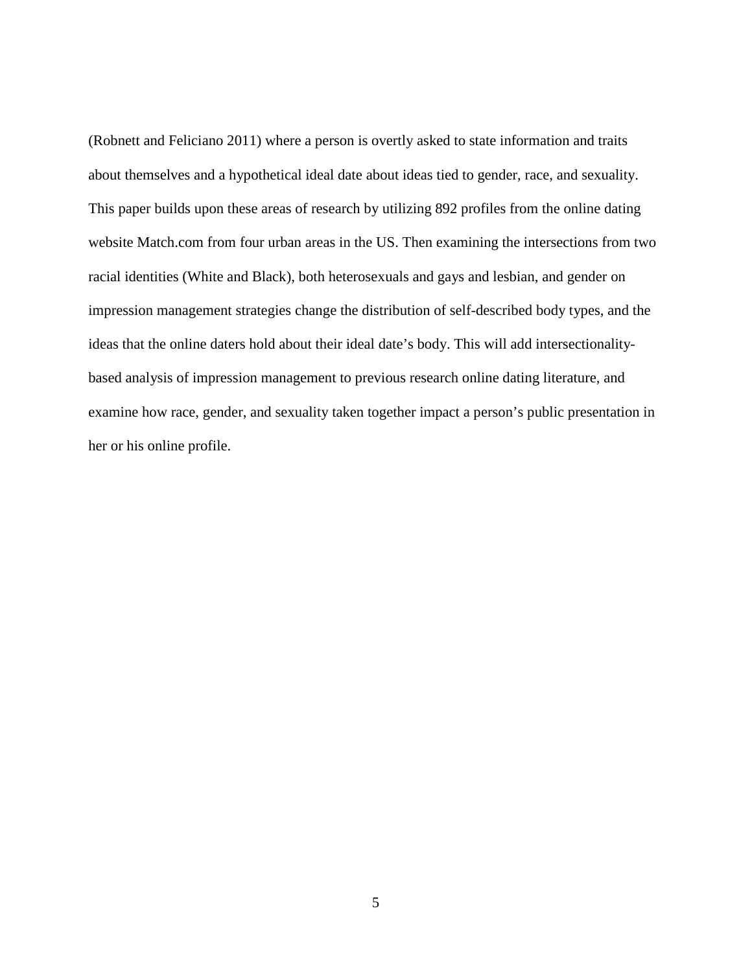(Robnett and Feliciano 2011) where a person is overtly asked to state information and traits about themselves and a hypothetical ideal date about ideas tied to gender, race, and sexuality. This paper builds upon these areas of research by utilizing 892 profiles from the online dating website Match.com from four urban areas in the US. Then examining the intersections from two racial identities (White and Black), both heterosexuals and gays and lesbian, and gender on impression management strategies change the distribution of self-described body types, and the ideas that the online daters hold about their ideal date's body. This will add intersectionalitybased analysis of impression management to previous research online dating literature, and examine how race, gender, and sexuality taken together impact a person's public presentation in her or his online profile.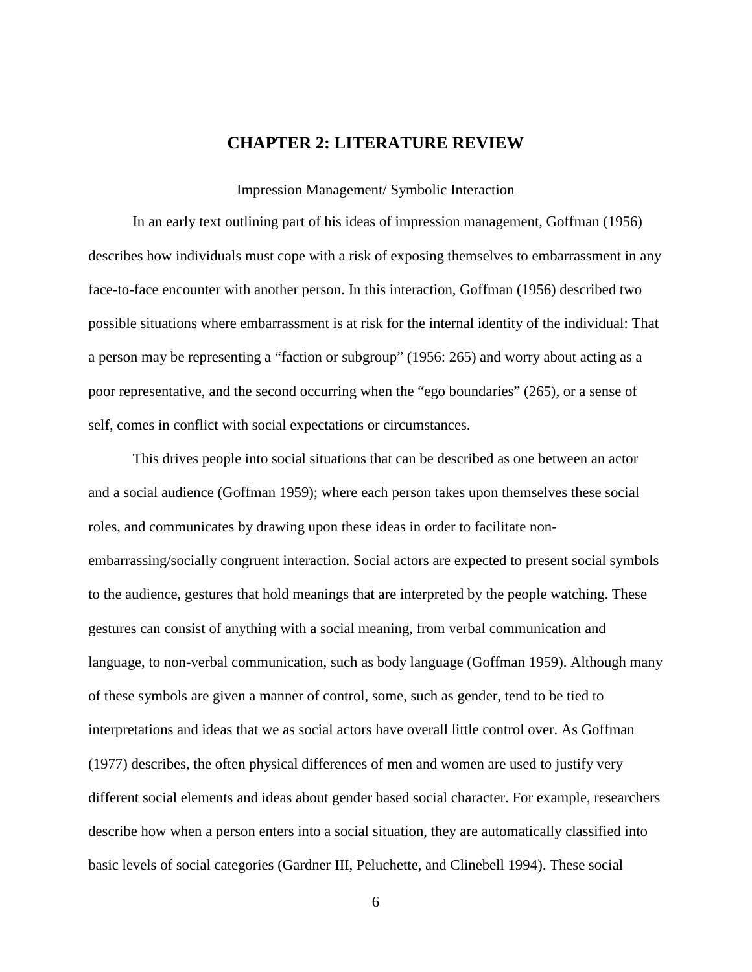## **CHAPTER 2: LITERATURE REVIEW**

Impression Management/ Symbolic Interaction

<span id="page-11-1"></span><span id="page-11-0"></span>In an early text outlining part of his ideas of impression management, Goffman (1956) describes how individuals must cope with a risk of exposing themselves to embarrassment in any face-to-face encounter with another person. In this interaction, Goffman (1956) described two possible situations where embarrassment is at risk for the internal identity of the individual: That a person may be representing a "faction or subgroup" (1956: 265) and worry about acting as a poor representative, and the second occurring when the "ego boundaries" (265), or a sense of self, comes in conflict with social expectations or circumstances.

This drives people into social situations that can be described as one between an actor and a social audience (Goffman 1959); where each person takes upon themselves these social roles, and communicates by drawing upon these ideas in order to facilitate nonembarrassing/socially congruent interaction. Social actors are expected to present social symbols to the audience, gestures that hold meanings that are interpreted by the people watching. These gestures can consist of anything with a social meaning, from verbal communication and language, to non-verbal communication, such as body language (Goffman 1959). Although many of these symbols are given a manner of control, some, such as gender, tend to be tied to interpretations and ideas that we as social actors have overall little control over. As Goffman (1977) describes, the often physical differences of men and women are used to justify very different social elements and ideas about gender based social character. For example, researchers describe how when a person enters into a social situation, they are automatically classified into basic levels of social categories (Gardner III, Peluchette, and Clinebell 1994). These social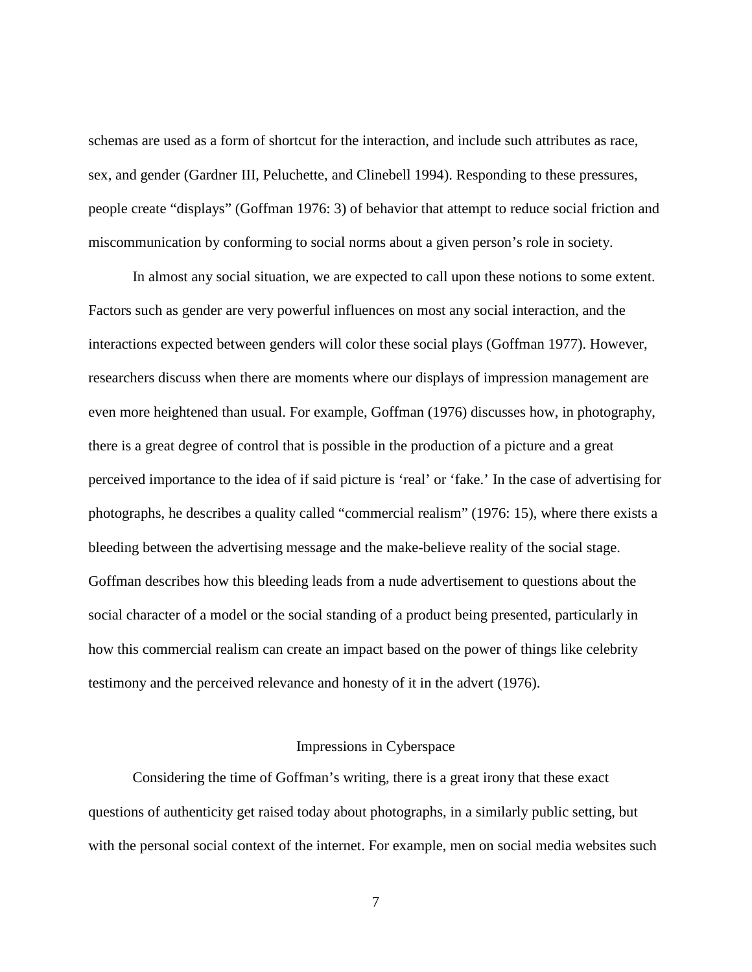schemas are used as a form of shortcut for the interaction, and include such attributes as race, sex, and gender (Gardner III, Peluchette, and Clinebell 1994). Responding to these pressures, people create "displays" (Goffman 1976: 3) of behavior that attempt to reduce social friction and miscommunication by conforming to social norms about a given person's role in society.

In almost any social situation, we are expected to call upon these notions to some extent. Factors such as gender are very powerful influences on most any social interaction, and the interactions expected between genders will color these social plays (Goffman 1977). However, researchers discuss when there are moments where our displays of impression management are even more heightened than usual. For example, Goffman (1976) discusses how, in photography, there is a great degree of control that is possible in the production of a picture and a great perceived importance to the idea of if said picture is 'real' or 'fake.' In the case of advertising for photographs, he describes a quality called "commercial realism" (1976: 15), where there exists a bleeding between the advertising message and the make-believe reality of the social stage. Goffman describes how this bleeding leads from a nude advertisement to questions about the social character of a model or the social standing of a product being presented, particularly in how this commercial realism can create an impact based on the power of things like celebrity testimony and the perceived relevance and honesty of it in the advert (1976).

#### Impressions in Cyberspace

<span id="page-12-0"></span>Considering the time of Goffman's writing, there is a great irony that these exact questions of authenticity get raised today about photographs, in a similarly public setting, but with the personal social context of the internet. For example, men on social media websites such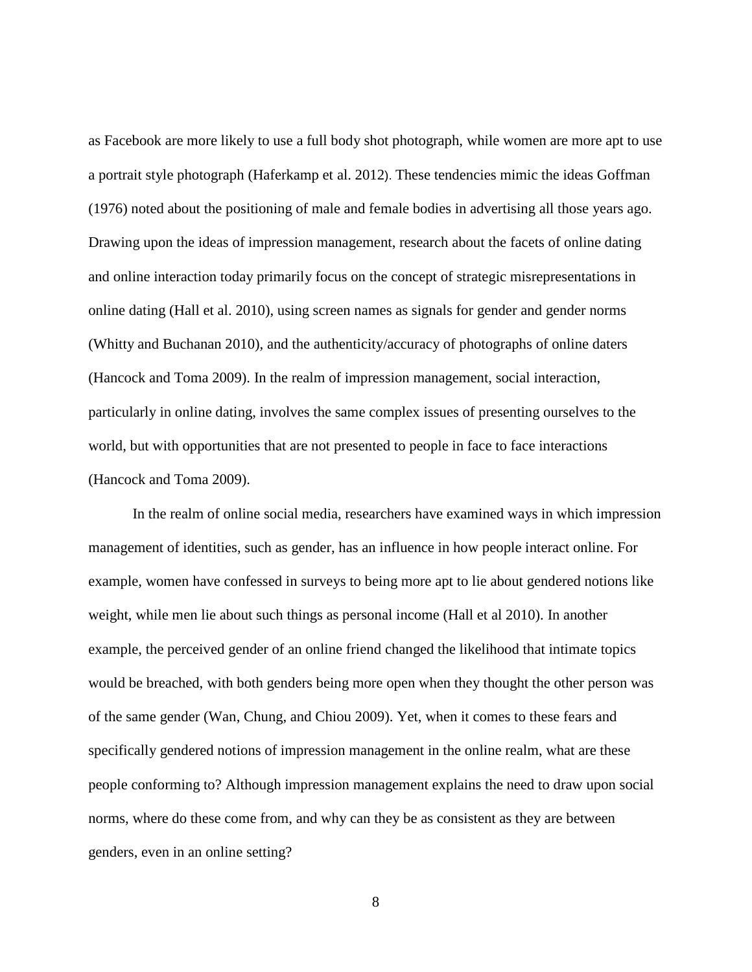as Facebook are more likely to use a full body shot photograph, while women are more apt to use a portrait style photograph (Haferkamp et al. 2012). These tendencies mimic the ideas Goffman (1976) noted about the positioning of male and female bodies in advertising all those years ago. Drawing upon the ideas of impression management, research about the facets of online dating and online interaction today primarily focus on the concept of strategic misrepresentations in online dating (Hall et al. 2010), using screen names as signals for gender and gender norms (Whitty and Buchanan 2010), and the authenticity/accuracy of photographs of online daters (Hancock and Toma 2009). In the realm of impression management, social interaction, particularly in online dating, involves the same complex issues of presenting ourselves to the world, but with opportunities that are not presented to people in face to face interactions (Hancock and Toma 2009).

In the realm of online social media, researchers have examined ways in which impression management of identities, such as gender, has an influence in how people interact online. For example, women have confessed in surveys to being more apt to lie about gendered notions like weight, while men lie about such things as personal income (Hall et al 2010). In another example, the perceived gender of an online friend changed the likelihood that intimate topics would be breached, with both genders being more open when they thought the other person was of the same gender (Wan, Chung, and Chiou 2009). Yet, when it comes to these fears and specifically gendered notions of impression management in the online realm, what are these people conforming to? Although impression management explains the need to draw upon social norms, where do these come from, and why can they be as consistent as they are between genders, even in an online setting?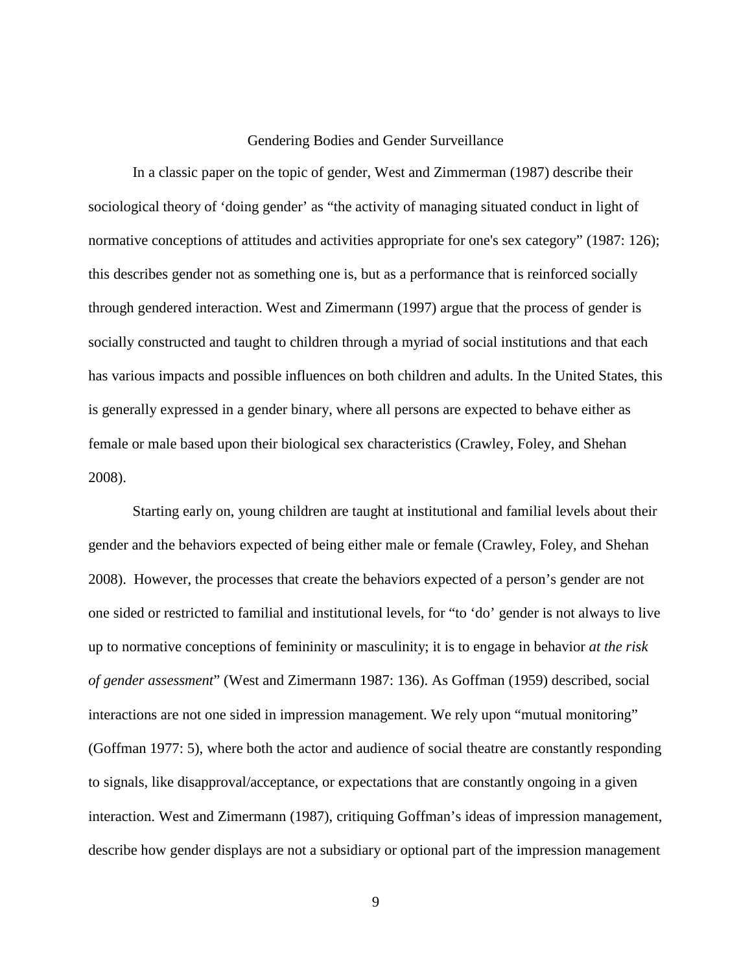#### Gendering Bodies and Gender Surveillance

<span id="page-14-0"></span>In a classic paper on the topic of gender, West and Zimmerman (1987) describe their sociological theory of 'doing gender' as "the activity of managing situated conduct in light of normative conceptions of attitudes and activities appropriate for one's sex category" (1987: 126); this describes gender not as something one is, but as a performance that is reinforced socially through gendered interaction. West and Zimermann (1997) argue that the process of gender is socially constructed and taught to children through a myriad of social institutions and that each has various impacts and possible influences on both children and adults. In the United States, this is generally expressed in a gender binary, where all persons are expected to behave either as female or male based upon their biological sex characteristics (Crawley, Foley, and Shehan 2008).

Starting early on, young children are taught at institutional and familial levels about their gender and the behaviors expected of being either male or female (Crawley, Foley, and Shehan 2008). However, the processes that create the behaviors expected of a person's gender are not one sided or restricted to familial and institutional levels, for "to 'do' gender is not always to live up to normative conceptions of femininity or masculinity; it is to engage in behavior *at the risk of gender assessment*" (West and Zimermann 1987: 136). As Goffman (1959) described, social interactions are not one sided in impression management. We rely upon "mutual monitoring" (Goffman 1977: 5), where both the actor and audience of social theatre are constantly responding to signals, like disapproval/acceptance, or expectations that are constantly ongoing in a given interaction. West and Zimermann (1987), critiquing Goffman's ideas of impression management, describe how gender displays are not a subsidiary or optional part of the impression management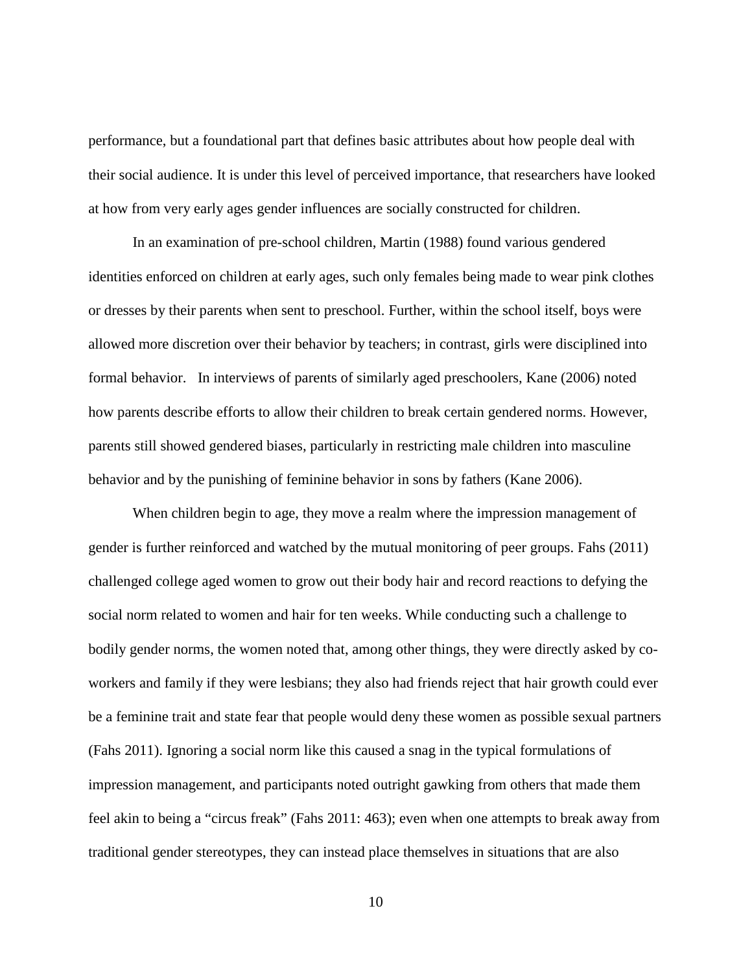performance, but a foundational part that defines basic attributes about how people deal with their social audience. It is under this level of perceived importance, that researchers have looked at how from very early ages gender influences are socially constructed for children.

In an examination of pre-school children, Martin (1988) found various gendered identities enforced on children at early ages, such only females being made to wear pink clothes or dresses by their parents when sent to preschool. Further, within the school itself, boys were allowed more discretion over their behavior by teachers; in contrast, girls were disciplined into formal behavior. In interviews of parents of similarly aged preschoolers, Kane (2006) noted how parents describe efforts to allow their children to break certain gendered norms. However, parents still showed gendered biases, particularly in restricting male children into masculine behavior and by the punishing of feminine behavior in sons by fathers (Kane 2006).

When children begin to age, they move a realm where the impression management of gender is further reinforced and watched by the mutual monitoring of peer groups. Fahs (2011) challenged college aged women to grow out their body hair and record reactions to defying the social norm related to women and hair for ten weeks. While conducting such a challenge to bodily gender norms, the women noted that, among other things, they were directly asked by coworkers and family if they were lesbians; they also had friends reject that hair growth could ever be a feminine trait and state fear that people would deny these women as possible sexual partners (Fahs 2011). Ignoring a social norm like this caused a snag in the typical formulations of impression management, and participants noted outright gawking from others that made them feel akin to being a "circus freak" (Fahs 2011: 463); even when one attempts to break away from traditional gender stereotypes, they can instead place themselves in situations that are also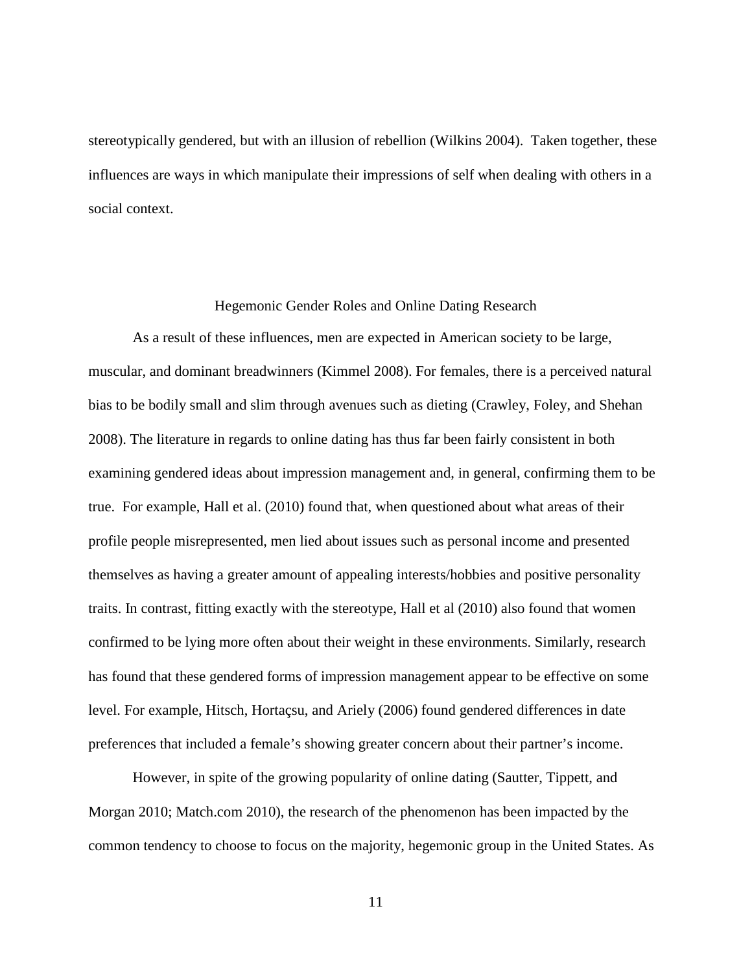stereotypically gendered, but with an illusion of rebellion (Wilkins 2004). Taken together, these influences are ways in which manipulate their impressions of self when dealing with others in a social context.

#### Hegemonic Gender Roles and Online Dating Research

<span id="page-16-0"></span>As a result of these influences, men are expected in American society to be large, muscular, and dominant breadwinners (Kimmel 2008). For females, there is a perceived natural bias to be bodily small and slim through avenues such as dieting (Crawley, Foley, and Shehan 2008). The literature in regards to online dating has thus far been fairly consistent in both examining gendered ideas about impression management and, in general, confirming them to be true. For example, Hall et al. (2010) found that, when questioned about what areas of their profile people misrepresented, men lied about issues such as personal income and presented themselves as having a greater amount of appealing interests/hobbies and positive personality traits. In contrast, fitting exactly with the stereotype, Hall et al (2010) also found that women confirmed to be lying more often about their weight in these environments. Similarly, research has found that these gendered forms of impression management appear to be effective on some level. For example, Hitsch, Hortaçsu, and Ariely (2006) found gendered differences in date preferences that included a female's showing greater concern about their partner's income.

However, in spite of the growing popularity of online dating (Sautter, Tippett, and Morgan 2010; Match.com 2010), the research of the phenomenon has been impacted by the common tendency to choose to focus on the majority, hegemonic group in the United States. As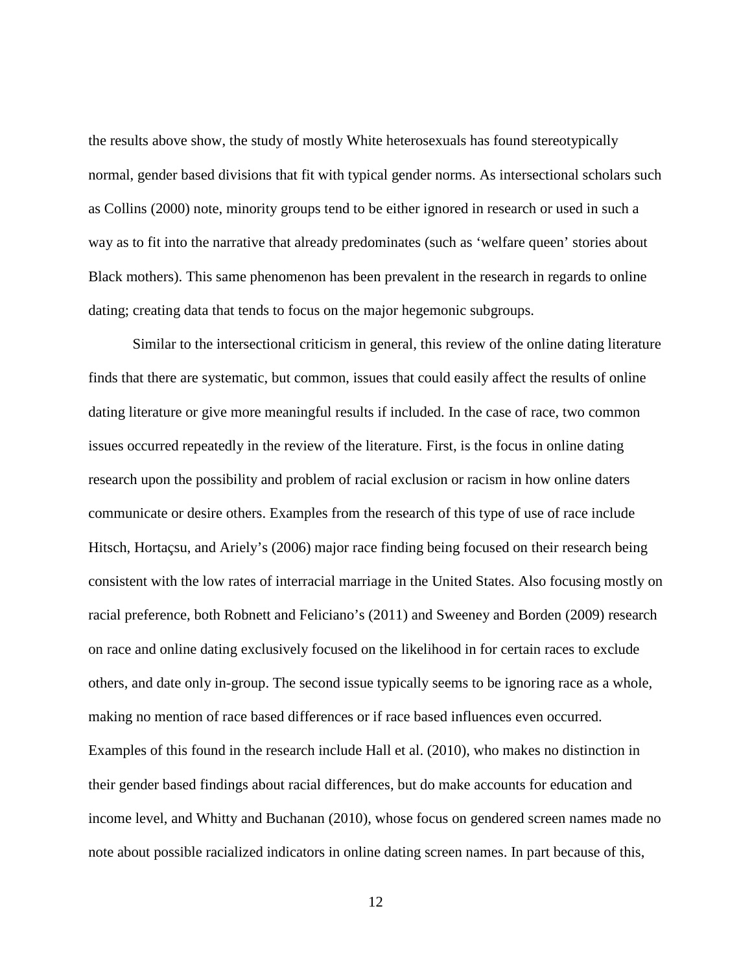the results above show, the study of mostly White heterosexuals has found stereotypically normal, gender based divisions that fit with typical gender norms. As intersectional scholars such as Collins (2000) note, minority groups tend to be either ignored in research or used in such a way as to fit into the narrative that already predominates (such as 'welfare queen' stories about Black mothers). This same phenomenon has been prevalent in the research in regards to online dating; creating data that tends to focus on the major hegemonic subgroups.

Similar to the intersectional criticism in general, this review of the online dating literature finds that there are systematic, but common, issues that could easily affect the results of online dating literature or give more meaningful results if included. In the case of race, two common issues occurred repeatedly in the review of the literature. First, is the focus in online dating research upon the possibility and problem of racial exclusion or racism in how online daters communicate or desire others. Examples from the research of this type of use of race include Hitsch, Hortaçsu, and Ariely's (2006) major race finding being focused on their research being consistent with the low rates of interracial marriage in the United States. Also focusing mostly on racial preference, both Robnett and Feliciano's (2011) and Sweeney and Borden (2009) research on race and online dating exclusively focused on the likelihood in for certain races to exclude others, and date only in-group. The second issue typically seems to be ignoring race as a whole, making no mention of race based differences or if race based influences even occurred. Examples of this found in the research include Hall et al. (2010), who makes no distinction in their gender based findings about racial differences, but do make accounts for education and income level, and Whitty and Buchanan (2010), whose focus on gendered screen names made no note about possible racialized indicators in online dating screen names. In part because of this,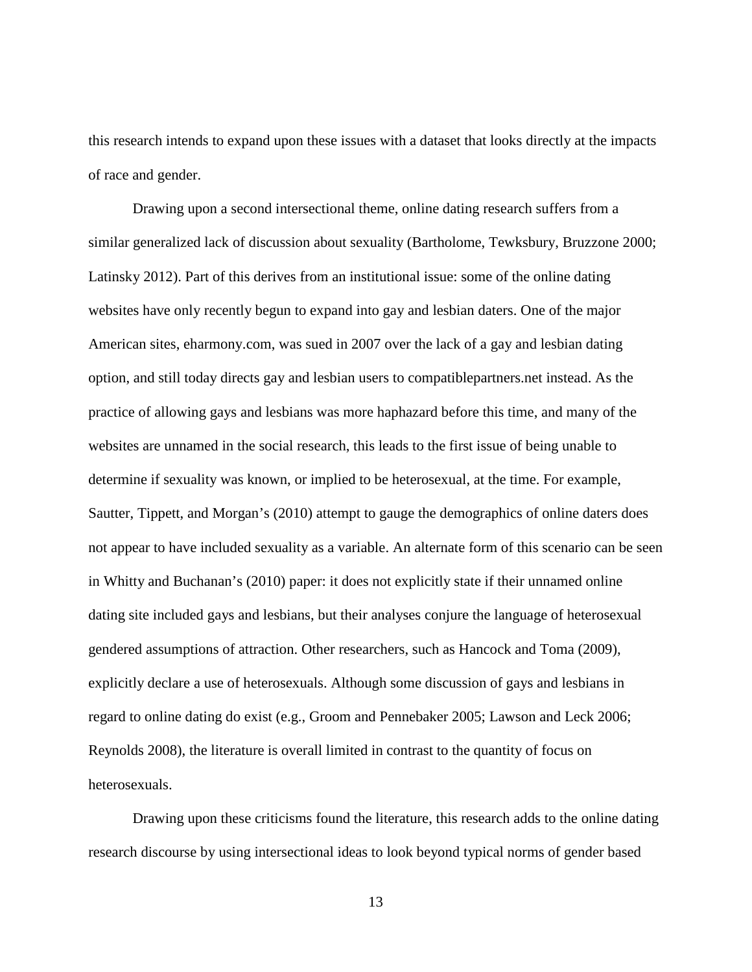this research intends to expand upon these issues with a dataset that looks directly at the impacts of race and gender.

Drawing upon a second intersectional theme, online dating research suffers from a similar generalized lack of discussion about sexuality (Bartholome, Tewksbury, Bruzzone 2000; Latinsky 2012). Part of this derives from an institutional issue: some of the online dating websites have only recently begun to expand into gay and lesbian daters. One of the major American sites, eharmony.com, was sued in 2007 over the lack of a gay and lesbian dating option, and still today directs gay and lesbian users to compatiblepartners.net instead. As the practice of allowing gays and lesbians was more haphazard before this time, and many of the websites are unnamed in the social research, this leads to the first issue of being unable to determine if sexuality was known, or implied to be heterosexual, at the time. For example, Sautter, Tippett, and Morgan's (2010) attempt to gauge the demographics of online daters does not appear to have included sexuality as a variable. An alternate form of this scenario can be seen in Whitty and Buchanan's (2010) paper: it does not explicitly state if their unnamed online dating site included gays and lesbians, but their analyses conjure the language of heterosexual gendered assumptions of attraction. Other researchers, such as Hancock and Toma (2009), explicitly declare a use of heterosexuals. Although some discussion of gays and lesbians in regard to online dating do exist (e.g., Groom and Pennebaker 2005; Lawson and Leck 2006; Reynolds 2008), the literature is overall limited in contrast to the quantity of focus on heterosexuals.

Drawing upon these criticisms found the literature, this research adds to the online dating research discourse by using intersectional ideas to look beyond typical norms of gender based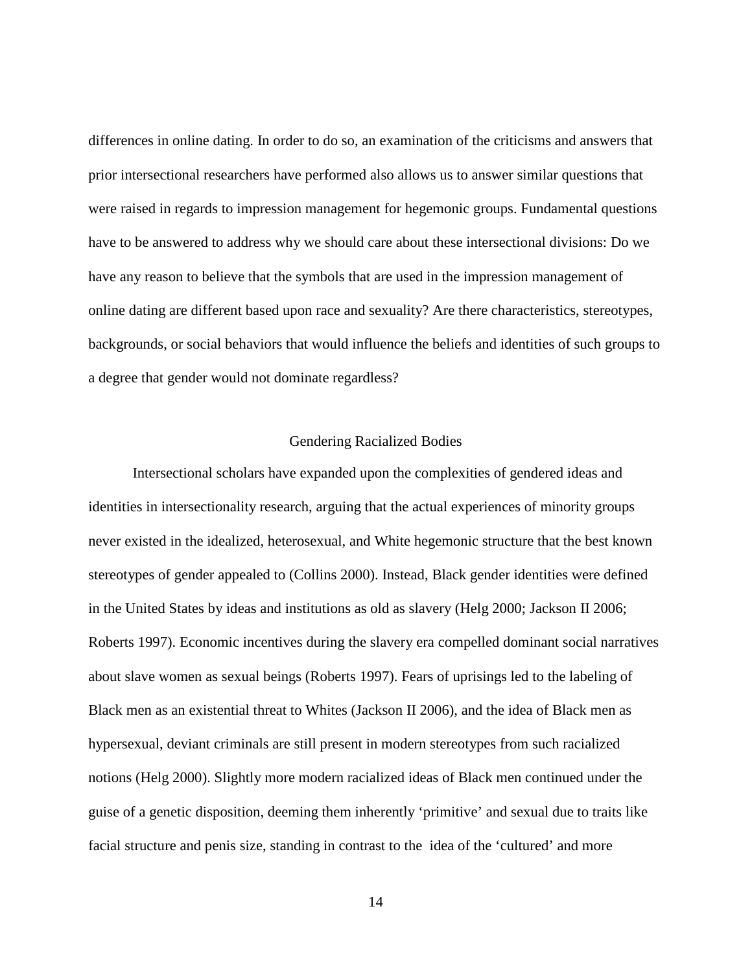differences in online dating. In order to do so, an examination of the criticisms and answers that prior intersectional researchers have performed also allows us to answer similar questions that were raised in regards to impression management for hegemonic groups. Fundamental questions have to be answered to address why we should care about these intersectional divisions: Do we have any reason to believe that the symbols that are used in the impression management of online dating are different based upon race and sexuality? Are there characteristics, stereotypes, backgrounds, or social behaviors that would influence the beliefs and identities of such groups to a degree that gender would not dominate regardless?

#### Gendering Racialized Bodies

<span id="page-19-0"></span>Intersectional scholars have expanded upon the complexities of gendered ideas and identities in intersectionality research, arguing that the actual experiences of minority groups never existed in the idealized, heterosexual, and White hegemonic structure that the best known stereotypes of gender appealed to (Collins 2000). Instead, Black gender identities were defined in the United States by ideas and institutions as old as slavery (Helg 2000; Jackson II 2006; Roberts 1997). Economic incentives during the slavery era compelled dominant social narratives about slave women as sexual beings (Roberts 1997). Fears of uprisings led to the labeling of Black men as an existential threat to Whites (Jackson II 2006), and the idea of Black men as hypersexual, deviant criminals are still present in modern stereotypes from such racialized notions (Helg 2000). Slightly more modern racialized ideas of Black men continued under the guise of a genetic disposition, deeming them inherently 'primitive' and sexual due to traits like facial structure and penis size, standing in contrast to the idea of the 'cultured' and more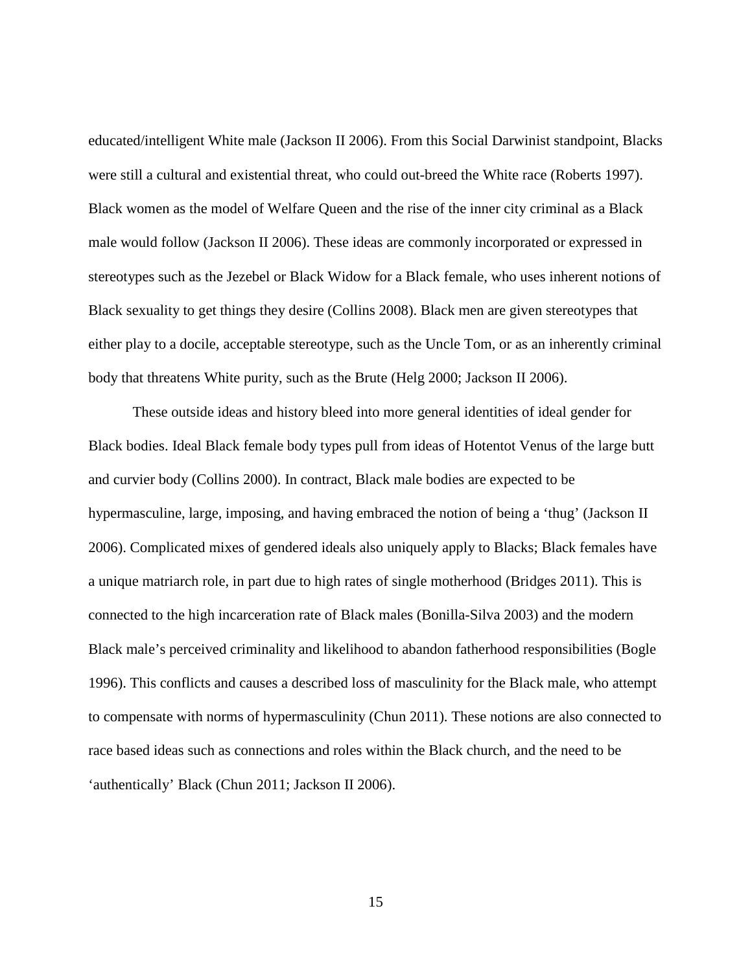educated/intelligent White male (Jackson II 2006). From this Social Darwinist standpoint, Blacks were still a cultural and existential threat, who could out-breed the White race (Roberts 1997). Black women as the model of Welfare Queen and the rise of the inner city criminal as a Black male would follow (Jackson II 2006). These ideas are commonly incorporated or expressed in stereotypes such as the Jezebel or Black Widow for a Black female, who uses inherent notions of Black sexuality to get things they desire (Collins 2008). Black men are given stereotypes that either play to a docile, acceptable stereotype, such as the Uncle Tom, or as an inherently criminal body that threatens White purity, such as the Brute (Helg 2000; Jackson II 2006).

These outside ideas and history bleed into more general identities of ideal gender for Black bodies. Ideal Black female body types pull from ideas of Hotentot Venus of the large butt and curvier body (Collins 2000). In contract, Black male bodies are expected to be hypermasculine, large, imposing, and having embraced the notion of being a 'thug' (Jackson II 2006). Complicated mixes of gendered ideals also uniquely apply to Blacks; Black females have a unique matriarch role, in part due to high rates of single motherhood (Bridges 2011). This is connected to the high incarceration rate of Black males (Bonilla-Silva 2003) and the modern Black male's perceived criminality and likelihood to abandon fatherhood responsibilities (Bogle 1996). This conflicts and causes a described loss of masculinity for the Black male, who attempt to compensate with norms of hypermasculinity (Chun 2011). These notions are also connected to race based ideas such as connections and roles within the Black church, and the need to be 'authentically' Black (Chun 2011; Jackson II 2006).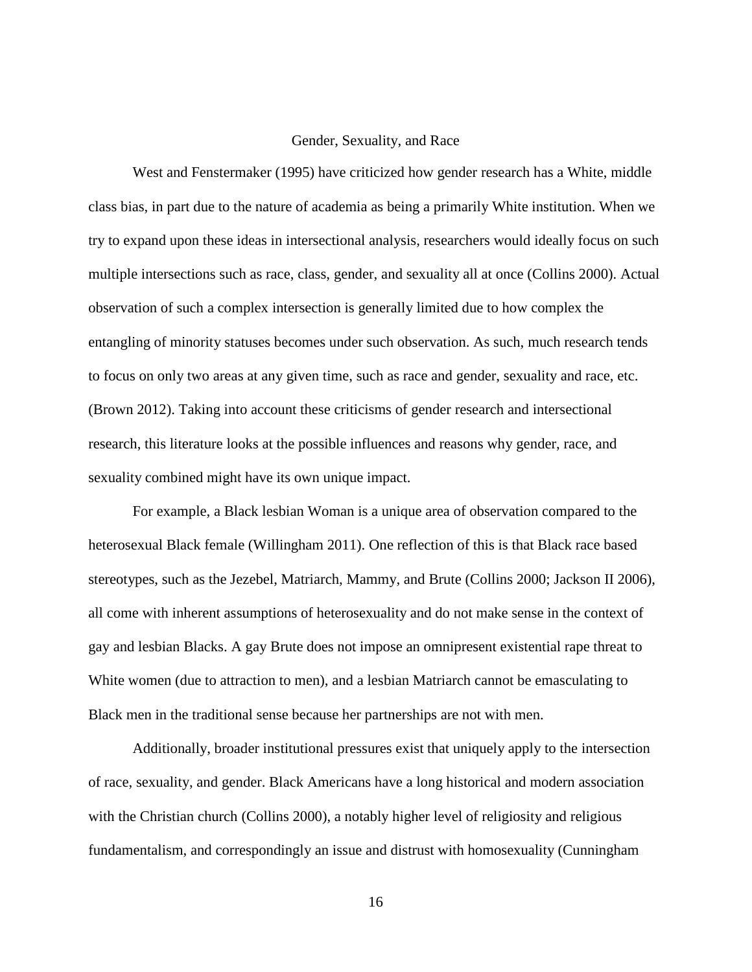#### Gender, Sexuality, and Race

<span id="page-21-0"></span>West and Fenstermaker (1995) have criticized how gender research has a White, middle class bias, in part due to the nature of academia as being a primarily White institution. When we try to expand upon these ideas in intersectional analysis, researchers would ideally focus on such multiple intersections such as race, class, gender, and sexuality all at once (Collins 2000). Actual observation of such a complex intersection is generally limited due to how complex the entangling of minority statuses becomes under such observation. As such, much research tends to focus on only two areas at any given time, such as race and gender, sexuality and race, etc. (Brown 2012). Taking into account these criticisms of gender research and intersectional research, this literature looks at the possible influences and reasons why gender, race, and sexuality combined might have its own unique impact.

For example, a Black lesbian Woman is a unique area of observation compared to the heterosexual Black female (Willingham 2011). One reflection of this is that Black race based stereotypes, such as the Jezebel, Matriarch, Mammy, and Brute (Collins 2000; Jackson II 2006), all come with inherent assumptions of heterosexuality and do not make sense in the context of gay and lesbian Blacks. A gay Brute does not impose an omnipresent existential rape threat to White women (due to attraction to men), and a lesbian Matriarch cannot be emasculating to Black men in the traditional sense because her partnerships are not with men.

Additionally, broader institutional pressures exist that uniquely apply to the intersection of race, sexuality, and gender. Black Americans have a long historical and modern association with the Christian church (Collins 2000), a notably higher level of religiosity and religious fundamentalism, and correspondingly an issue and distrust with homosexuality (Cunningham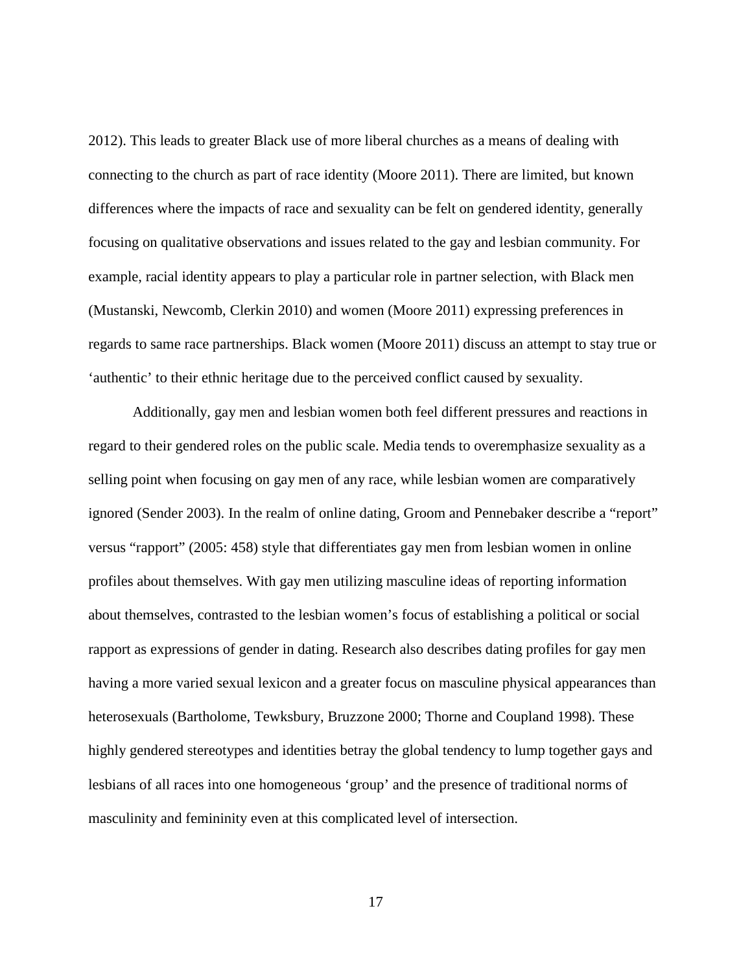2012). This leads to greater Black use of more liberal churches as a means of dealing with connecting to the church as part of race identity (Moore 2011). There are limited, but known differences where the impacts of race and sexuality can be felt on gendered identity, generally focusing on qualitative observations and issues related to the gay and lesbian community. For example, racial identity appears to play a particular role in partner selection, with Black men (Mustanski, Newcomb, Clerkin 2010) and women (Moore 2011) expressing preferences in regards to same race partnerships. Black women (Moore 2011) discuss an attempt to stay true or 'authentic' to their ethnic heritage due to the perceived conflict caused by sexuality.

Additionally, gay men and lesbian women both feel different pressures and reactions in regard to their gendered roles on the public scale. Media tends to overemphasize sexuality as a selling point when focusing on gay men of any race, while lesbian women are comparatively ignored (Sender 2003). In the realm of online dating, Groom and Pennebaker describe a "report" versus "rapport" (2005: 458) style that differentiates gay men from lesbian women in online profiles about themselves. With gay men utilizing masculine ideas of reporting information about themselves, contrasted to the lesbian women's focus of establishing a political or social rapport as expressions of gender in dating. Research also describes dating profiles for gay men having a more varied sexual lexicon and a greater focus on masculine physical appearances than heterosexuals (Bartholome, Tewksbury, Bruzzone 2000; Thorne and Coupland 1998). These highly gendered stereotypes and identities betray the global tendency to lump together gays and lesbians of all races into one homogeneous 'group' and the presence of traditional norms of masculinity and femininity even at this complicated level of intersection.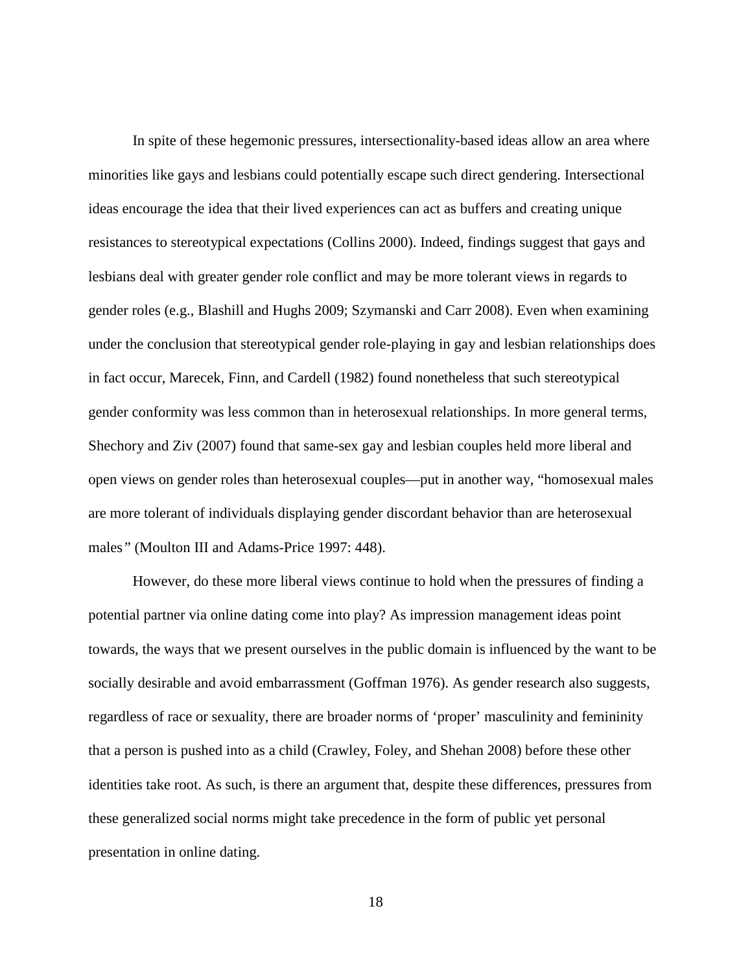In spite of these hegemonic pressures, intersectionality-based ideas allow an area where minorities like gays and lesbians could potentially escape such direct gendering. Intersectional ideas encourage the idea that their lived experiences can act as buffers and creating unique resistances to stereotypical expectations (Collins 2000). Indeed, findings suggest that gays and lesbians deal with greater gender role conflict and may be more tolerant views in regards to gender roles (e.g., Blashill and Hughs 2009; Szymanski and Carr 2008). Even when examining under the conclusion that stereotypical gender role-playing in gay and lesbian relationships does in fact occur, Marecek, Finn, and Cardell (1982) found nonetheless that such stereotypical gender conformity was less common than in heterosexual relationships. In more general terms, Shechory and Ziv (2007) found that same-sex gay and lesbian couples held more liberal and open views on gender roles than heterosexual couples—put in another way, "homosexual males are more tolerant of individuals displaying gender discordant behavior than are heterosexual males*"* (Moulton III and Adams-Price 1997: 448).

However, do these more liberal views continue to hold when the pressures of finding a potential partner via online dating come into play? As impression management ideas point towards, the ways that we present ourselves in the public domain is influenced by the want to be socially desirable and avoid embarrassment (Goffman 1976). As gender research also suggests, regardless of race or sexuality, there are broader norms of 'proper' masculinity and femininity that a person is pushed into as a child (Crawley, Foley, and Shehan 2008) before these other identities take root. As such, is there an argument that, despite these differences, pressures from these generalized social norms might take precedence in the form of public yet personal presentation in online dating.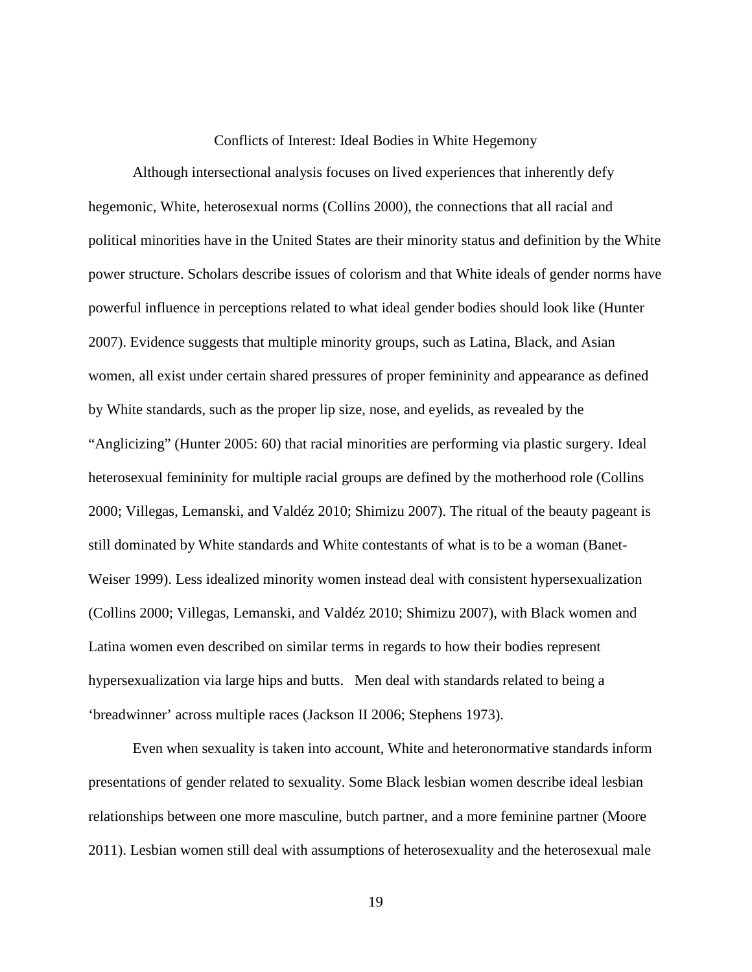#### Conflicts of Interest: Ideal Bodies in White Hegemony

<span id="page-24-0"></span>Although intersectional analysis focuses on lived experiences that inherently defy hegemonic, White, heterosexual norms (Collins 2000), the connections that all racial and political minorities have in the United States are their minority status and definition by the White power structure. Scholars describe issues of colorism and that White ideals of gender norms have powerful influence in perceptions related to what ideal gender bodies should look like (Hunter 2007). Evidence suggests that multiple minority groups, such as Latina, Black, and Asian women, all exist under certain shared pressures of proper femininity and appearance as defined by White standards, such as the proper lip size, nose, and eyelids, as revealed by the "Anglicizing" (Hunter 2005: 60) that racial minorities are performing via plastic surgery. Ideal heterosexual femininity for multiple racial groups are defined by the motherhood role (Collins 2000; Villegas, Lemanski, and Valdéz 2010; Shimizu 2007). The ritual of the beauty pageant is still dominated by White standards and White contestants of what is to be a woman (Banet-Weiser 1999). Less idealized minority women instead deal with consistent hypersexualization (Collins 2000; Villegas, Lemanski, and Valdéz 2010; Shimizu 2007), with Black women and Latina women even described on similar terms in regards to how their bodies represent hypersexualization via large hips and butts. Men deal with standards related to being a 'breadwinner' across multiple races (Jackson II 2006; Stephens 1973).

Even when sexuality is taken into account, White and heteronormative standards inform presentations of gender related to sexuality. Some Black lesbian women describe ideal lesbian relationships between one more masculine, butch partner, and a more feminine partner (Moore 2011). Lesbian women still deal with assumptions of heterosexuality and the heterosexual male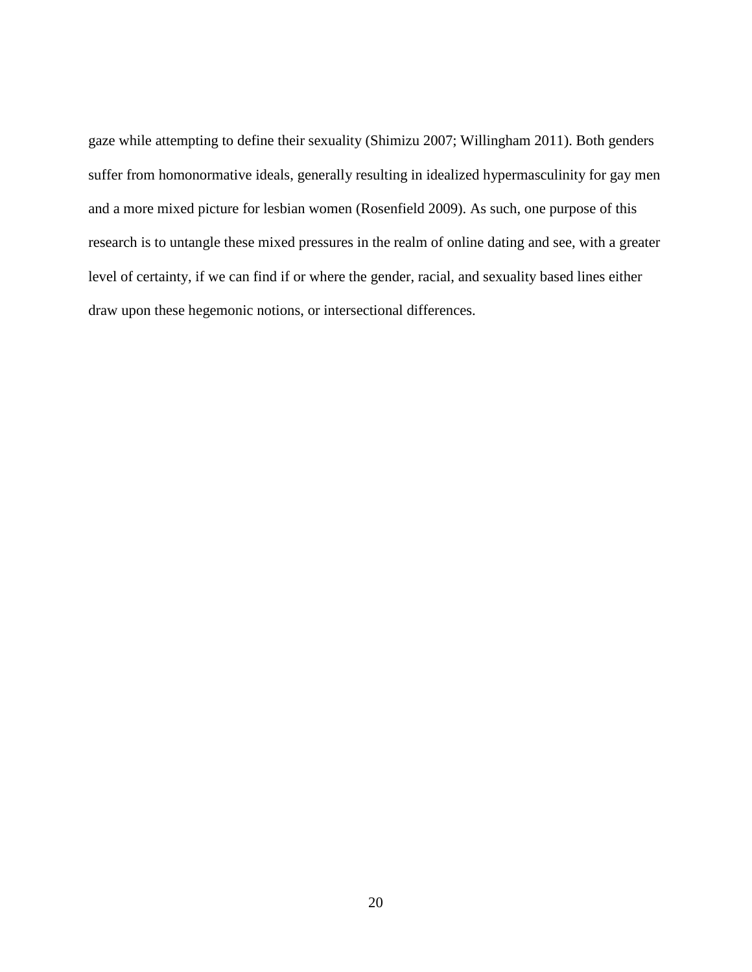gaze while attempting to define their sexuality (Shimizu 2007; Willingham 2011). Both genders suffer from homonormative ideals, generally resulting in idealized hypermasculinity for gay men and a more mixed picture for lesbian women (Rosenfield 2009). As such, one purpose of this research is to untangle these mixed pressures in the realm of online dating and see, with a greater level of certainty, if we can find if or where the gender, racial, and sexuality based lines either draw upon these hegemonic notions, or intersectional differences.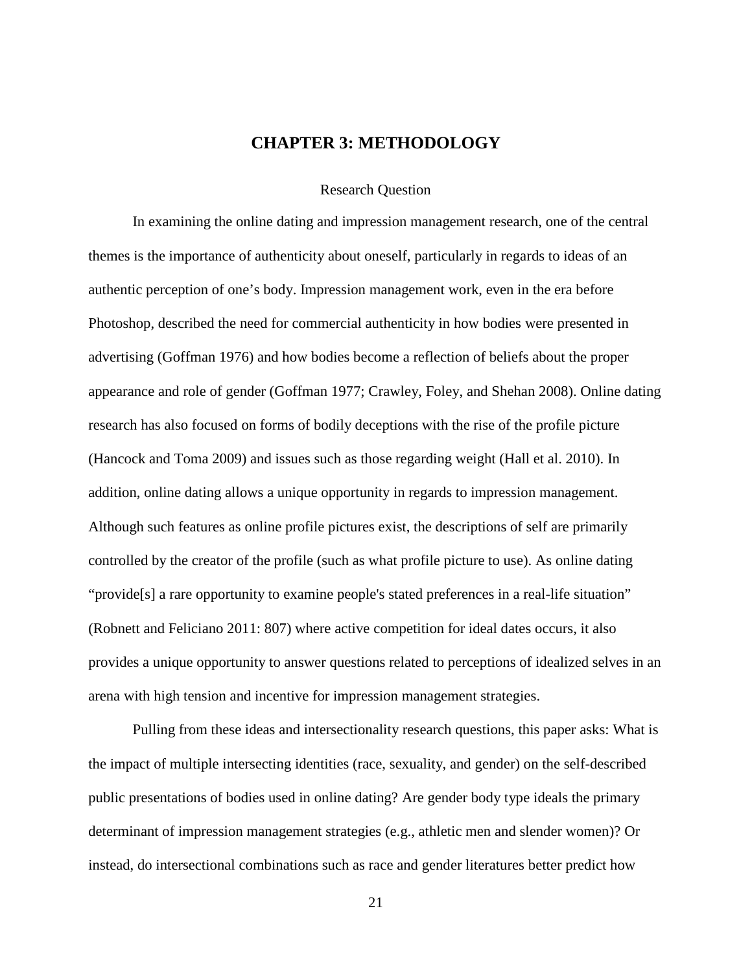## **CHAPTER 3: METHODOLOGY**

#### Research Question

<span id="page-26-1"></span><span id="page-26-0"></span>In examining the online dating and impression management research, one of the central themes is the importance of authenticity about oneself, particularly in regards to ideas of an authentic perception of one's body. Impression management work, even in the era before Photoshop, described the need for commercial authenticity in how bodies were presented in advertising (Goffman 1976) and how bodies become a reflection of beliefs about the proper appearance and role of gender (Goffman 1977; Crawley, Foley, and Shehan 2008). Online dating research has also focused on forms of bodily deceptions with the rise of the profile picture (Hancock and Toma 2009) and issues such as those regarding weight (Hall et al. 2010). In addition, online dating allows a unique opportunity in regards to impression management. Although such features as online profile pictures exist, the descriptions of self are primarily controlled by the creator of the profile (such as what profile picture to use). As online dating "provide[s] a rare opportunity to examine people's stated preferences in a real-life situation" (Robnett and Feliciano 2011: 807) where active competition for ideal dates occurs, it also provides a unique opportunity to answer questions related to perceptions of idealized selves in an arena with high tension and incentive for impression management strategies.

Pulling from these ideas and intersectionality research questions, this paper asks: What is the impact of multiple intersecting identities (race, sexuality, and gender) on the self-described public presentations of bodies used in online dating? Are gender body type ideals the primary determinant of impression management strategies (e.g., athletic men and slender women)? Or instead, do intersectional combinations such as race and gender literatures better predict how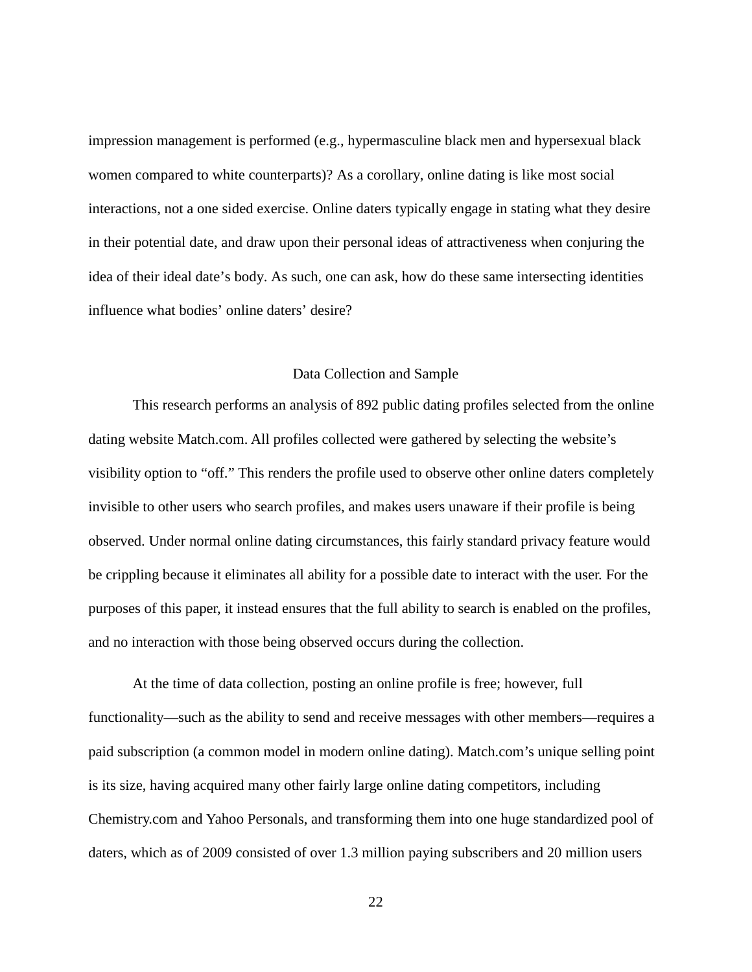impression management is performed (e.g., hypermasculine black men and hypersexual black women compared to white counterparts)? As a corollary, online dating is like most social interactions, not a one sided exercise. Online daters typically engage in stating what they desire in their potential date, and draw upon their personal ideas of attractiveness when conjuring the idea of their ideal date's body. As such, one can ask, how do these same intersecting identities influence what bodies' online daters' desire?

#### Data Collection and Sample

<span id="page-27-0"></span>This research performs an analysis of 892 public dating profiles selected from the online dating website Match.com. All profiles collected were gathered by selecting the website's visibility option to "off." This renders the profile used to observe other online daters completely invisible to other users who search profiles, and makes users unaware if their profile is being observed. Under normal online dating circumstances, this fairly standard privacy feature would be crippling because it eliminates all ability for a possible date to interact with the user. For the purposes of this paper, it instead ensures that the full ability to search is enabled on the profiles, and no interaction with those being observed occurs during the collection.

At the time of data collection, posting an online profile is free; however, full functionality—such as the ability to send and receive messages with other members—requires a paid subscription (a common model in modern online dating). Match.com's unique selling point is its size, having acquired many other fairly large online dating competitors, including Chemistry.com and Yahoo Personals, and transforming them into one huge standardized pool of daters, which as of 2009 consisted of over 1.3 million paying subscribers and 20 million users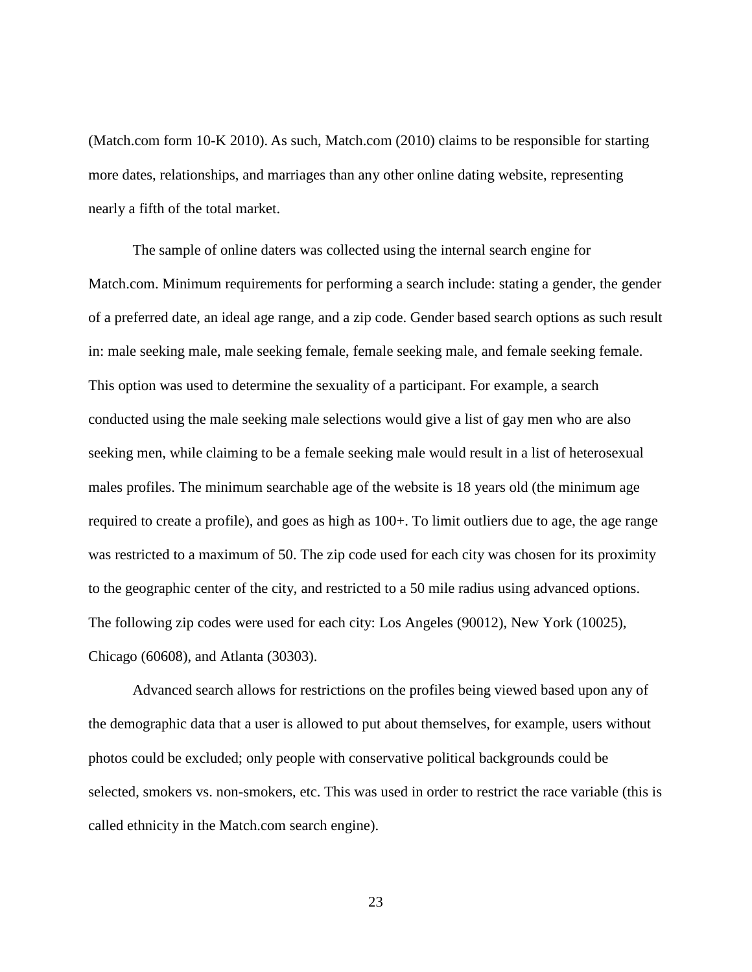(Match.com form 10-K 2010). As such, Match.com (2010) claims to be responsible for starting more dates, relationships, and marriages than any other online dating website, representing nearly a fifth of the total market.

The sample of online daters was collected using the internal search engine for Match.com. Minimum requirements for performing a search include: stating a gender, the gender of a preferred date, an ideal age range, and a zip code. Gender based search options as such result in: male seeking male, male seeking female, female seeking male, and female seeking female. This option was used to determine the sexuality of a participant. For example, a search conducted using the male seeking male selections would give a list of gay men who are also seeking men, while claiming to be a female seeking male would result in a list of heterosexual males profiles. The minimum searchable age of the website is 18 years old (the minimum age required to create a profile), and goes as high as 100+. To limit outliers due to age, the age range was restricted to a maximum of 50. The zip code used for each city was chosen for its proximity to the geographic center of the city, and restricted to a 50 mile radius using advanced options. The following zip codes were used for each city: Los Angeles (90012), New York (10025), Chicago (60608), and Atlanta (30303).

Advanced search allows for restrictions on the profiles being viewed based upon any of the demographic data that a user is allowed to put about themselves, for example, users without photos could be excluded; only people with conservative political backgrounds could be selected, smokers vs. non-smokers, etc. This was used in order to restrict the race variable (this is called ethnicity in the Match.com search engine).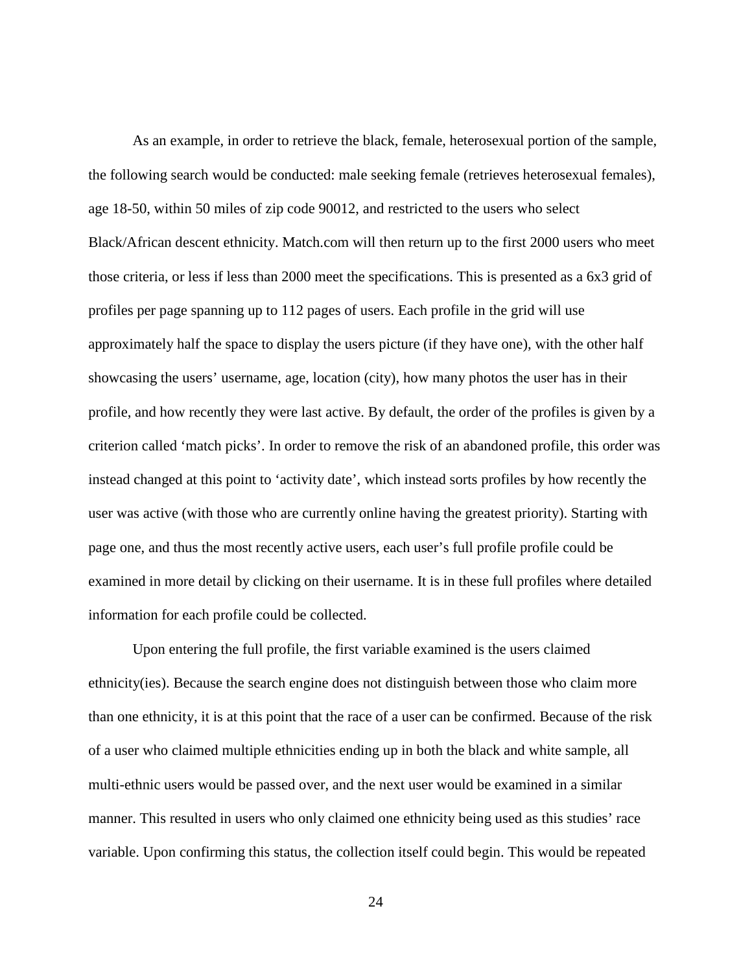As an example, in order to retrieve the black, female, heterosexual portion of the sample, the following search would be conducted: male seeking female (retrieves heterosexual females), age 18-50, within 50 miles of zip code 90012, and restricted to the users who select Black/African descent ethnicity. Match.com will then return up to the first 2000 users who meet those criteria, or less if less than 2000 meet the specifications. This is presented as a 6x3 grid of profiles per page spanning up to 112 pages of users. Each profile in the grid will use approximately half the space to display the users picture (if they have one), with the other half showcasing the users' username, age, location (city), how many photos the user has in their profile, and how recently they were last active. By default, the order of the profiles is given by a criterion called 'match picks'. In order to remove the risk of an abandoned profile, this order was instead changed at this point to 'activity date', which instead sorts profiles by how recently the user was active (with those who are currently online having the greatest priority). Starting with page one, and thus the most recently active users, each user's full profile profile could be examined in more detail by clicking on their username. It is in these full profiles where detailed information for each profile could be collected.

Upon entering the full profile, the first variable examined is the users claimed ethnicity(ies). Because the search engine does not distinguish between those who claim more than one ethnicity, it is at this point that the race of a user can be confirmed. Because of the risk of a user who claimed multiple ethnicities ending up in both the black and white sample, all multi-ethnic users would be passed over, and the next user would be examined in a similar manner. This resulted in users who only claimed one ethnicity being used as this studies' race variable. Upon confirming this status, the collection itself could begin. This would be repeated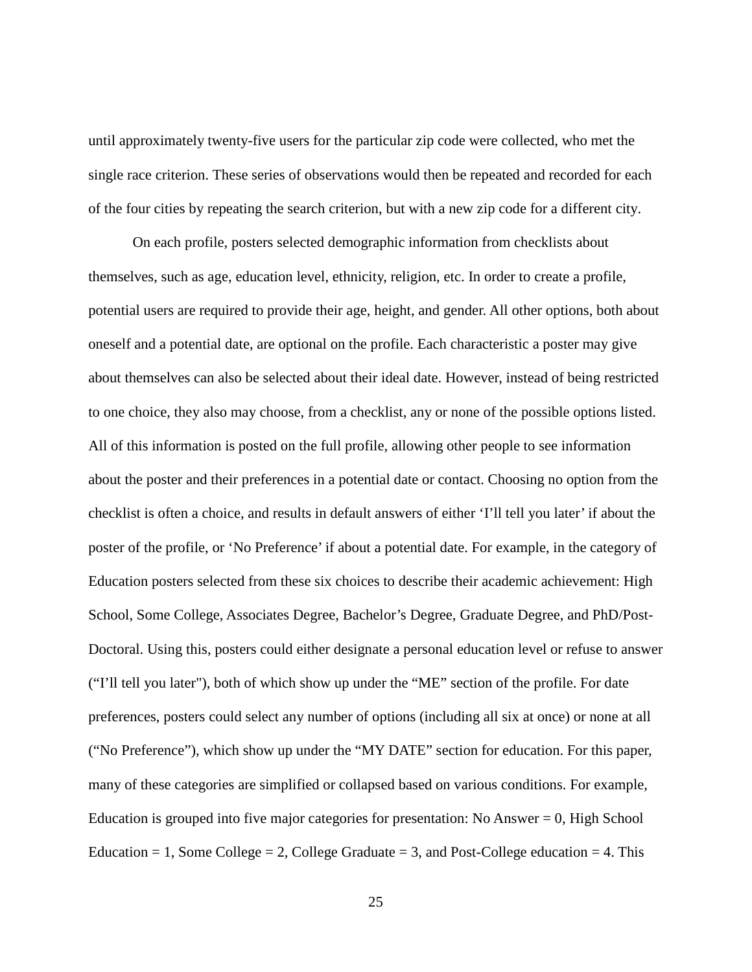until approximately twenty-five users for the particular zip code were collected, who met the single race criterion. These series of observations would then be repeated and recorded for each of the four cities by repeating the search criterion, but with a new zip code for a different city.

On each profile, posters selected demographic information from checklists about themselves, such as age, education level, ethnicity, religion, etc. In order to create a profile, potential users are required to provide their age, height, and gender. All other options, both about oneself and a potential date, are optional on the profile. Each characteristic a poster may give about themselves can also be selected about their ideal date. However, instead of being restricted to one choice, they also may choose, from a checklist, any or none of the possible options listed. All of this information is posted on the full profile, allowing other people to see information about the poster and their preferences in a potential date or contact. Choosing no option from the checklist is often a choice, and results in default answers of either 'I'll tell you later' if about the poster of the profile, or 'No Preference' if about a potential date. For example, in the category of Education posters selected from these six choices to describe their academic achievement: High School, Some College, Associates Degree, Bachelor's Degree, Graduate Degree, and PhD/Post-Doctoral. Using this, posters could either designate a personal education level or refuse to answer ("I'll tell you later"), both of which show up under the "ME" section of the profile. For date preferences, posters could select any number of options (including all six at once) or none at all ("No Preference"), which show up under the "MY DATE" section for education. For this paper, many of these categories are simplified or collapsed based on various conditions. For example, Education is grouped into five major categories for presentation: No Answer  $= 0$ , High School Education = 1, Some College = 2, College Graduate = 3, and Post-College education = 4. This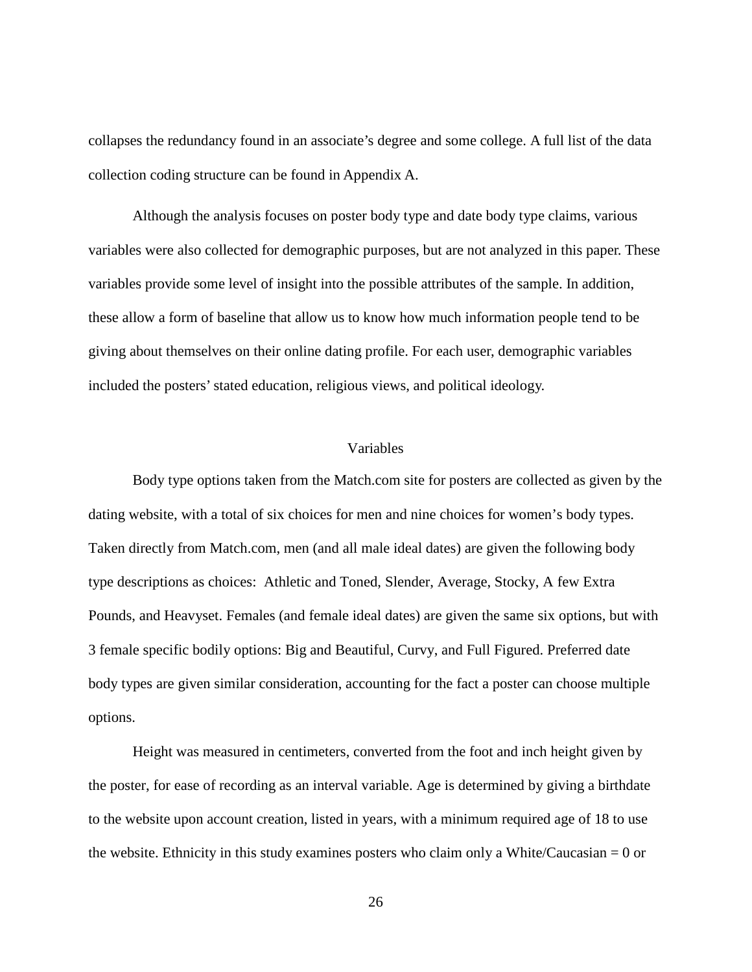collapses the redundancy found in an associate's degree and some college. A full list of the data collection coding structure can be found in Appendix A.

Although the analysis focuses on poster body type and date body type claims, various variables were also collected for demographic purposes, but are not analyzed in this paper. These variables provide some level of insight into the possible attributes of the sample. In addition, these allow a form of baseline that allow us to know how much information people tend to be giving about themselves on their online dating profile. For each user, demographic variables included the posters' stated education, religious views, and political ideology.

#### Variables

<span id="page-31-0"></span>Body type options taken from the Match.com site for posters are collected as given by the dating website, with a total of six choices for men and nine choices for women's body types. Taken directly from Match.com, men (and all male ideal dates) are given the following body type descriptions as choices: Athletic and Toned, Slender, Average, Stocky, A few Extra Pounds, and Heavyset. Females (and female ideal dates) are given the same six options, but with 3 female specific bodily options: Big and Beautiful, Curvy, and Full Figured. Preferred date body types are given similar consideration, accounting for the fact a poster can choose multiple options.

Height was measured in centimeters, converted from the foot and inch height given by the poster, for ease of recording as an interval variable. Age is determined by giving a birthdate to the website upon account creation, listed in years, with a minimum required age of 18 to use the website. Ethnicity in this study examines posters who claim only a White/Caucasian  $= 0$  or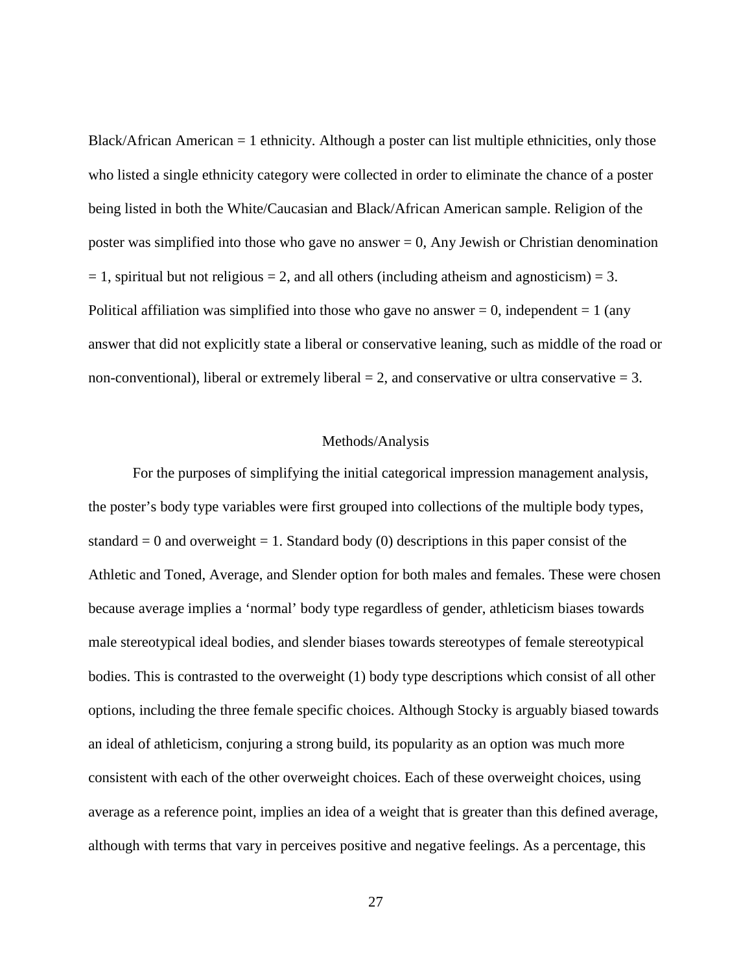Black/African American = 1 ethnicity. Although a poster can list multiple ethnicities, only those who listed a single ethnicity category were collected in order to eliminate the chance of a poster being listed in both the White/Caucasian and Black/African American sample. Religion of the poster was simplified into those who gave no answer  $= 0$ , Any Jewish or Christian denomination  $= 1$ , spiritual but not religious  $= 2$ , and all others (including atheism and agnosticism)  $= 3$ . Political affiliation was simplified into those who gave no answer  $= 0$ , independent  $= 1$  (any answer that did not explicitly state a liberal or conservative leaning, such as middle of the road or non-conventional), liberal or extremely liberal  $= 2$ , and conservative or ultra conservative  $= 3$ .

#### Methods/Analysis

<span id="page-32-0"></span>For the purposes of simplifying the initial categorical impression management analysis, the poster's body type variables were first grouped into collections of the multiple body types, standard  $= 0$  and overweight  $= 1$ . Standard body (0) descriptions in this paper consist of the Athletic and Toned, Average, and Slender option for both males and females. These were chosen because average implies a 'normal' body type regardless of gender, athleticism biases towards male stereotypical ideal bodies, and slender biases towards stereotypes of female stereotypical bodies. This is contrasted to the overweight (1) body type descriptions which consist of all other options, including the three female specific choices. Although Stocky is arguably biased towards an ideal of athleticism, conjuring a strong build, its popularity as an option was much more consistent with each of the other overweight choices. Each of these overweight choices, using average as a reference point, implies an idea of a weight that is greater than this defined average, although with terms that vary in perceives positive and negative feelings. As a percentage, this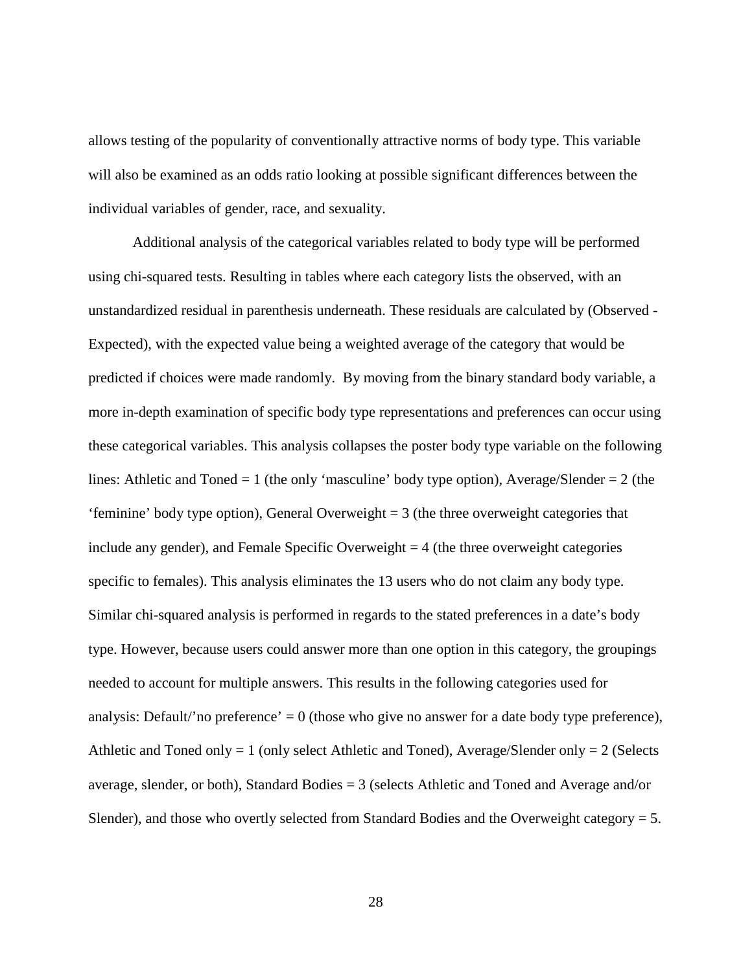allows testing of the popularity of conventionally attractive norms of body type. This variable will also be examined as an odds ratio looking at possible significant differences between the individual variables of gender, race, and sexuality.

Additional analysis of the categorical variables related to body type will be performed using chi-squared tests. Resulting in tables where each category lists the observed, with an unstandardized residual in parenthesis underneath. These residuals are calculated by (Observed - Expected), with the expected value being a weighted average of the category that would be predicted if choices were made randomly. By moving from the binary standard body variable, a more in-depth examination of specific body type representations and preferences can occur using these categorical variables. This analysis collapses the poster body type variable on the following lines: Athletic and Toned  $= 1$  (the only 'masculine' body type option), Average/Slender  $= 2$  (the 'feminine' body type option), General Overweight = 3 (the three overweight categories that include any gender), and Female Specific Overweight  $= 4$  (the three overweight categories specific to females). This analysis eliminates the 13 users who do not claim any body type. Similar chi-squared analysis is performed in regards to the stated preferences in a date's body type. However, because users could answer more than one option in this category, the groupings needed to account for multiple answers. This results in the following categories used for analysis: Default/'no preference' = 0 (those who give no answer for a date body type preference), Athletic and Toned only  $= 1$  (only select Athletic and Toned), Average/Slender only  $= 2$  (Selects average, slender, or both), Standard Bodies = 3 (selects Athletic and Toned and Average and/or Slender), and those who overtly selected from Standard Bodies and the Overweight category = 5.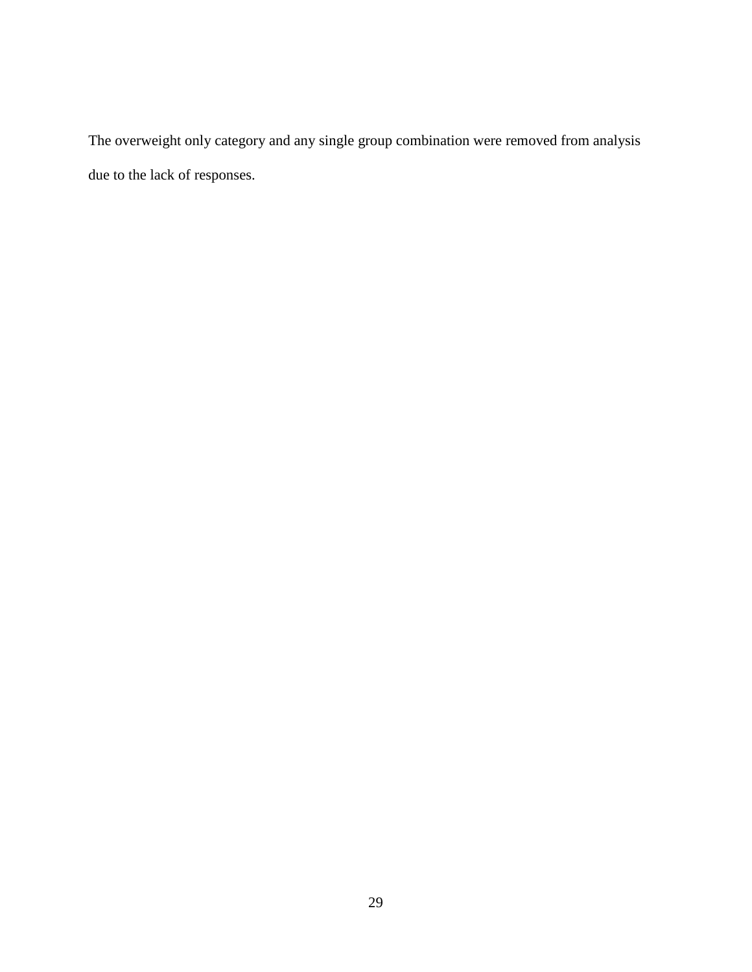The overweight only category and any single group combination were removed from analysis due to the lack of responses.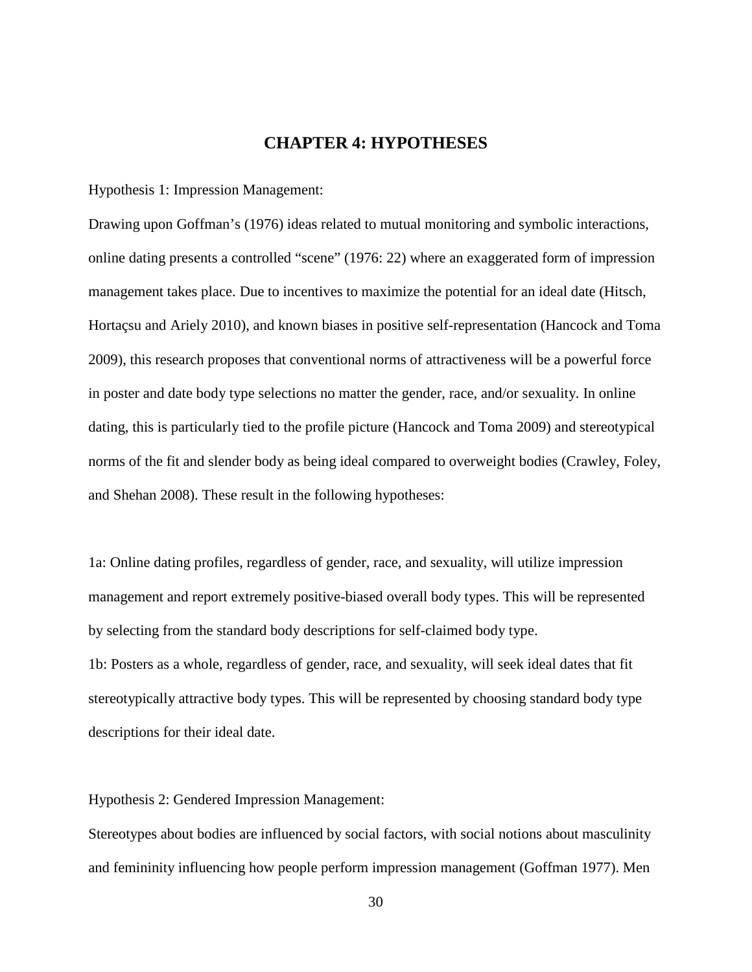## **CHAPTER 4: HYPOTHESES**

<span id="page-35-0"></span>Hypothesis 1: Impression Management:

Drawing upon Goffman's (1976) ideas related to mutual monitoring and symbolic interactions, online dating presents a controlled "scene" (1976: 22) where an exaggerated form of impression management takes place. Due to incentives to maximize the potential for an ideal date (Hitsch, Hortaçsu and Ariely 2010), and known biases in positive self-representation (Hancock and Toma 2009), this research proposes that conventional norms of attractiveness will be a powerful force in poster and date body type selections no matter the gender, race, and/or sexuality. In online dating, this is particularly tied to the profile picture (Hancock and Toma 2009) and stereotypical norms of the fit and slender body as being ideal compared to overweight bodies (Crawley, Foley, and Shehan 2008). These result in the following hypotheses:

1a: Online dating profiles, regardless of gender, race, and sexuality, will utilize impression management and report extremely positive-biased overall body types. This will be represented by selecting from the standard body descriptions for self-claimed body type. 1b: Posters as a whole, regardless of gender, race, and sexuality, will seek ideal dates that fit stereotypically attractive body types. This will be represented by choosing standard body type descriptions for their ideal date.

#### Hypothesis 2: Gendered Impression Management:

Stereotypes about bodies are influenced by social factors, with social notions about masculinity and femininity influencing how people perform impression management (Goffman 1977). Men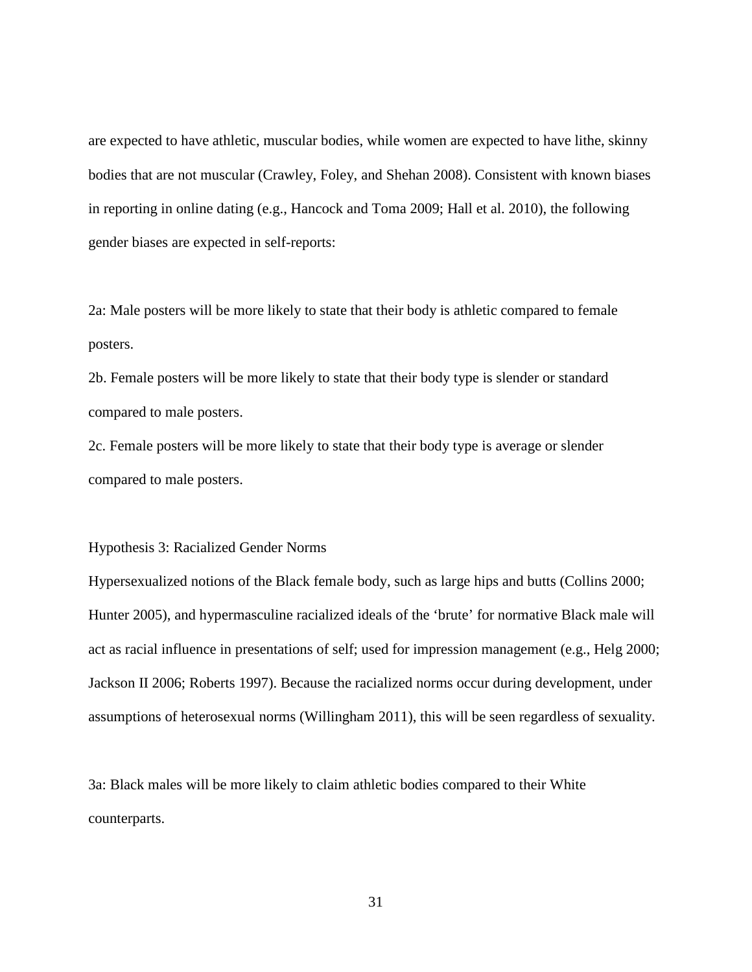are expected to have athletic, muscular bodies, while women are expected to have lithe, skinny bodies that are not muscular (Crawley, Foley, and Shehan 2008). Consistent with known biases in reporting in online dating (e.g., Hancock and Toma 2009; Hall et al. 2010), the following gender biases are expected in self-reports:

2a: Male posters will be more likely to state that their body is athletic compared to female posters.

2b. Female posters will be more likely to state that their body type is slender or standard compared to male posters.

2c. Female posters will be more likely to state that their body type is average or slender compared to male posters.

Hypothesis 3: Racialized Gender Norms

Hypersexualized notions of the Black female body, such as large hips and butts (Collins 2000; Hunter 2005), and hypermasculine racialized ideals of the 'brute' for normative Black male will act as racial influence in presentations of self; used for impression management (e.g., Helg 2000; Jackson II 2006; Roberts 1997). Because the racialized norms occur during development, under assumptions of heterosexual norms (Willingham 2011), this will be seen regardless of sexuality.

3a: Black males will be more likely to claim athletic bodies compared to their White counterparts.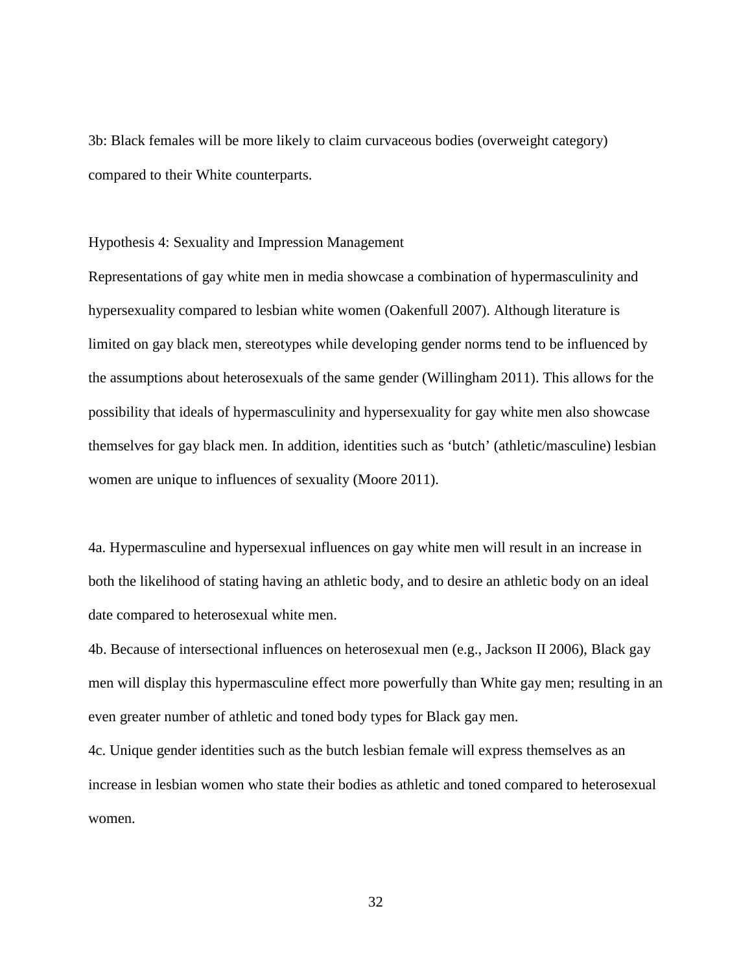3b: Black females will be more likely to claim curvaceous bodies (overweight category) compared to their White counterparts.

Hypothesis 4: Sexuality and Impression Management

Representations of gay white men in media showcase a combination of hypermasculinity and hypersexuality compared to lesbian white women (Oakenfull 2007). Although literature is limited on gay black men, stereotypes while developing gender norms tend to be influenced by the assumptions about heterosexuals of the same gender (Willingham 2011). This allows for the possibility that ideals of hypermasculinity and hypersexuality for gay white men also showcase themselves for gay black men. In addition, identities such as 'butch' (athletic/masculine) lesbian women are unique to influences of sexuality (Moore 2011).

4a. Hypermasculine and hypersexual influences on gay white men will result in an increase in both the likelihood of stating having an athletic body, and to desire an athletic body on an ideal date compared to heterosexual white men.

4b. Because of intersectional influences on heterosexual men (e.g., Jackson II 2006), Black gay men will display this hypermasculine effect more powerfully than White gay men; resulting in an even greater number of athletic and toned body types for Black gay men.

4c. Unique gender identities such as the butch lesbian female will express themselves as an increase in lesbian women who state their bodies as athletic and toned compared to heterosexual women.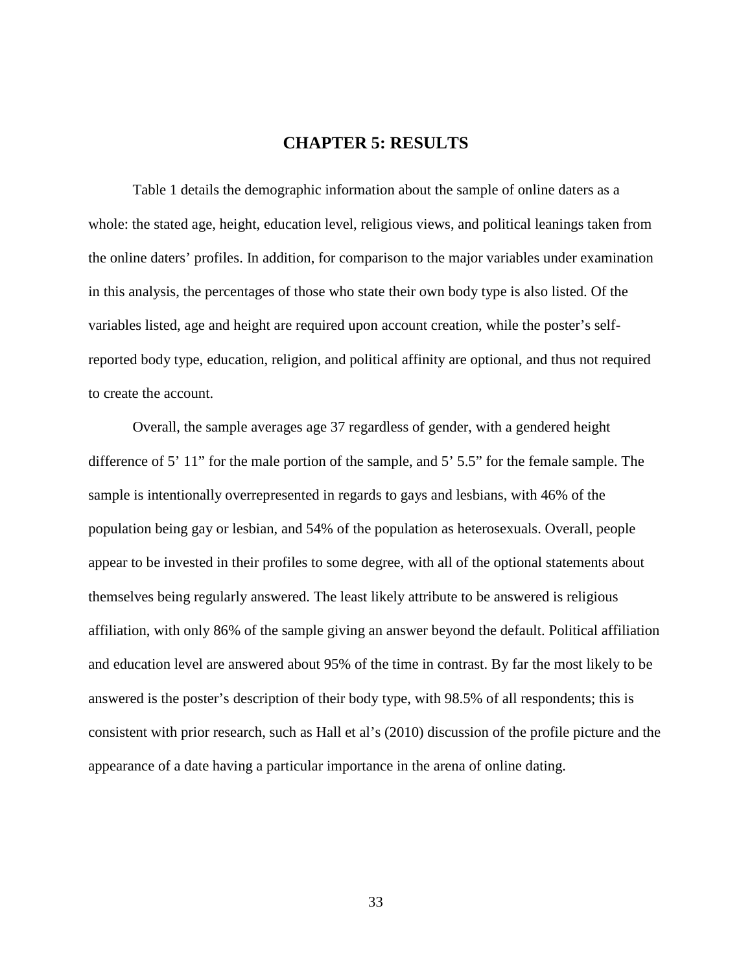## **CHAPTER 5: RESULTS**

<span id="page-38-0"></span>Table 1 details the demographic information about the sample of online daters as a whole: the stated age, height, education level, religious views, and political leanings taken from the online daters' profiles. In addition, for comparison to the major variables under examination in this analysis, the percentages of those who state their own body type is also listed. Of the variables listed, age and height are required upon account creation, while the poster's selfreported body type, education, religion, and political affinity are optional, and thus not required to create the account.

Overall, the sample averages age 37 regardless of gender, with a gendered height difference of 5' 11" for the male portion of the sample, and 5' 5.5" for the female sample. The sample is intentionally overrepresented in regards to gays and lesbians, with 46% of the population being gay or lesbian, and 54% of the population as heterosexuals. Overall, people appear to be invested in their profiles to some degree, with all of the optional statements about themselves being regularly answered. The least likely attribute to be answered is religious affiliation, with only 86% of the sample giving an answer beyond the default. Political affiliation and education level are answered about 95% of the time in contrast. By far the most likely to be answered is the poster's description of their body type, with 98.5% of all respondents; this is consistent with prior research, such as Hall et al's (2010) discussion of the profile picture and the appearance of a date having a particular importance in the arena of online dating.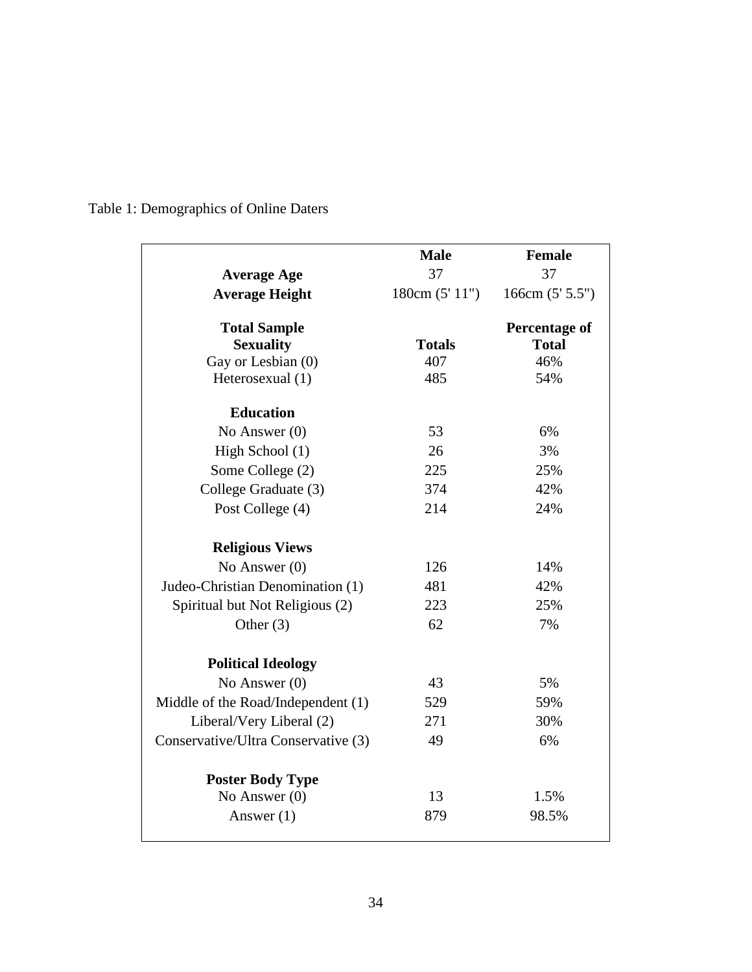|                                     | <b>Male</b>    | <b>Female</b>        |
|-------------------------------------|----------------|----------------------|
| <b>Average Age</b>                  | 37             | 37                   |
| <b>Average Height</b>               | 180cm (5' 11") | 166cm $(5'5.5'')$    |
| <b>Total Sample</b>                 |                | <b>Percentage of</b> |
| <b>Sexuality</b>                    | <b>Totals</b>  | <b>Total</b>         |
| Gay or Lesbian (0)                  | 407            | 46%                  |
| Heterosexual (1)                    | 485            | 54%                  |
| <b>Education</b>                    |                |                      |
| No Answer $(0)$                     | 53             | 6%                   |
| High School (1)                     | 26             | 3%                   |
| Some College (2)                    | 225            | 25%                  |
| College Graduate (3)                | 374            | 42%                  |
| Post College (4)                    | 214            | 24%                  |
| <b>Religious Views</b>              |                |                      |
| No Answer $(0)$                     | 126            | 14%                  |
| Judeo-Christian Denomination (1)    | 481            | 42%                  |
| Spiritual but Not Religious (2)     | 223            | 25%                  |
| Other $(3)$                         | 62             | 7%                   |
| <b>Political Ideology</b>           |                |                      |
| No Answer $(0)$                     | 43             | 5%                   |
| Middle of the Road/Independent (1)  | 529            | 59%                  |
| Liberal/Very Liberal (2)            | 271            | 30%                  |
| Conservative/Ultra Conservative (3) | 49             | 6%                   |
| <b>Poster Body Type</b>             |                |                      |
| No Answer $(0)$                     | 13             | 1.5%                 |
| Answer $(1)$                        | 879            | 98.5%                |

<span id="page-39-0"></span>Table 1: Demographics of Online Daters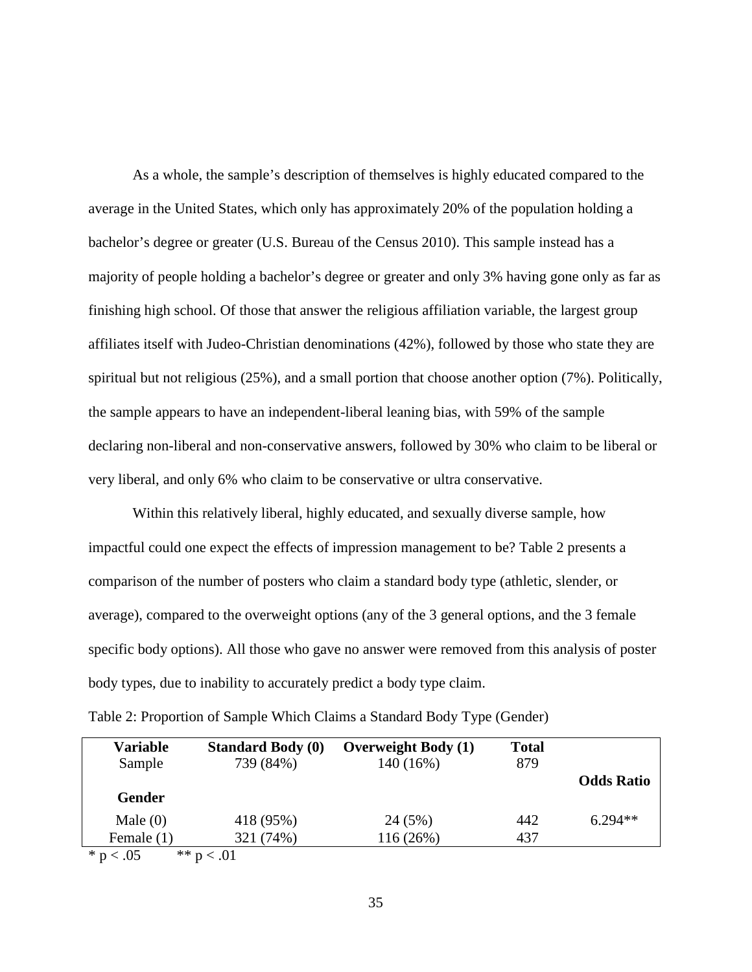As a whole, the sample's description of themselves is highly educated compared to the average in the United States, which only has approximately 20% of the population holding a bachelor's degree or greater (U.S. Bureau of the Census 2010). This sample instead has a majority of people holding a bachelor's degree or greater and only 3% having gone only as far as finishing high school. Of those that answer the religious affiliation variable, the largest group affiliates itself with Judeo-Christian denominations (42%), followed by those who state they are spiritual but not religious (25%), and a small portion that choose another option (7%). Politically, the sample appears to have an independent-liberal leaning bias, with 59% of the sample declaring non-liberal and non-conservative answers, followed by 30% who claim to be liberal or very liberal, and only 6% who claim to be conservative or ultra conservative.

Within this relatively liberal, highly educated, and sexually diverse sample, how impactful could one expect the effects of impression management to be? Table 2 presents a comparison of the number of posters who claim a standard body type (athletic, slender, or average), compared to the overweight options (any of the 3 general options, and the 3 female specific body options). All those who gave no answer were removed from this analysis of poster body types, due to inability to accurately predict a body type claim.

| <b>Variable</b><br>Sample                 | <b>Standard Body (0)</b><br>739 (84%) | <b>Overweight Body (1)</b><br>140 (16%) | <b>Total</b><br>879 | <b>Odds Ratio</b> |
|-------------------------------------------|---------------------------------------|-----------------------------------------|---------------------|-------------------|
| <b>Gender</b><br>Male $(0)$<br>Female (1) | 418 (95%)<br>321 (74%)                | 24 (5%)<br>116 (26%)                    | 442<br>437          | $6.294**$         |
| * $p < .05$                               | ** $p < .01$                          |                                         |                     |                   |

<span id="page-40-0"></span>

|  | Table 2: Proportion of Sample Which Claims a Standard Body Type (Gender) |  |
|--|--------------------------------------------------------------------------|--|
|  |                                                                          |  |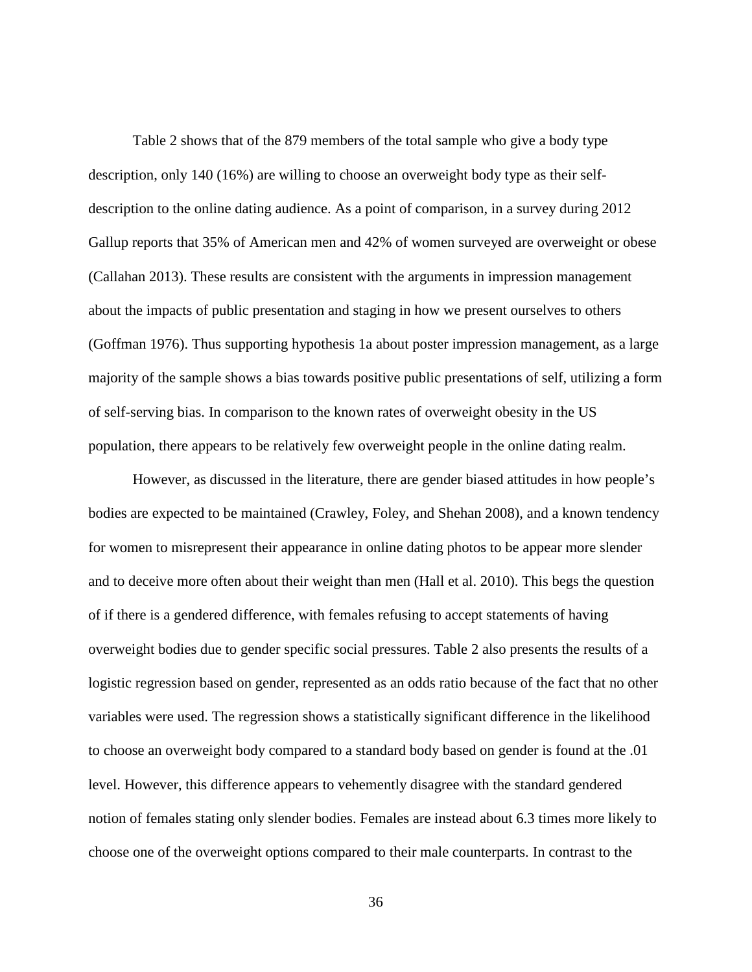Table 2 shows that of the 879 members of the total sample who give a body type description, only 140 (16%) are willing to choose an overweight body type as their selfdescription to the online dating audience. As a point of comparison, in a survey during 2012 Gallup reports that 35% of American men and 42% of women surveyed are overweight or obese (Callahan 2013). These results are consistent with the arguments in impression management about the impacts of public presentation and staging in how we present ourselves to others (Goffman 1976). Thus supporting hypothesis 1a about poster impression management, as a large majority of the sample shows a bias towards positive public presentations of self, utilizing a form of self-serving bias. In comparison to the known rates of overweight obesity in the US population, there appears to be relatively few overweight people in the online dating realm.

However, as discussed in the literature, there are gender biased attitudes in how people's bodies are expected to be maintained (Crawley, Foley, and Shehan 2008), and a known tendency for women to misrepresent their appearance in online dating photos to be appear more slender and to deceive more often about their weight than men (Hall et al. 2010). This begs the question of if there is a gendered difference, with females refusing to accept statements of having overweight bodies due to gender specific social pressures. Table 2 also presents the results of a logistic regression based on gender, represented as an odds ratio because of the fact that no other variables were used. The regression shows a statistically significant difference in the likelihood to choose an overweight body compared to a standard body based on gender is found at the .01 level. However, this difference appears to vehemently disagree with the standard gendered notion of females stating only slender bodies. Females are instead about 6.3 times more likely to choose one of the overweight options compared to their male counterparts. In contrast to the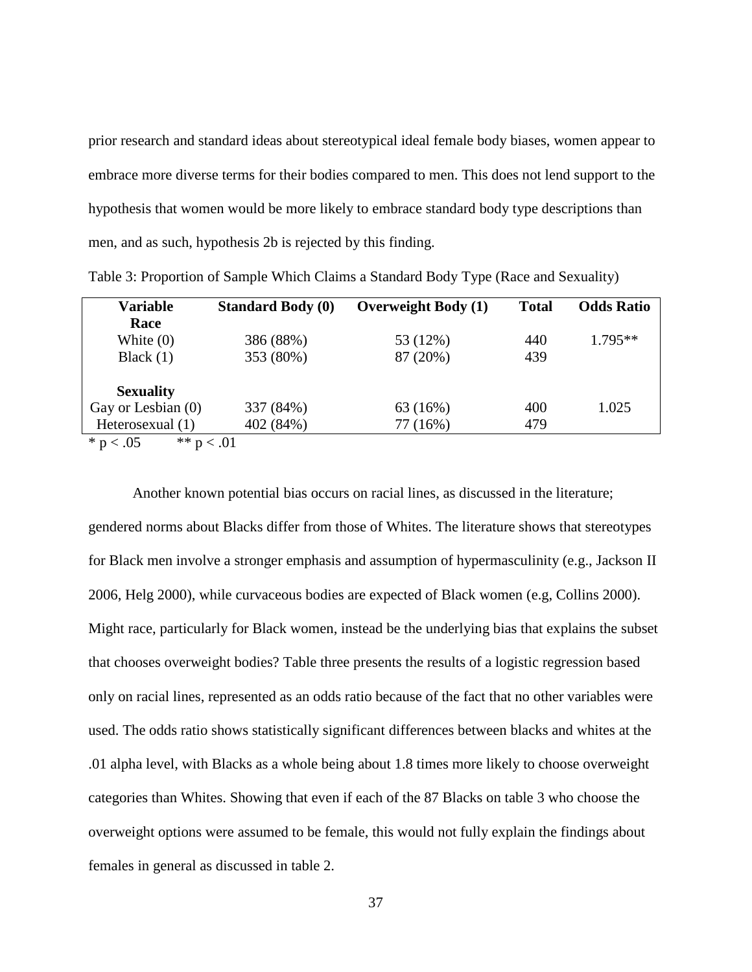prior research and standard ideas about stereotypical ideal female body biases, women appear to embrace more diverse terms for their bodies compared to men. This does not lend support to the hypothesis that women would be more likely to embrace standard body type descriptions than men, and as such, hypothesis 2b is rejected by this finding.

| <b>Variable</b>           | <b>Standard Body (0)</b> | <b>Overweight Body (1)</b> | <b>Total</b> | <b>Odds Ratio</b> |
|---------------------------|--------------------------|----------------------------|--------------|-------------------|
| Race                      |                          |                            |              |                   |
| White $(0)$               | 386 (88%)                | 53 (12%)                   | 440          | $1.795**$         |
| Black $(1)$               | 353 (80%)                | 87 (20%)                   | 439          |                   |
| <b>Sexuality</b>          |                          |                            |              |                   |
| Gay or Lesbian (0)        | 337 (84%)                | 63 (16%)                   | 400          | 1.025             |
| Heterosexual (1)          | 402 (84%)                | 77 (16%)                   | 479          |                   |
| ** $n < 01$<br>$* n < 05$ |                          |                            |              |                   |

<span id="page-42-0"></span>Table 3: Proportion of Sample Which Claims a Standard Body Type (Race and Sexuality)

 $p < .05$  \*\*  $p < .01$ 

Another known potential bias occurs on racial lines, as discussed in the literature; gendered norms about Blacks differ from those of Whites. The literature shows that stereotypes for Black men involve a stronger emphasis and assumption of hypermasculinity (e.g., Jackson II 2006, Helg 2000), while curvaceous bodies are expected of Black women (e.g, Collins 2000). Might race, particularly for Black women, instead be the underlying bias that explains the subset that chooses overweight bodies? Table three presents the results of a logistic regression based only on racial lines, represented as an odds ratio because of the fact that no other variables were used. The odds ratio shows statistically significant differences between blacks and whites at the .01 alpha level, with Blacks as a whole being about 1.8 times more likely to choose overweight categories than Whites. Showing that even if each of the 87 Blacks on table 3 who choose the overweight options were assumed to be female, this would not fully explain the findings about females in general as discussed in table 2.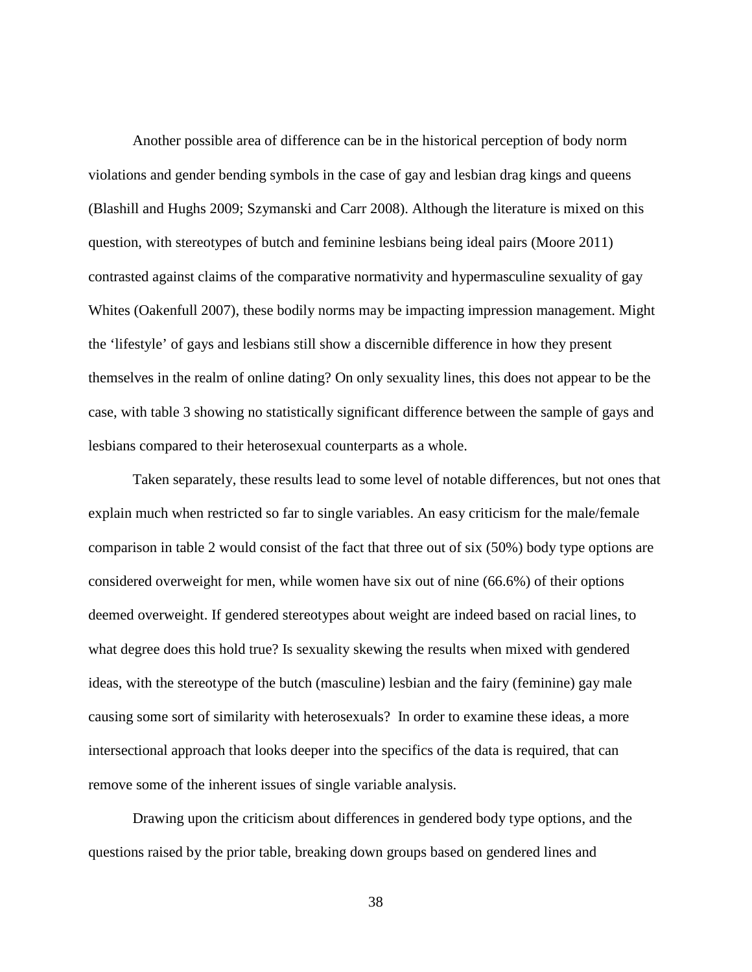Another possible area of difference can be in the historical perception of body norm violations and gender bending symbols in the case of gay and lesbian drag kings and queens (Blashill and Hughs 2009; Szymanski and Carr 2008). Although the literature is mixed on this question, with stereotypes of butch and feminine lesbians being ideal pairs (Moore 2011) contrasted against claims of the comparative normativity and hypermasculine sexuality of gay Whites (Oakenfull 2007), these bodily norms may be impacting impression management. Might the 'lifestyle' of gays and lesbians still show a discernible difference in how they present themselves in the realm of online dating? On only sexuality lines, this does not appear to be the case, with table 3 showing no statistically significant difference between the sample of gays and lesbians compared to their heterosexual counterparts as a whole.

Taken separately, these results lead to some level of notable differences, but not ones that explain much when restricted so far to single variables. An easy criticism for the male/female comparison in table 2 would consist of the fact that three out of six (50%) body type options are considered overweight for men, while women have six out of nine (66.6%) of their options deemed overweight. If gendered stereotypes about weight are indeed based on racial lines, to what degree does this hold true? Is sexuality skewing the results when mixed with gendered ideas, with the stereotype of the butch (masculine) lesbian and the fairy (feminine) gay male causing some sort of similarity with heterosexuals? In order to examine these ideas, a more intersectional approach that looks deeper into the specifics of the data is required, that can remove some of the inherent issues of single variable analysis.

Drawing upon the criticism about differences in gendered body type options, and the questions raised by the prior table, breaking down groups based on gendered lines and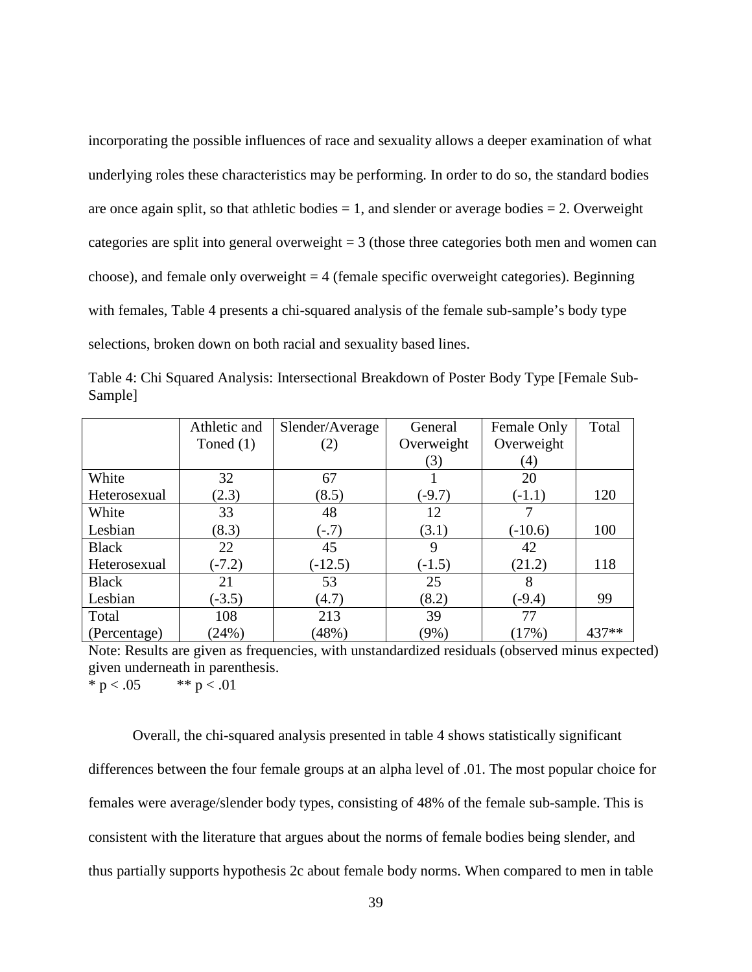incorporating the possible influences of race and sexuality allows a deeper examination of what underlying roles these characteristics may be performing. In order to do so, the standard bodies are once again split, so that athletic bodies  $= 1$ , and slender or average bodies  $= 2$ . Overweight categories are split into general overweight  $= 3$  (those three categories both men and women can choose), and female only overweight  $= 4$  (female specific overweight categories). Beginning with females, Table 4 presents a chi-squared analysis of the female sub-sample's body type selections, broken down on both racial and sexuality based lines.

|              | Athletic and | Slender/Average | General    | Female Only | Total |
|--------------|--------------|-----------------|------------|-------------|-------|
|              | Toned $(1)$  | (2)             | Overweight | Overweight  |       |
|              |              |                 | (3)        | (4)         |       |
| White        | 32           | 67              |            | 20          |       |
| Heterosexual | (2.3)        | (8.5)           | $(-9.7)$   | $(-1.1)$    | 120   |
| White        | 33           | 48              | 12         |             |       |
| Lesbian      | (8.3)        | $(-.7)$         | (3.1)      | $(-10.6)$   | 100   |
| <b>Black</b> | 22           | 45              | 9          | 42          |       |
| Heterosexual | $(-7.2)$     | $(-12.5)$       | $(-1.5)$   | (21.2)      | 118   |
| <b>Black</b> | 21           | 53              | 25         | 8           |       |
| Lesbian      | $(-3.5)$     | (4.7)           | (8.2)      | $(-9.4)$    | 99    |
| Total        | 108          | 213             | 39         | 77          |       |
| (Percentage) | (24%)        | (48%)           | $(9\%)$    | (17%)       | 437** |

<span id="page-44-0"></span>Table 4: Chi Squared Analysis: Intersectional Breakdown of Poster Body Type [Female Sub-Sample]

Note: Results are given as frequencies, with unstandardized residuals (observed minus expected) given underneath in parenthesis. \* p < .05  $*$  \* p < .01

Overall, the chi-squared analysis presented in table 4 shows statistically significant differences between the four female groups at an alpha level of .01. The most popular choice for females were average/slender body types, consisting of 48% of the female sub-sample. This is consistent with the literature that argues about the norms of female bodies being slender, and thus partially supports hypothesis 2c about female body norms. When compared to men in table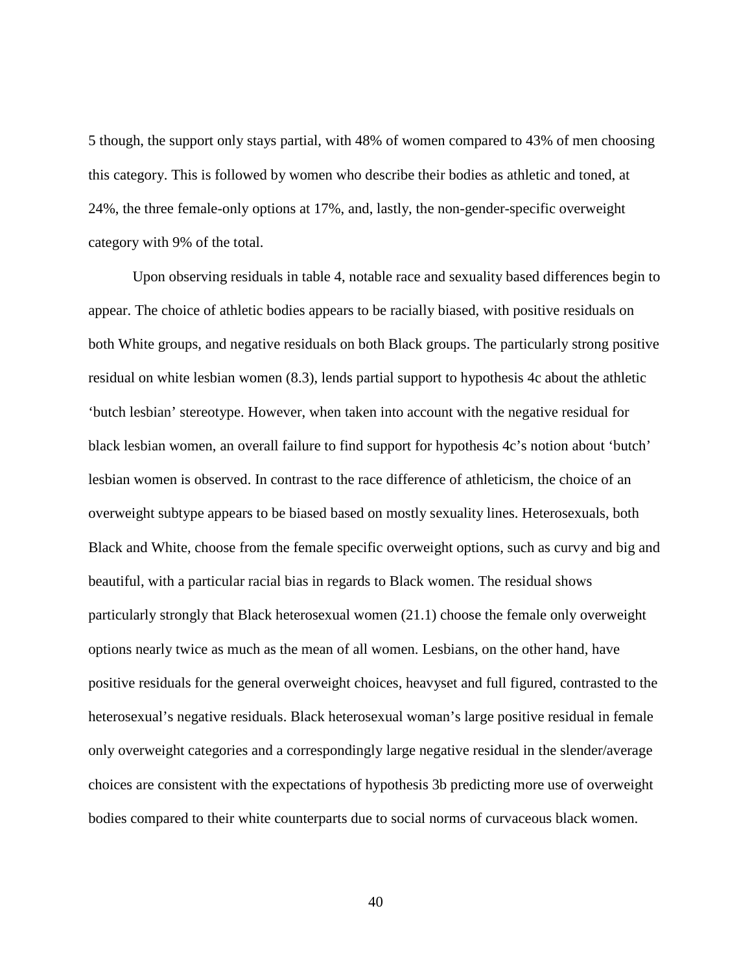5 though, the support only stays partial, with 48% of women compared to 43% of men choosing this category. This is followed by women who describe their bodies as athletic and toned, at 24%, the three female-only options at 17%, and, lastly, the non-gender-specific overweight category with 9% of the total.

Upon observing residuals in table 4, notable race and sexuality based differences begin to appear. The choice of athletic bodies appears to be racially biased, with positive residuals on both White groups, and negative residuals on both Black groups. The particularly strong positive residual on white lesbian women (8.3), lends partial support to hypothesis 4c about the athletic 'butch lesbian' stereotype. However, when taken into account with the negative residual for black lesbian women, an overall failure to find support for hypothesis 4c's notion about 'butch' lesbian women is observed. In contrast to the race difference of athleticism, the choice of an overweight subtype appears to be biased based on mostly sexuality lines. Heterosexuals, both Black and White, choose from the female specific overweight options, such as curvy and big and beautiful, with a particular racial bias in regards to Black women. The residual shows particularly strongly that Black heterosexual women (21.1) choose the female only overweight options nearly twice as much as the mean of all women. Lesbians, on the other hand, have positive residuals for the general overweight choices, heavyset and full figured, contrasted to the heterosexual's negative residuals. Black heterosexual woman's large positive residual in female only overweight categories and a correspondingly large negative residual in the slender/average choices are consistent with the expectations of hypothesis 3b predicting more use of overweight bodies compared to their white counterparts due to social norms of curvaceous black women.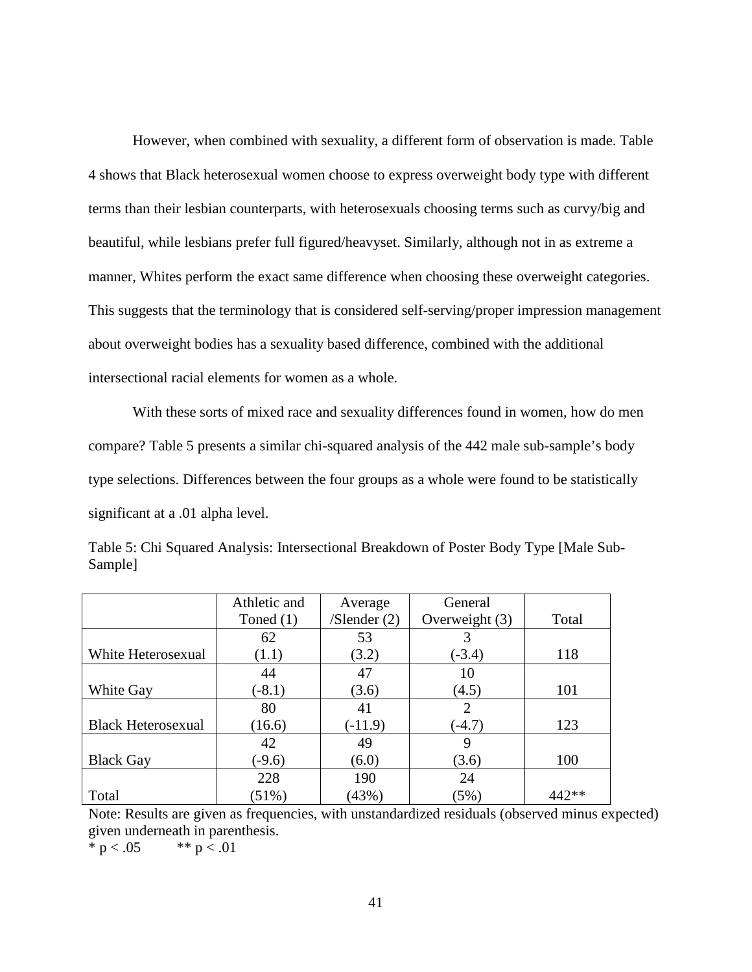However, when combined with sexuality, a different form of observation is made. Table 4 shows that Black heterosexual women choose to express overweight body type with different terms than their lesbian counterparts, with heterosexuals choosing terms such as curvy/big and beautiful, while lesbians prefer full figured/heavyset. Similarly, although not in as extreme a manner, Whites perform the exact same difference when choosing these overweight categories. This suggests that the terminology that is considered self-serving/proper impression management about overweight bodies has a sexuality based difference, combined with the additional intersectional racial elements for women as a whole.

With these sorts of mixed race and sexuality differences found in women, how do men compare? Table 5 presents a similar chi-squared analysis of the 442 male sub-sample's body type selections. Differences between the four groups as a whole were found to be statistically significant at a .01 alpha level.

|                           | Athletic and | Average           | General        |       |
|---------------------------|--------------|-------------------|----------------|-------|
|                           | Toned $(1)$  | $/$ Slender $(2)$ | Overweight (3) | Total |
|                           | 62           | 53                | 3              |       |
| White Heterosexual        | (1.1)        | (3.2)             | $(-3.4)$       | 118   |
|                           | 44           | 47                | 10             |       |
| White Gay                 | $(-8.1)$     | (3.6)             | (4.5)          | 101   |
|                           | 80           | 41                | 2              |       |
| <b>Black Heterosexual</b> | (16.6)       | $(-11.9)$         | $(-4.7)$       | 123   |
|                           | 42           | 49                | 9              |       |
| <b>Black Gay</b>          | $(-9.6)$     | (6.0)             | (3.6)          | 100   |
|                           | 228          | 190               | 24             |       |
| Total                     | (51%)        | (43%)             | (5%)           | 442** |

<span id="page-46-0"></span>Table 5: Chi Squared Analysis: Intersectional Breakdown of Poster Body Type [Male Sub-Sample]

Note: Results are given as frequencies, with unstandardized residuals (observed minus expected) given underneath in parenthesis.

\* p < .05  $*$  \* p < .01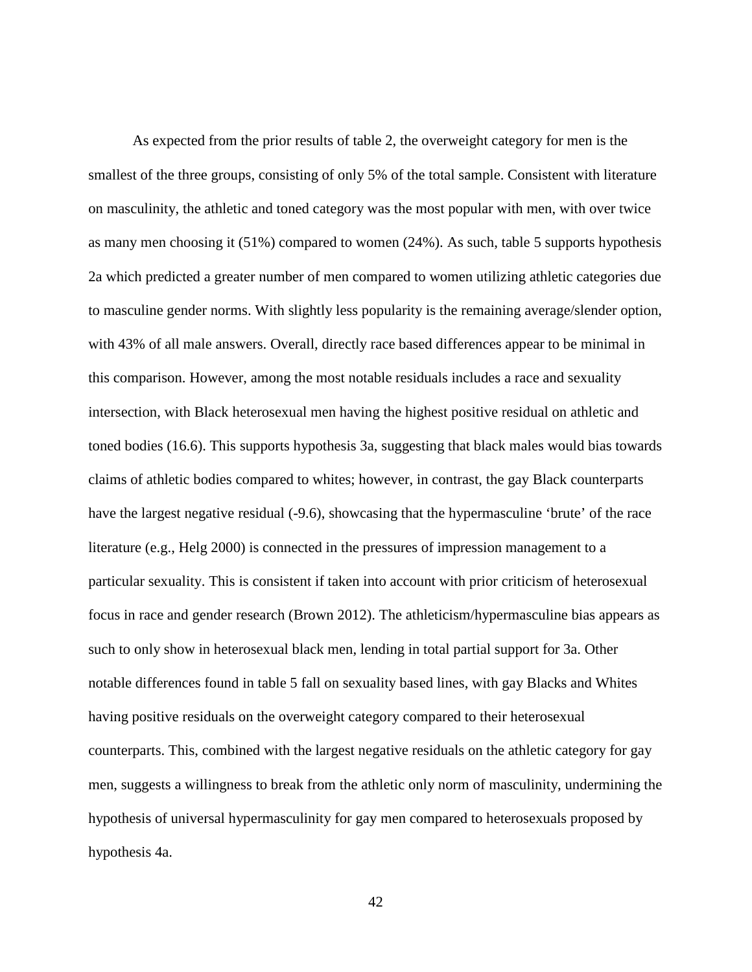As expected from the prior results of table 2, the overweight category for men is the smallest of the three groups, consisting of only 5% of the total sample. Consistent with literature on masculinity, the athletic and toned category was the most popular with men, with over twice as many men choosing it (51%) compared to women (24%). As such, table 5 supports hypothesis 2a which predicted a greater number of men compared to women utilizing athletic categories due to masculine gender norms. With slightly less popularity is the remaining average/slender option, with 43% of all male answers. Overall, directly race based differences appear to be minimal in this comparison. However, among the most notable residuals includes a race and sexuality intersection, with Black heterosexual men having the highest positive residual on athletic and toned bodies (16.6). This supports hypothesis 3a, suggesting that black males would bias towards claims of athletic bodies compared to whites; however, in contrast, the gay Black counterparts have the largest negative residual (-9.6), showcasing that the hypermasculine 'brute' of the race literature (e.g., Helg 2000) is connected in the pressures of impression management to a particular sexuality. This is consistent if taken into account with prior criticism of heterosexual focus in race and gender research (Brown 2012). The athleticism/hypermasculine bias appears as such to only show in heterosexual black men, lending in total partial support for 3a. Other notable differences found in table 5 fall on sexuality based lines, with gay Blacks and Whites having positive residuals on the overweight category compared to their heterosexual counterparts. This, combined with the largest negative residuals on the athletic category for gay men, suggests a willingness to break from the athletic only norm of masculinity, undermining the hypothesis of universal hypermasculinity for gay men compared to heterosexuals proposed by hypothesis 4a.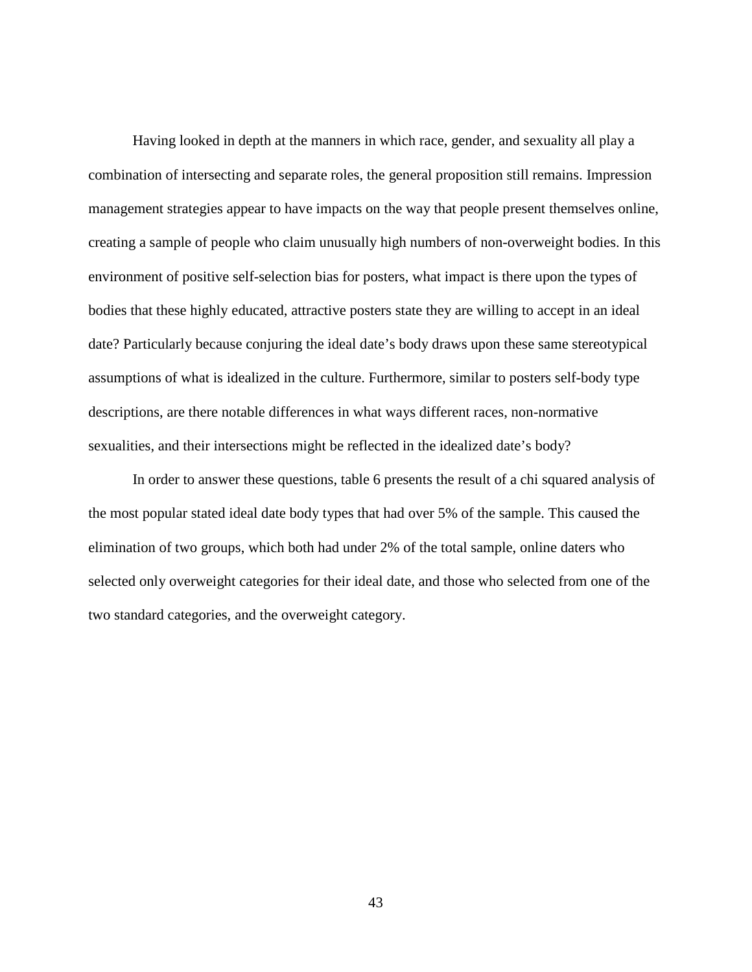Having looked in depth at the manners in which race, gender, and sexuality all play a combination of intersecting and separate roles, the general proposition still remains. Impression management strategies appear to have impacts on the way that people present themselves online, creating a sample of people who claim unusually high numbers of non-overweight bodies. In this environment of positive self-selection bias for posters, what impact is there upon the types of bodies that these highly educated, attractive posters state they are willing to accept in an ideal date? Particularly because conjuring the ideal date's body draws upon these same stereotypical assumptions of what is idealized in the culture. Furthermore, similar to posters self-body type descriptions, are there notable differences in what ways different races, non-normative sexualities, and their intersections might be reflected in the idealized date's body?

In order to answer these questions, table 6 presents the result of a chi squared analysis of the most popular stated ideal date body types that had over 5% of the sample. This caused the elimination of two groups, which both had under 2% of the total sample, online daters who selected only overweight categories for their ideal date, and those who selected from one of the two standard categories, and the overweight category.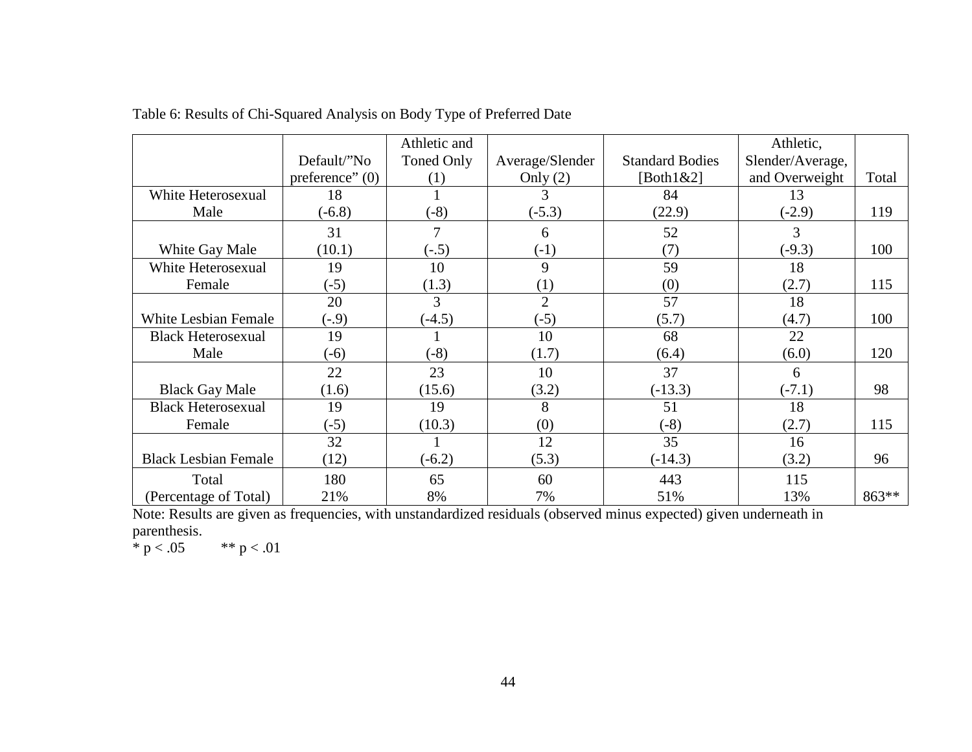|                             |                   | Athletic and |                 |                        | Athletic,        |       |
|-----------------------------|-------------------|--------------|-----------------|------------------------|------------------|-------|
|                             | Default/"No       | Toned Only   | Average/Slender | <b>Standard Bodies</b> | Slender/Average, |       |
|                             | preference" $(0)$ | (1)          | Only $(2)$      | [Both $1&2$ ]          | and Overweight   | Total |
| White Heterosexual          | 18                |              | 3               | 84                     | 13               |       |
| Male                        | $(-6.8)$          | $(-8)$       | $(-5.3)$        | (22.9)                 | $(-2.9)$         | 119   |
|                             | 31                |              | 6               | 52                     | 3                |       |
| White Gay Male              | (10.1)            | $(-.5)$      | $(-1)$          | (7)                    | $(-9.3)$         | 100   |
| White Heterosexual          | 19                | 10           | 9               | 59                     | 18               |       |
| Female                      | $(-5)$            | (1.3)        | (1)             | (0)                    | (2.7)            | 115   |
|                             | 20                | 3            | $\overline{2}$  | 57                     | 18               |       |
| <b>White Lesbian Female</b> | $(-.9)$           | $(-4.5)$     | $(-5)$          | (5.7)                  | (4.7)            | 100   |
| <b>Black Heterosexual</b>   | 19                |              | 10              | 68                     | 22               |       |
| Male                        | $(-6)$            | $(-8)$       | (1.7)           | (6.4)                  | (6.0)            | 120   |
|                             | 22                | 23           | 10              | 37                     | 6                |       |
| <b>Black Gay Male</b>       | (1.6)             | (15.6)       | (3.2)           | $(-13.3)$              | $(-7.1)$         | 98    |
| <b>Black Heterosexual</b>   | 19                | 19           | 8               | 51                     | 18               |       |
| Female                      | $(-5)$            | (10.3)       | (0)             | $(-8)$                 | (2.7)            | 115   |
|                             | 32                |              | 12              | 35                     | 16               |       |
| <b>Black Lesbian Female</b> | (12)              | $(-6.2)$     | (5.3)           | $(-14.3)$              | (3.2)            | 96    |
| Total                       | 180               | 65           | 60              | 443                    | 115              |       |
| (Percentage of Total)       | 21%               | 8%           | 7%              | 51%                    | 13%              | 863** |

Table 6: Results of Chi-Squared Analysis on Body Type of Preferred Date

<span id="page-49-0"></span>Note: Results are given as frequencies, with unstandardized residuals (observed minus expected) given underneath in parenthesis.<br>\*  $p < .05$ 

\*\*  $p < .01$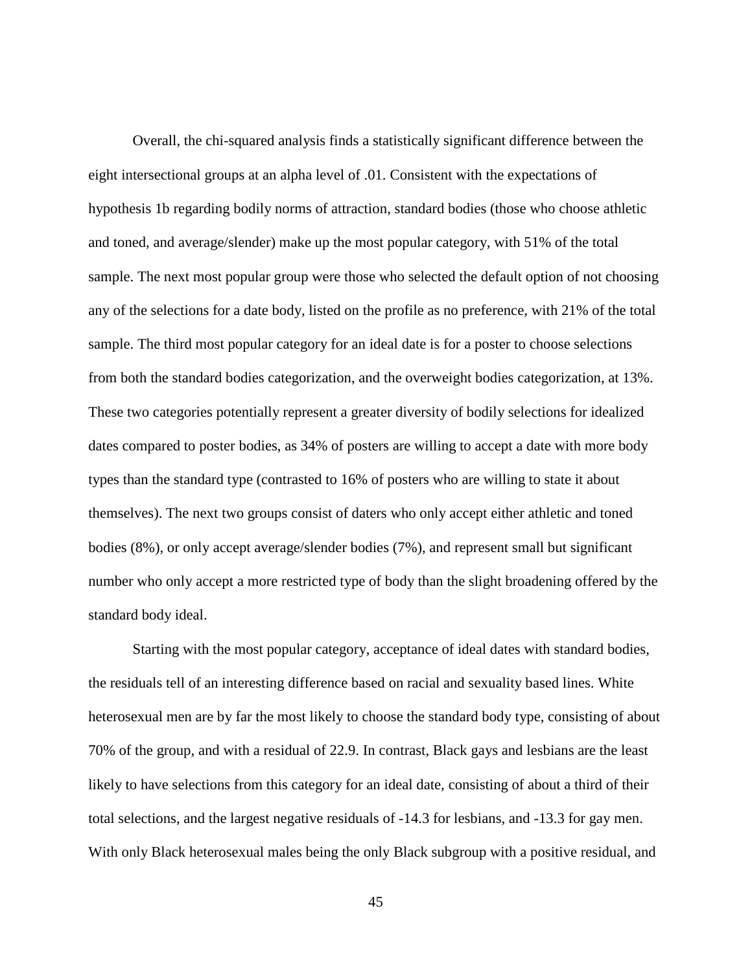Overall, the chi-squared analysis finds a statistically significant difference between the eight intersectional groups at an alpha level of .01. Consistent with the expectations of hypothesis 1b regarding bodily norms of attraction, standard bodies (those who choose athletic and toned, and average/slender) make up the most popular category, with 51% of the total sample. The next most popular group were those who selected the default option of not choosing any of the selections for a date body, listed on the profile as no preference, with 21% of the total sample. The third most popular category for an ideal date is for a poster to choose selections from both the standard bodies categorization, and the overweight bodies categorization, at 13%. These two categories potentially represent a greater diversity of bodily selections for idealized dates compared to poster bodies, as 34% of posters are willing to accept a date with more body types than the standard type (contrasted to 16% of posters who are willing to state it about themselves). The next two groups consist of daters who only accept either athletic and toned bodies (8%), or only accept average/slender bodies (7%), and represent small but significant number who only accept a more restricted type of body than the slight broadening offered by the standard body ideal.

Starting with the most popular category, acceptance of ideal dates with standard bodies, the residuals tell of an interesting difference based on racial and sexuality based lines. White heterosexual men are by far the most likely to choose the standard body type, consisting of about 70% of the group, and with a residual of 22.9. In contrast, Black gays and lesbians are the least likely to have selections from this category for an ideal date, consisting of about a third of their total selections, and the largest negative residuals of -14.3 for lesbians, and -13.3 for gay men. With only Black heterosexual males being the only Black subgroup with a positive residual, and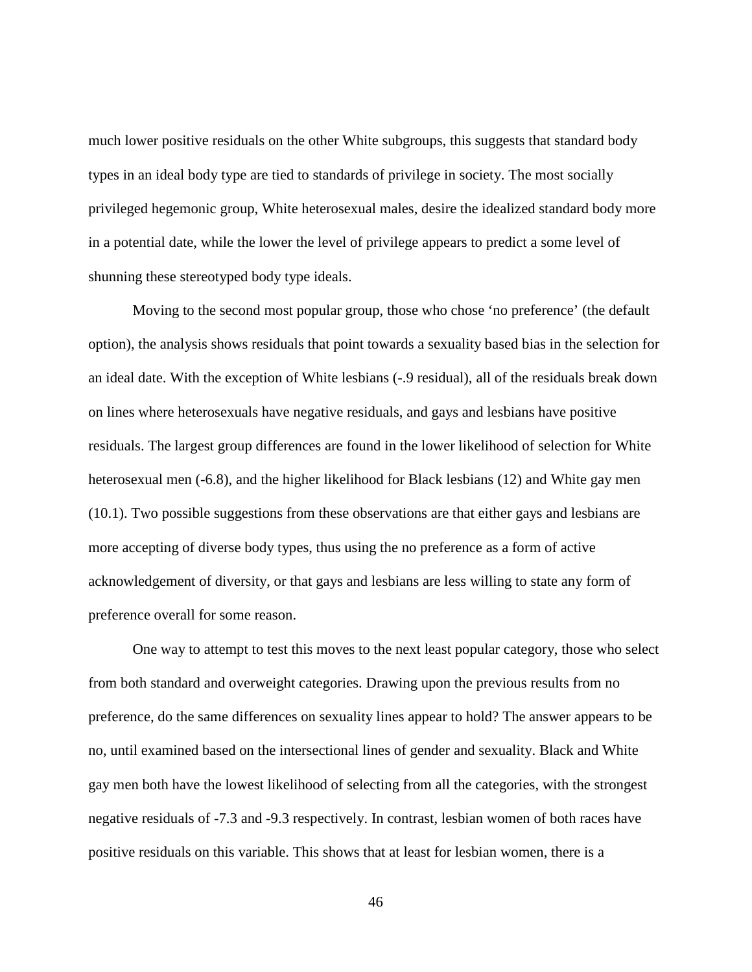much lower positive residuals on the other White subgroups, this suggests that standard body types in an ideal body type are tied to standards of privilege in society. The most socially privileged hegemonic group, White heterosexual males, desire the idealized standard body more in a potential date, while the lower the level of privilege appears to predict a some level of shunning these stereotyped body type ideals.

Moving to the second most popular group, those who chose 'no preference' (the default option), the analysis shows residuals that point towards a sexuality based bias in the selection for an ideal date. With the exception of White lesbians (-.9 residual), all of the residuals break down on lines where heterosexuals have negative residuals, and gays and lesbians have positive residuals. The largest group differences are found in the lower likelihood of selection for White heterosexual men (-6.8), and the higher likelihood for Black lesbians (12) and White gay men (10.1). Two possible suggestions from these observations are that either gays and lesbians are more accepting of diverse body types, thus using the no preference as a form of active acknowledgement of diversity, or that gays and lesbians are less willing to state any form of preference overall for some reason.

One way to attempt to test this moves to the next least popular category, those who select from both standard and overweight categories. Drawing upon the previous results from no preference, do the same differences on sexuality lines appear to hold? The answer appears to be no, until examined based on the intersectional lines of gender and sexuality. Black and White gay men both have the lowest likelihood of selecting from all the categories, with the strongest negative residuals of -7.3 and -9.3 respectively. In contrast, lesbian women of both races have positive residuals on this variable. This shows that at least for lesbian women, there is a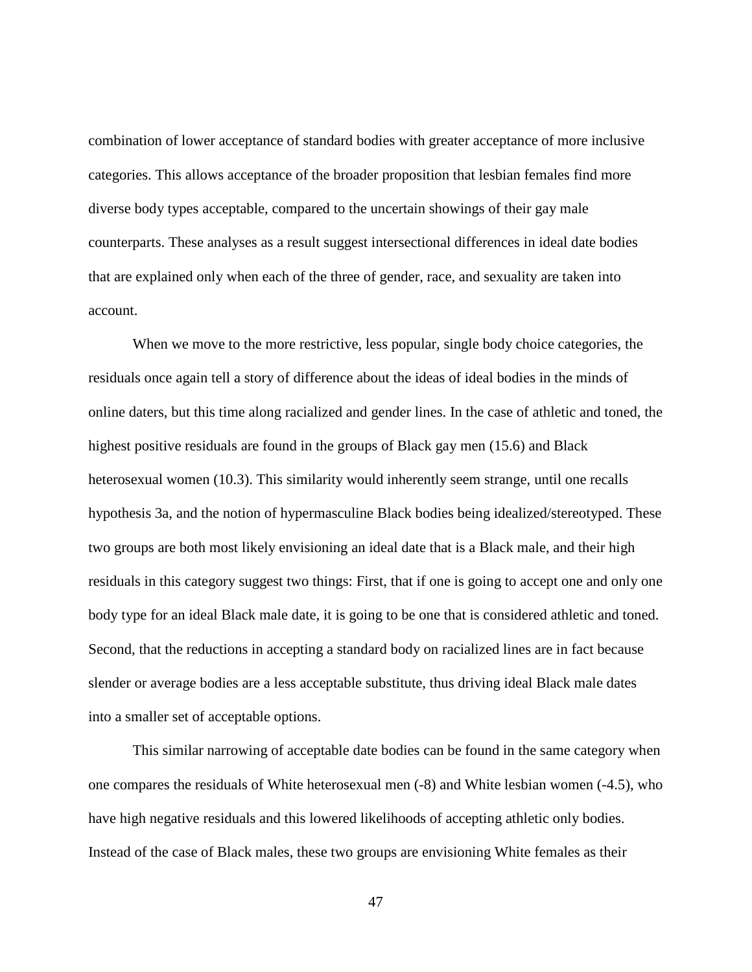combination of lower acceptance of standard bodies with greater acceptance of more inclusive categories. This allows acceptance of the broader proposition that lesbian females find more diverse body types acceptable, compared to the uncertain showings of their gay male counterparts. These analyses as a result suggest intersectional differences in ideal date bodies that are explained only when each of the three of gender, race, and sexuality are taken into account.

When we move to the more restrictive, less popular, single body choice categories, the residuals once again tell a story of difference about the ideas of ideal bodies in the minds of online daters, but this time along racialized and gender lines. In the case of athletic and toned, the highest positive residuals are found in the groups of Black gay men (15.6) and Black heterosexual women (10.3). This similarity would inherently seem strange, until one recalls hypothesis 3a, and the notion of hypermasculine Black bodies being idealized/stereotyped. These two groups are both most likely envisioning an ideal date that is a Black male, and their high residuals in this category suggest two things: First, that if one is going to accept one and only one body type for an ideal Black male date, it is going to be one that is considered athletic and toned. Second, that the reductions in accepting a standard body on racialized lines are in fact because slender or average bodies are a less acceptable substitute, thus driving ideal Black male dates into a smaller set of acceptable options.

This similar narrowing of acceptable date bodies can be found in the same category when one compares the residuals of White heterosexual men (-8) and White lesbian women (-4.5), who have high negative residuals and this lowered likelihoods of accepting athletic only bodies. Instead of the case of Black males, these two groups are envisioning White females as their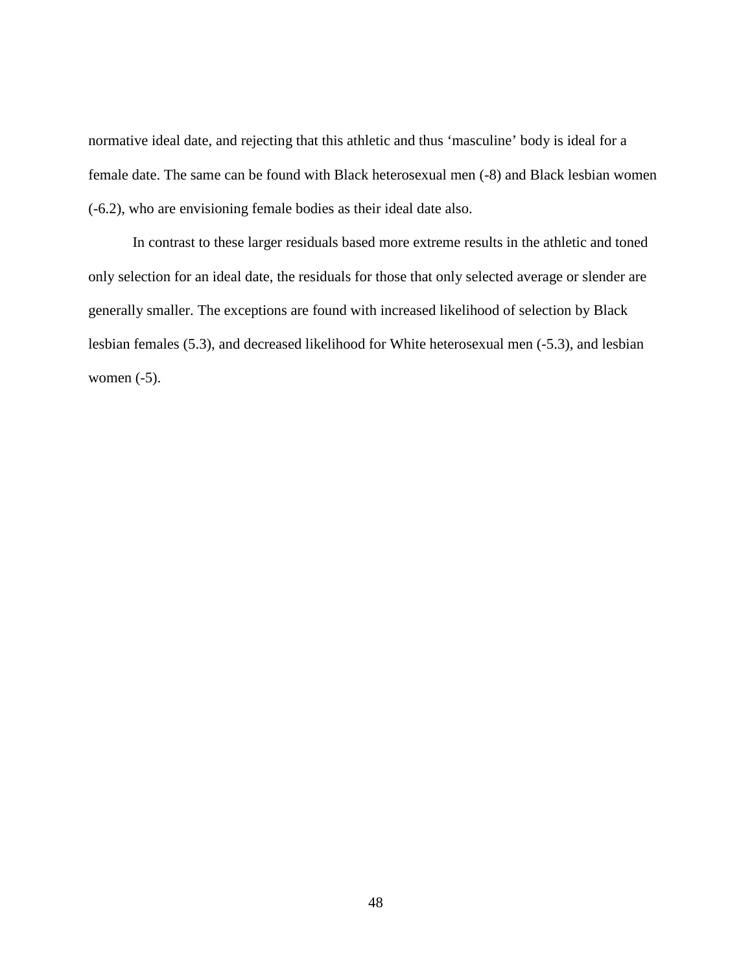normative ideal date, and rejecting that this athletic and thus 'masculine' body is ideal for a female date. The same can be found with Black heterosexual men (-8) and Black lesbian women (-6.2), who are envisioning female bodies as their ideal date also.

In contrast to these larger residuals based more extreme results in the athletic and toned only selection for an ideal date, the residuals for those that only selected average or slender are generally smaller. The exceptions are found with increased likelihood of selection by Black lesbian females (5.3), and decreased likelihood for White heterosexual men (-5.3), and lesbian women (-5).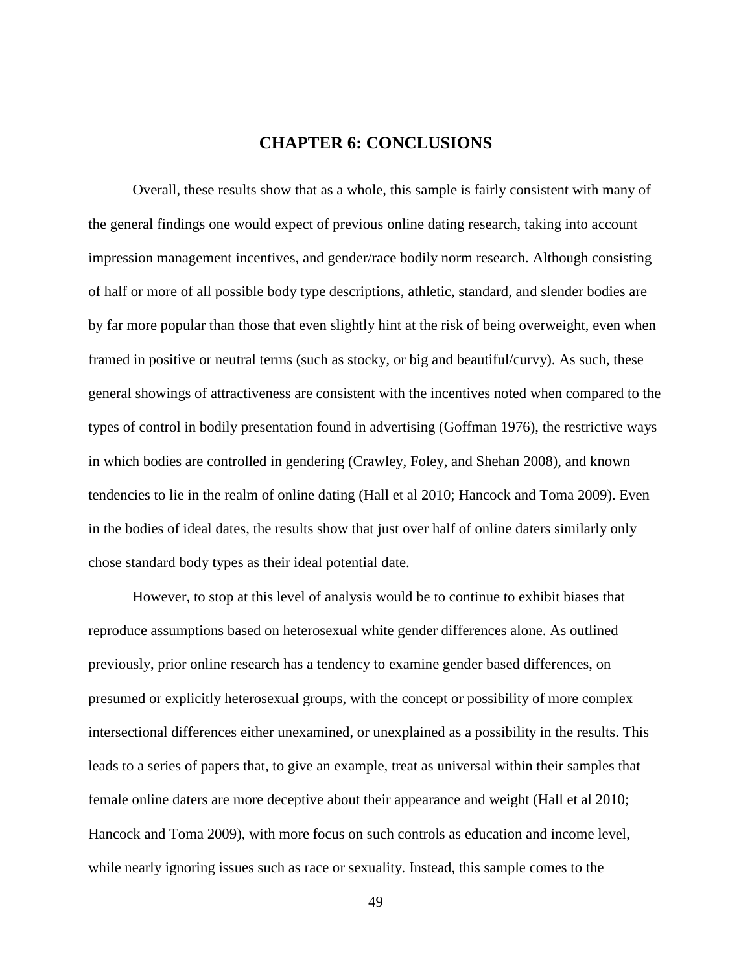## **CHAPTER 6: CONCLUSIONS**

<span id="page-54-0"></span>Overall, these results show that as a whole, this sample is fairly consistent with many of the general findings one would expect of previous online dating research, taking into account impression management incentives, and gender/race bodily norm research. Although consisting of half or more of all possible body type descriptions, athletic, standard, and slender bodies are by far more popular than those that even slightly hint at the risk of being overweight, even when framed in positive or neutral terms (such as stocky, or big and beautiful/curvy). As such, these general showings of attractiveness are consistent with the incentives noted when compared to the types of control in bodily presentation found in advertising (Goffman 1976), the restrictive ways in which bodies are controlled in gendering (Crawley, Foley, and Shehan 2008), and known tendencies to lie in the realm of online dating (Hall et al 2010; Hancock and Toma 2009). Even in the bodies of ideal dates, the results show that just over half of online daters similarly only chose standard body types as their ideal potential date.

However, to stop at this level of analysis would be to continue to exhibit biases that reproduce assumptions based on heterosexual white gender differences alone. As outlined previously, prior online research has a tendency to examine gender based differences, on presumed or explicitly heterosexual groups, with the concept or possibility of more complex intersectional differences either unexamined, or unexplained as a possibility in the results. This leads to a series of papers that, to give an example, treat as universal within their samples that female online daters are more deceptive about their appearance and weight (Hall et al 2010; Hancock and Toma 2009), with more focus on such controls as education and income level, while nearly ignoring issues such as race or sexuality. Instead, this sample comes to the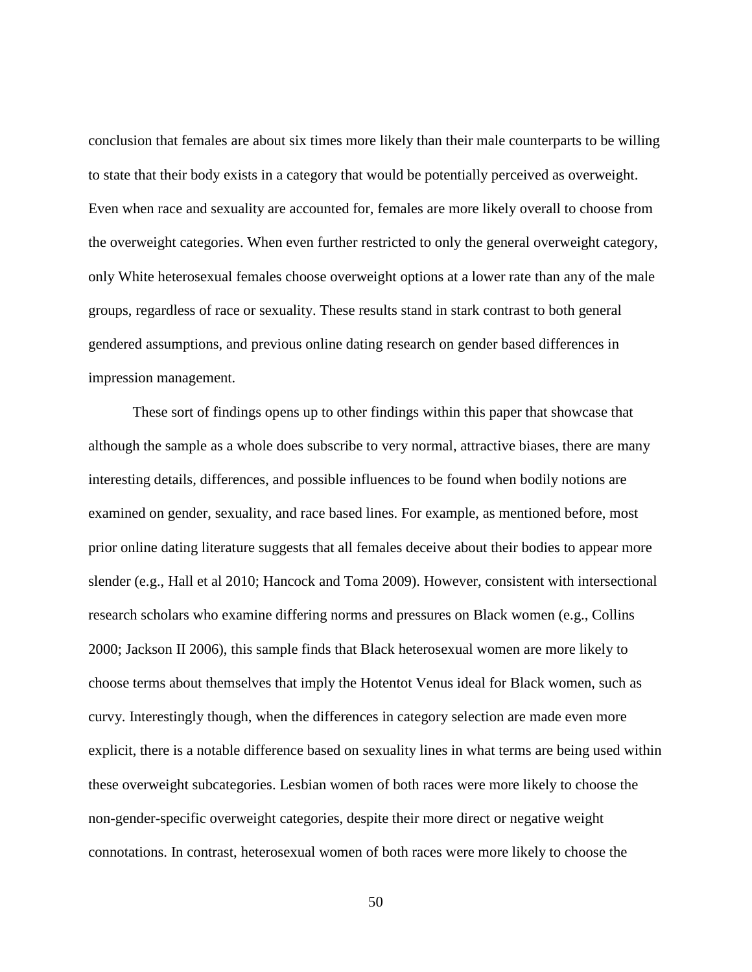conclusion that females are about six times more likely than their male counterparts to be willing to state that their body exists in a category that would be potentially perceived as overweight. Even when race and sexuality are accounted for, females are more likely overall to choose from the overweight categories. When even further restricted to only the general overweight category, only White heterosexual females choose overweight options at a lower rate than any of the male groups, regardless of race or sexuality. These results stand in stark contrast to both general gendered assumptions, and previous online dating research on gender based differences in impression management.

These sort of findings opens up to other findings within this paper that showcase that although the sample as a whole does subscribe to very normal, attractive biases, there are many interesting details, differences, and possible influences to be found when bodily notions are examined on gender, sexuality, and race based lines. For example, as mentioned before, most prior online dating literature suggests that all females deceive about their bodies to appear more slender (e.g., Hall et al 2010; Hancock and Toma 2009). However, consistent with intersectional research scholars who examine differing norms and pressures on Black women (e.g., Collins 2000; Jackson II 2006), this sample finds that Black heterosexual women are more likely to choose terms about themselves that imply the Hotentot Venus ideal for Black women, such as curvy. Interestingly though, when the differences in category selection are made even more explicit, there is a notable difference based on sexuality lines in what terms are being used within these overweight subcategories. Lesbian women of both races were more likely to choose the non-gender-specific overweight categories, despite their more direct or negative weight connotations. In contrast, heterosexual women of both races were more likely to choose the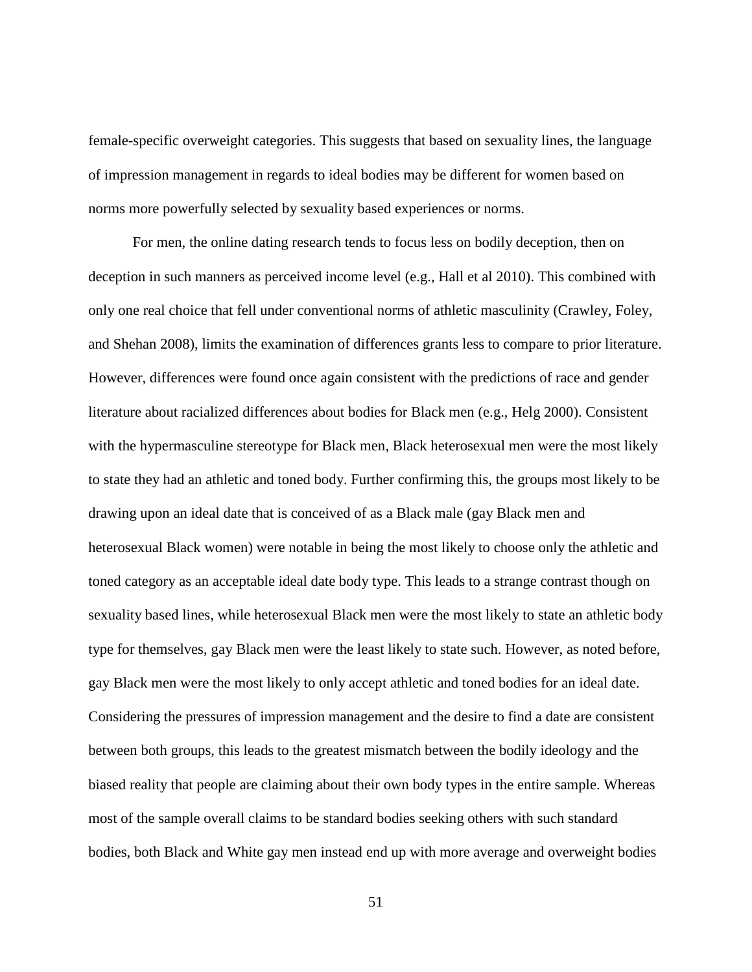female-specific overweight categories. This suggests that based on sexuality lines, the language of impression management in regards to ideal bodies may be different for women based on norms more powerfully selected by sexuality based experiences or norms.

For men, the online dating research tends to focus less on bodily deception, then on deception in such manners as perceived income level (e.g., Hall et al 2010). This combined with only one real choice that fell under conventional norms of athletic masculinity (Crawley, Foley, and Shehan 2008), limits the examination of differences grants less to compare to prior literature. However, differences were found once again consistent with the predictions of race and gender literature about racialized differences about bodies for Black men (e.g., Helg 2000). Consistent with the hypermasculine stereotype for Black men, Black heterosexual men were the most likely to state they had an athletic and toned body. Further confirming this, the groups most likely to be drawing upon an ideal date that is conceived of as a Black male (gay Black men and heterosexual Black women) were notable in being the most likely to choose only the athletic and toned category as an acceptable ideal date body type. This leads to a strange contrast though on sexuality based lines, while heterosexual Black men were the most likely to state an athletic body type for themselves, gay Black men were the least likely to state such. However, as noted before, gay Black men were the most likely to only accept athletic and toned bodies for an ideal date. Considering the pressures of impression management and the desire to find a date are consistent between both groups, this leads to the greatest mismatch between the bodily ideology and the biased reality that people are claiming about their own body types in the entire sample. Whereas most of the sample overall claims to be standard bodies seeking others with such standard bodies, both Black and White gay men instead end up with more average and overweight bodies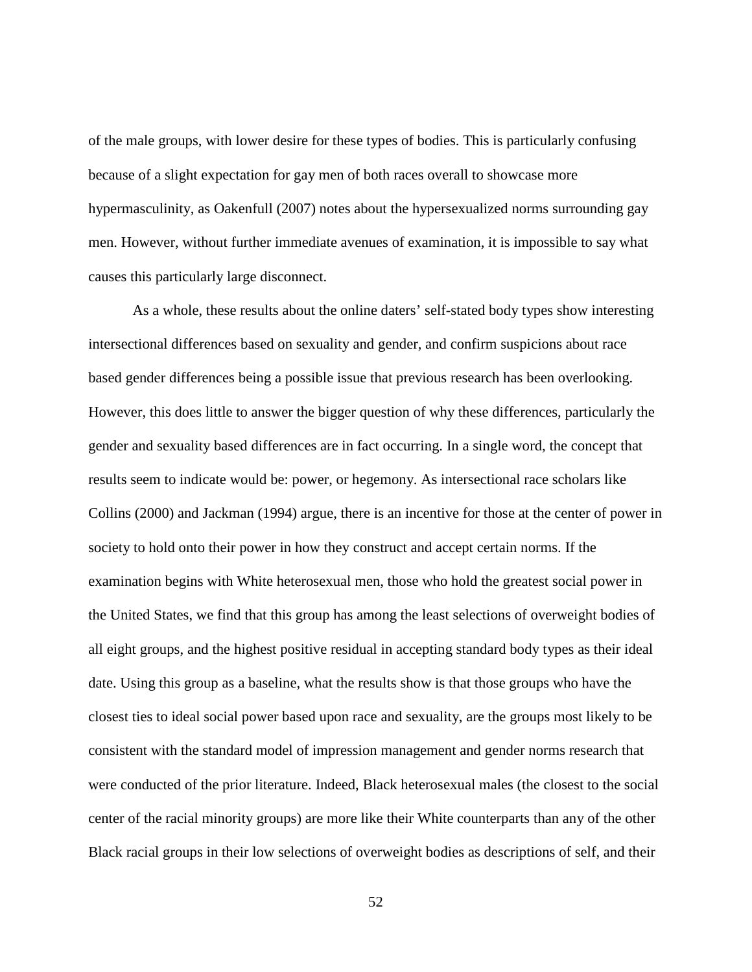of the male groups, with lower desire for these types of bodies. This is particularly confusing because of a slight expectation for gay men of both races overall to showcase more hypermasculinity, as Oakenfull (2007) notes about the hypersexualized norms surrounding gay men. However, without further immediate avenues of examination, it is impossible to say what causes this particularly large disconnect.

As a whole, these results about the online daters' self-stated body types show interesting intersectional differences based on sexuality and gender, and confirm suspicions about race based gender differences being a possible issue that previous research has been overlooking. However, this does little to answer the bigger question of why these differences, particularly the gender and sexuality based differences are in fact occurring. In a single word, the concept that results seem to indicate would be: power, or hegemony. As intersectional race scholars like Collins (2000) and Jackman (1994) argue, there is an incentive for those at the center of power in society to hold onto their power in how they construct and accept certain norms. If the examination begins with White heterosexual men, those who hold the greatest social power in the United States, we find that this group has among the least selections of overweight bodies of all eight groups, and the highest positive residual in accepting standard body types as their ideal date. Using this group as a baseline, what the results show is that those groups who have the closest ties to ideal social power based upon race and sexuality, are the groups most likely to be consistent with the standard model of impression management and gender norms research that were conducted of the prior literature. Indeed, Black heterosexual males (the closest to the social center of the racial minority groups) are more like their White counterparts than any of the other Black racial groups in their low selections of overweight bodies as descriptions of self, and their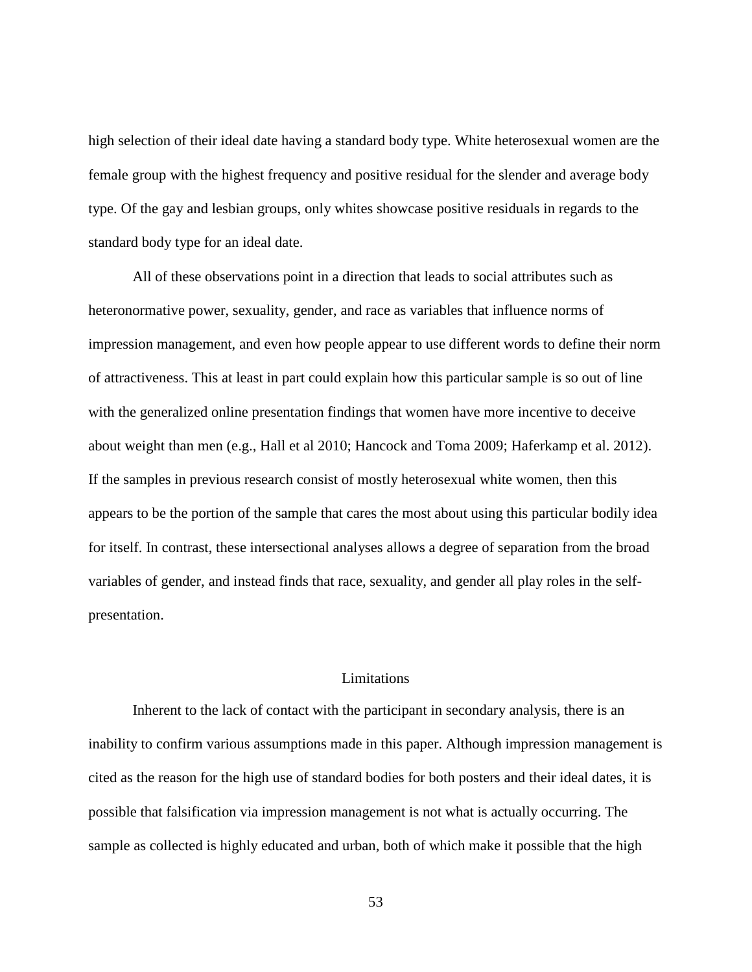high selection of their ideal date having a standard body type. White heterosexual women are the female group with the highest frequency and positive residual for the slender and average body type. Of the gay and lesbian groups, only whites showcase positive residuals in regards to the standard body type for an ideal date.

All of these observations point in a direction that leads to social attributes such as heteronormative power, sexuality, gender, and race as variables that influence norms of impression management, and even how people appear to use different words to define their norm of attractiveness. This at least in part could explain how this particular sample is so out of line with the generalized online presentation findings that women have more incentive to deceive about weight than men (e.g., Hall et al 2010; Hancock and Toma 2009; Haferkamp et al. 2012). If the samples in previous research consist of mostly heterosexual white women, then this appears to be the portion of the sample that cares the most about using this particular bodily idea for itself. In contrast, these intersectional analyses allows a degree of separation from the broad variables of gender, and instead finds that race, sexuality, and gender all play roles in the selfpresentation.

### Limitations

<span id="page-58-0"></span>Inherent to the lack of contact with the participant in secondary analysis, there is an inability to confirm various assumptions made in this paper. Although impression management is cited as the reason for the high use of standard bodies for both posters and their ideal dates, it is possible that falsification via impression management is not what is actually occurring. The sample as collected is highly educated and urban, both of which make it possible that the high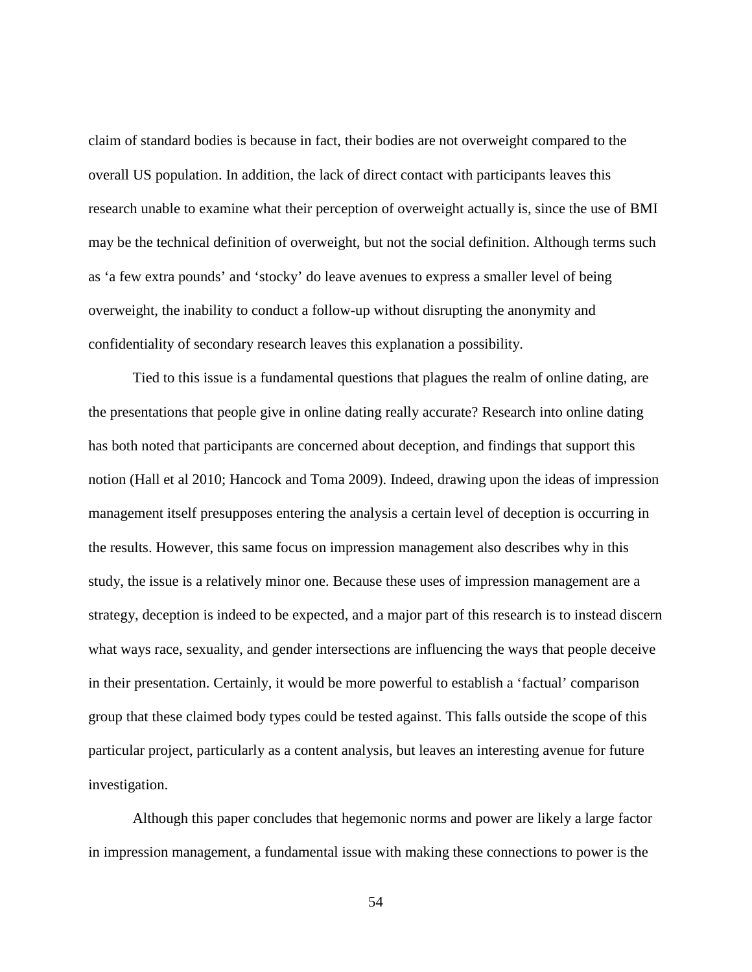claim of standard bodies is because in fact, their bodies are not overweight compared to the overall US population. In addition, the lack of direct contact with participants leaves this research unable to examine what their perception of overweight actually is, since the use of BMI may be the technical definition of overweight, but not the social definition. Although terms such as 'a few extra pounds' and 'stocky' do leave avenues to express a smaller level of being overweight, the inability to conduct a follow-up without disrupting the anonymity and confidentiality of secondary research leaves this explanation a possibility.

Tied to this issue is a fundamental questions that plagues the realm of online dating, are the presentations that people give in online dating really accurate? Research into online dating has both noted that participants are concerned about deception, and findings that support this notion (Hall et al 2010; Hancock and Toma 2009). Indeed, drawing upon the ideas of impression management itself presupposes entering the analysis a certain level of deception is occurring in the results. However, this same focus on impression management also describes why in this study, the issue is a relatively minor one. Because these uses of impression management are a strategy, deception is indeed to be expected, and a major part of this research is to instead discern what ways race, sexuality, and gender intersections are influencing the ways that people deceive in their presentation. Certainly, it would be more powerful to establish a 'factual' comparison group that these claimed body types could be tested against. This falls outside the scope of this particular project, particularly as a content analysis, but leaves an interesting avenue for future investigation.

Although this paper concludes that hegemonic norms and power are likely a large factor in impression management, a fundamental issue with making these connections to power is the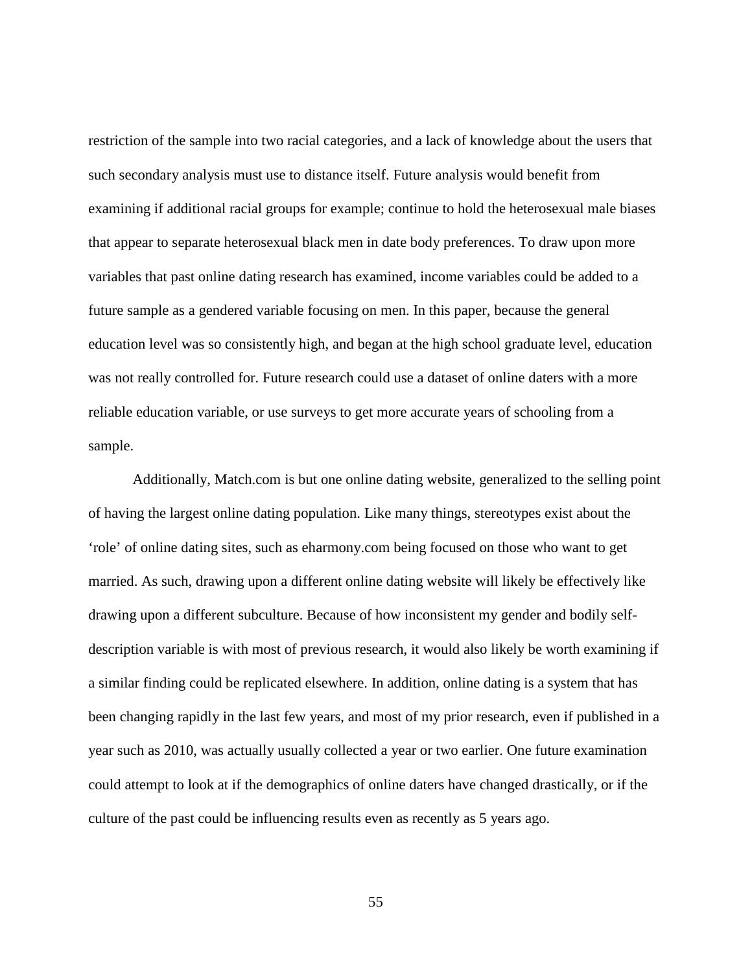restriction of the sample into two racial categories, and a lack of knowledge about the users that such secondary analysis must use to distance itself. Future analysis would benefit from examining if additional racial groups for example; continue to hold the heterosexual male biases that appear to separate heterosexual black men in date body preferences. To draw upon more variables that past online dating research has examined, income variables could be added to a future sample as a gendered variable focusing on men. In this paper, because the general education level was so consistently high, and began at the high school graduate level, education was not really controlled for. Future research could use a dataset of online daters with a more reliable education variable, or use surveys to get more accurate years of schooling from a sample.

Additionally, Match.com is but one online dating website, generalized to the selling point of having the largest online dating population. Like many things, stereotypes exist about the 'role' of online dating sites, such as eharmony.com being focused on those who want to get married. As such, drawing upon a different online dating website will likely be effectively like drawing upon a different subculture. Because of how inconsistent my gender and bodily selfdescription variable is with most of previous research, it would also likely be worth examining if a similar finding could be replicated elsewhere. In addition, online dating is a system that has been changing rapidly in the last few years, and most of my prior research, even if published in a year such as 2010, was actually usually collected a year or two earlier. One future examination could attempt to look at if the demographics of online daters have changed drastically, or if the culture of the past could be influencing results even as recently as 5 years ago.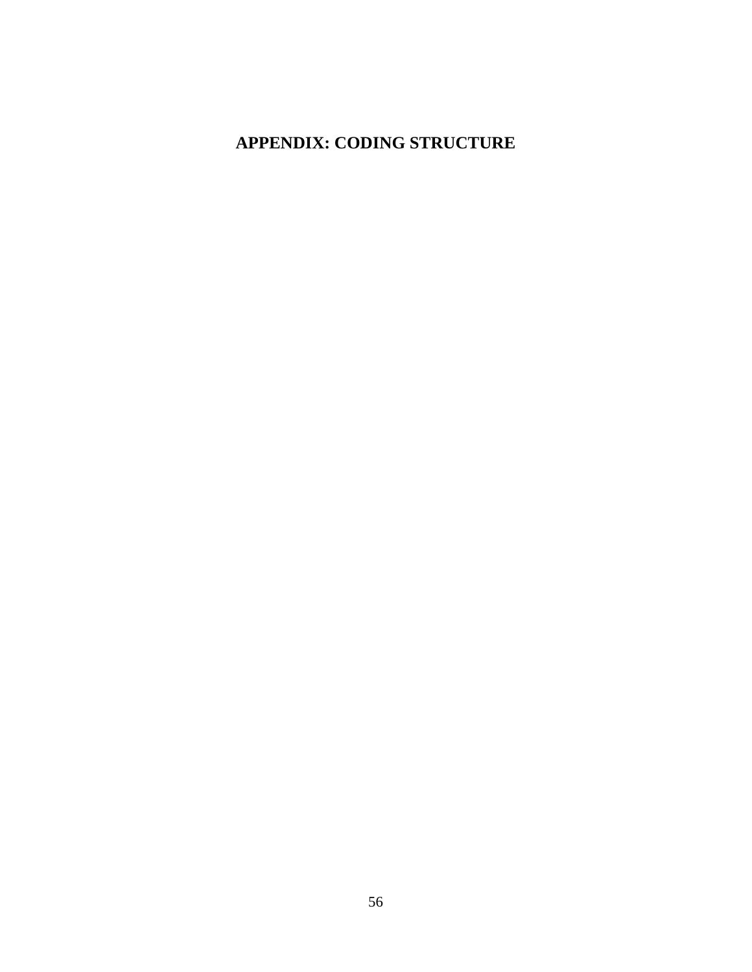## <span id="page-61-0"></span>**APPENDIX: CODING STRUCTURE**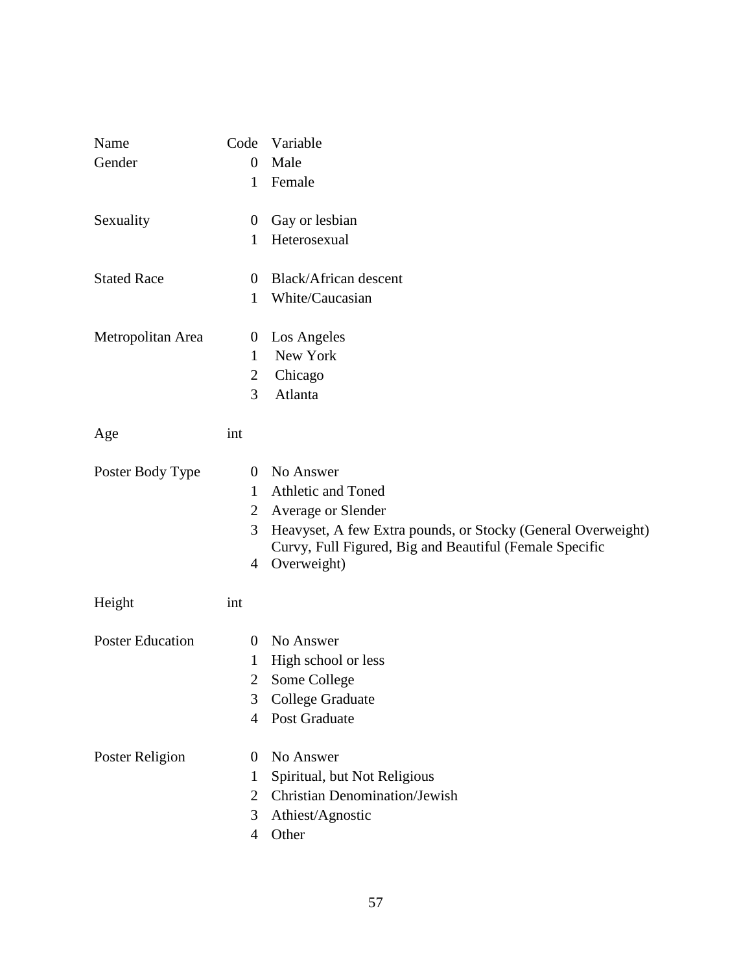| Name                    | Code           | Variable                                                                                                                |
|-------------------------|----------------|-------------------------------------------------------------------------------------------------------------------------|
| Gender                  | $\theta$       | Male                                                                                                                    |
|                         | 1              | Female                                                                                                                  |
| Sexuality               | $\theta$       | Gay or lesbian                                                                                                          |
|                         | 1              | Heterosexual                                                                                                            |
| <b>Stated Race</b>      | $\theta$       | Black/African descent                                                                                                   |
|                         | 1              | White/Caucasian                                                                                                         |
| Metropolitan Area       | $\theta$       | Los Angeles                                                                                                             |
|                         | 1              | New York                                                                                                                |
|                         | 2              | Chicago                                                                                                                 |
|                         | 3              | Atlanta                                                                                                                 |
| Age                     | int            |                                                                                                                         |
| Poster Body Type        | $\Omega$       | No Answer                                                                                                               |
|                         | 1              | Athletic and Toned                                                                                                      |
|                         | $\overline{2}$ | Average or Slender                                                                                                      |
|                         | 3              | Heavyset, A few Extra pounds, or Stocky (General Overweight)<br>Curvy, Full Figured, Big and Beautiful (Female Specific |
|                         | 4              | Overweight)                                                                                                             |
| Height                  | int            |                                                                                                                         |
| <b>Poster Education</b> | $\overline{0}$ | No Answer                                                                                                               |
|                         | 1              | High school or less                                                                                                     |
|                         | 2              | Some College                                                                                                            |
|                         | 3              | College Graduate                                                                                                        |
|                         | 4              | Post Graduate                                                                                                           |
| Poster Religion         | $\Omega$       | No Answer                                                                                                               |
|                         | 1              | Spiritual, but Not Religious                                                                                            |
|                         | $\overline{2}$ | <b>Christian Denomination/Jewish</b>                                                                                    |
|                         | 3              | Athiest/Agnostic                                                                                                        |
|                         | 4              | Other                                                                                                                   |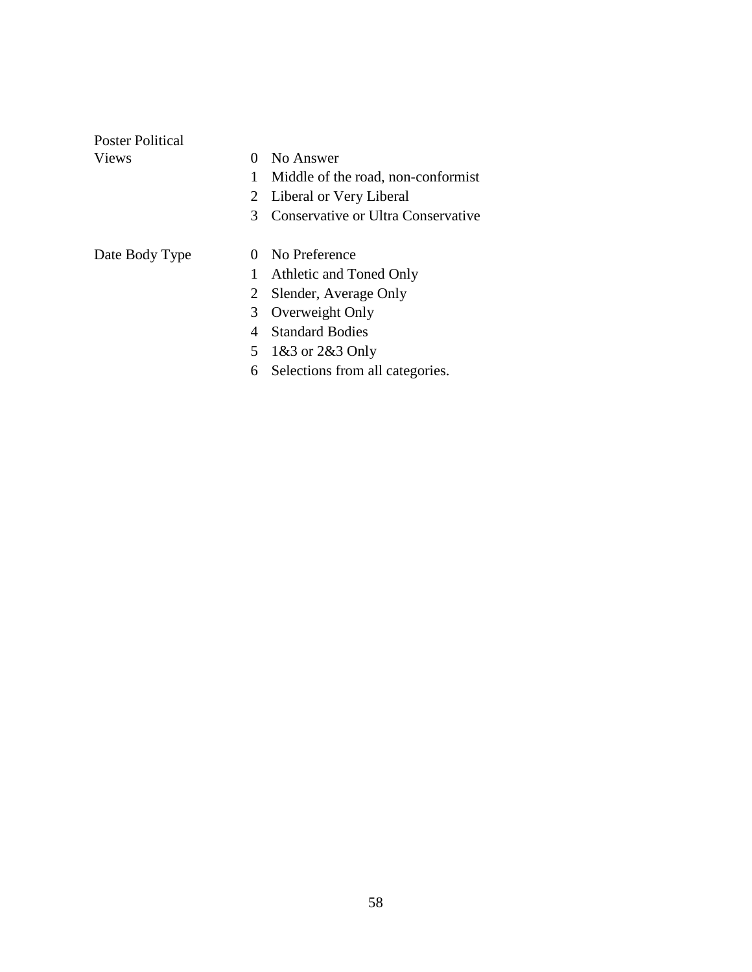| Poster Political |                                         |  |
|------------------|-----------------------------------------|--|
| <b>Views</b>     | No Answer<br>0                          |  |
|                  | 1<br>Middle of the road, non-conformist |  |
|                  | Liberal or Very Liberal<br>2            |  |
|                  | Conservative or Ultra Conservative<br>3 |  |
| Date Body Type   | No Preference<br>$\Omega$               |  |
|                  | 1<br>Athletic and Toned Only            |  |
|                  | Slender, Average Only<br>2              |  |
|                  | Overweight Only<br>3                    |  |
|                  | <b>Standard Bodies</b><br>4             |  |
|                  | 5<br>1&3 or 2&3 Only                    |  |
|                  | Selections from all categories.<br>6    |  |
|                  |                                         |  |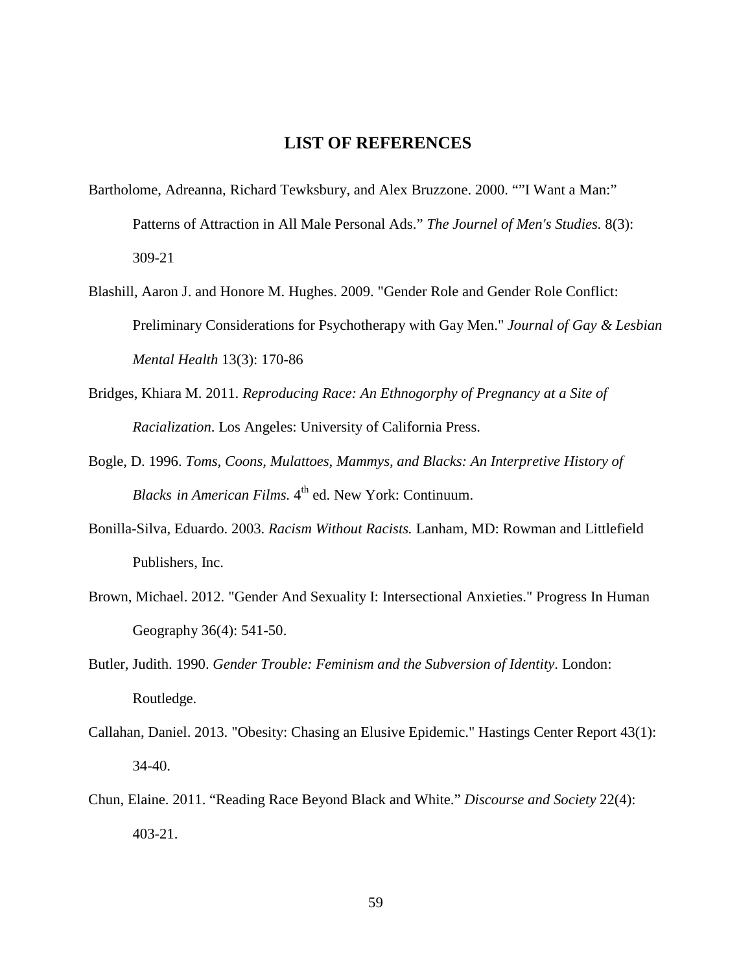## <span id="page-64-0"></span>**LIST OF REFERENCES**

- Bartholome, Adreanna, Richard Tewksbury, and Alex Bruzzone. 2000. ""I Want a Man:" Patterns of Attraction in All Male Personal Ads." *The Journel of Men's Studies.* 8(3): 309-21
- Blashill, Aaron J. and Honore M. Hughes. 2009. "Gender Role and Gender Role Conflict: Preliminary Considerations for Psychotherapy with Gay Men." *Journal of Gay & Lesbian Mental Health* 13(3): 170-86
- Bridges, Khiara M. 2011. *Reproducing Race: An Ethnogorphy of Pregnancy at a Site of Racialization*. Los Angeles: University of California Press.
- Bogle, D. 1996. *Toms, Coons, Mulattoes, Mammys, and Blacks: An Interpretive History of Blacks in American Films.* 4<sup>th</sup> ed. New York: Continuum.
- Bonilla-Silva, Eduardo. 2003. *Racism Without Racists.* Lanham, MD: Rowman and Littlefield Publishers, Inc.
- Brown, Michael. 2012. "Gender And Sexuality I: Intersectional Anxieties." Progress In Human Geography 36(4): 541-50.
- Butler, Judith. 1990. *Gender Trouble: Feminism and the Subversion of Identity*. London: Routledge.
- Callahan, Daniel. 2013. "Obesity: Chasing an Elusive Epidemic." Hastings Center Report 43(1): 34-40.
- Chun, Elaine. 2011. "Reading Race Beyond Black and White." *Discourse and Society* 22(4): 403-21.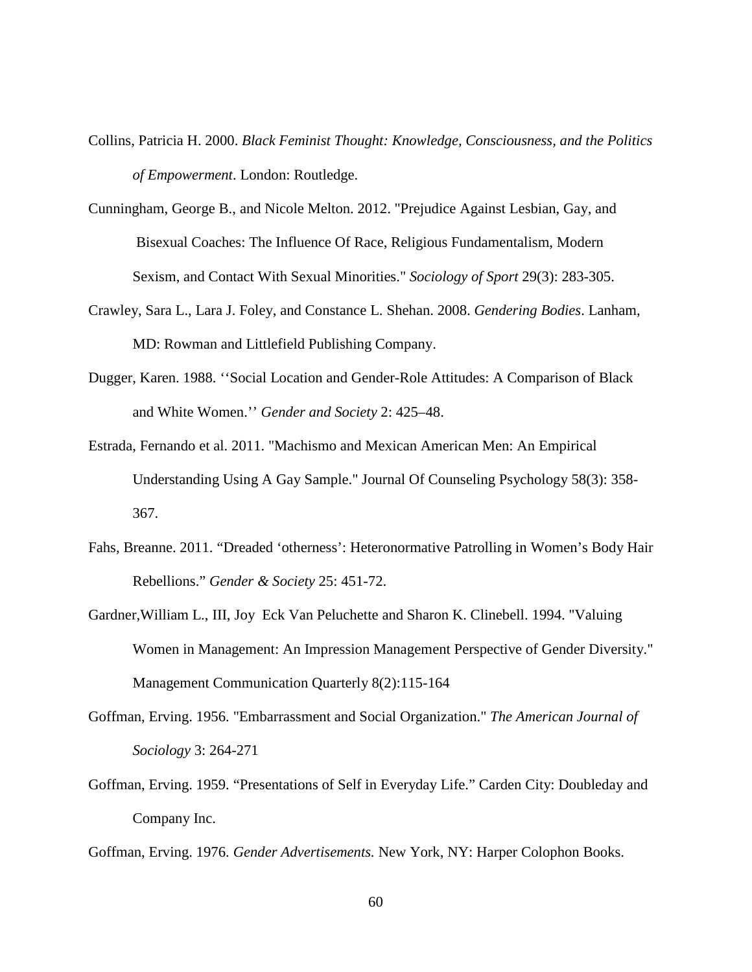- Collins, Patricia H. 2000. *Black Feminist Thought: Knowledge, Consciousness, and the Politics of Empowerment*. London: Routledge.
- Cunningham, George B., and Nicole Melton. 2012. "Prejudice Against Lesbian, Gay, and Bisexual Coaches: The Influence Of Race, Religious Fundamentalism, Modern Sexism, and Contact With Sexual Minorities." *Sociology of Sport* 29(3): 283-305.
- Crawley, Sara L., Lara J. Foley, and Constance L. Shehan. 2008. *Gendering Bodies*. Lanham, MD: Rowman and Littlefield Publishing Company.
- Dugger, Karen. 1988. ''Social Location and Gender-Role Attitudes: A Comparison of Black and White Women.'' *Gender and Society* 2: 425–48.
- Estrada, Fernando et al. 2011. "Machismo and Mexican American Men: An Empirical Understanding Using A Gay Sample." Journal Of Counseling Psychology 58(3): 358- 367.
- Fahs, Breanne. 2011. "Dreaded 'otherness': Heteronormative Patrolling in Women's Body Hair Rebellions." *Gender & Society* 25: 451-72.
- Gardner,William L., III, Joy Eck Van Peluchette and Sharon K. Clinebell. 1994. "Valuing Women in Management: An Impression Management Perspective of Gender Diversity." Management Communication Quarterly 8(2):115-164
- Goffman, Erving. 1956. "Embarrassment and Social Organization." *The American Journal of Sociology* 3: 264-271
- Goffman, Erving. 1959. "Presentations of Self in Everyday Life." Carden City: Doubleday and Company Inc.

Goffman, Erving. 1976. *Gender Advertisements.* New York, NY: Harper Colophon Books.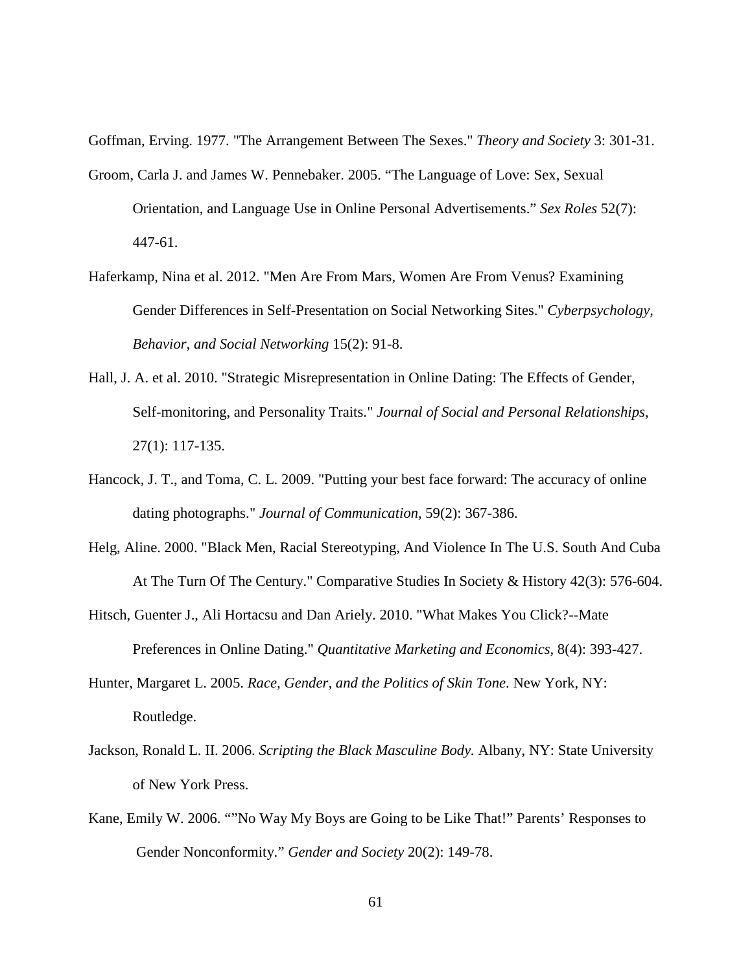Goffman, Erving. 1977. "The Arrangement Between The Sexes." *Theory and Society* 3: 301-31.

- Groom, Carla J. and James W. Pennebaker. 2005. "The Language of Love: Sex, Sexual Orientation, and Language Use in Online Personal Advertisements." *Sex Roles* 52(7): 447-61.
- Haferkamp, Nina et al. 2012. "Men Are From Mars, Women Are From Venus? Examining Gender Differences in Self-Presentation on Social Networking Sites." *Cyberpsychology, Behavior, and Social Networking* 15(2): 91-8.
- Hall, J. A. et al. 2010. "Strategic Misrepresentation in Online Dating: The Effects of Gender, Self-monitoring, and Personality Traits." *Journal of Social and Personal Relationships*, 27(1): 117-135.
- Hancock, J. T., and Toma, C. L. 2009. "Putting your best face forward: The accuracy of online dating photographs." *Journal of Communication*, 59(2): 367-386.
- Helg, Aline. 2000. "Black Men, Racial Stereotyping, And Violence In The U.S. South And Cuba At The Turn Of The Century." Comparative Studies In Society & History 42(3): 576-604.
- Hitsch, Guenter J., Ali Hortacsu and Dan Ariely. 2010. "What Makes You Click?--Mate Preferences in Online Dating." *Quantitative Marketing and Economics,* 8(4): 393-427.
- Hunter, Margaret L. 2005. *Race, Gender, and the Politics of Skin Tone*. New York, NY: Routledge.
- Jackson, Ronald L. II. 2006. *Scripting the Black Masculine Body.* Albany, NY: State University of New York Press.
- Kane, Emily W. 2006. ""No Way My Boys are Going to be Like That!" Parents' Responses to Gender Nonconformity." *Gender and Society* 20(2): 149-78.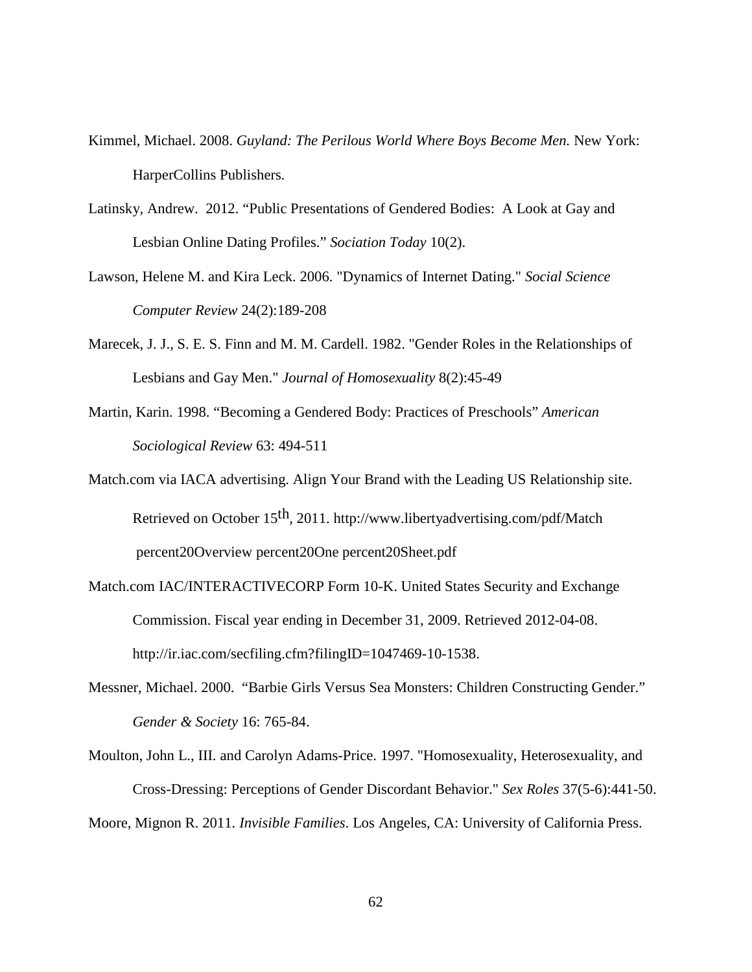- Kimmel, Michael. 2008. *Guyland: The Perilous World Where Boys Become Men.* New York: HarperCollins Publishers.
- Latinsky, Andrew. 2012. "Public Presentations of Gendered Bodies: A Look at Gay and Lesbian Online Dating Profiles." *Sociation Today* 10(2).
- Lawson, Helene M. and Kira Leck. 2006. "Dynamics of Internet Dating." *Social Science Computer Review* 24(2):189-208
- Marecek, J. J., S. E. S. Finn and M. M. Cardell. 1982. "Gender Roles in the Relationships of Lesbians and Gay Men." *Journal of Homosexuality* 8(2):45-49
- Martin, Karin. 1998. "Becoming a Gendered Body: Practices of Preschools" *American Sociological Review* 63: 494-511
- Match.com via IACA advertising. Align Your Brand with the Leading US Relationship site. Retrieved on October 15th, 2011. http://www.libertyadvertising.com/pdf/Match percent20Overview percent20One percent20Sheet.pdf
- Match.com IAC/INTERACTIVECORP Form 10-K. United States Security and Exchange Commission. Fiscal year ending in December 31, 2009. Retrieved 2012-04-08. http://ir.iac.com/secfiling.cfm?filingID=1047469-10-1538.
- Messner, Michael. 2000. "Barbie Girls Versus Sea Monsters: Children Constructing Gender." *Gender & Society* 16: 765-84.
- Moulton, John L., III. and Carolyn Adams-Price. 1997. "Homosexuality, Heterosexuality, and Cross-Dressing: Perceptions of Gender Discordant Behavior." *Sex Roles* 37(5-6):441-50. Moore, Mignon R. 2011. *Invisible Families*. Los Angeles, CA: University of California Press.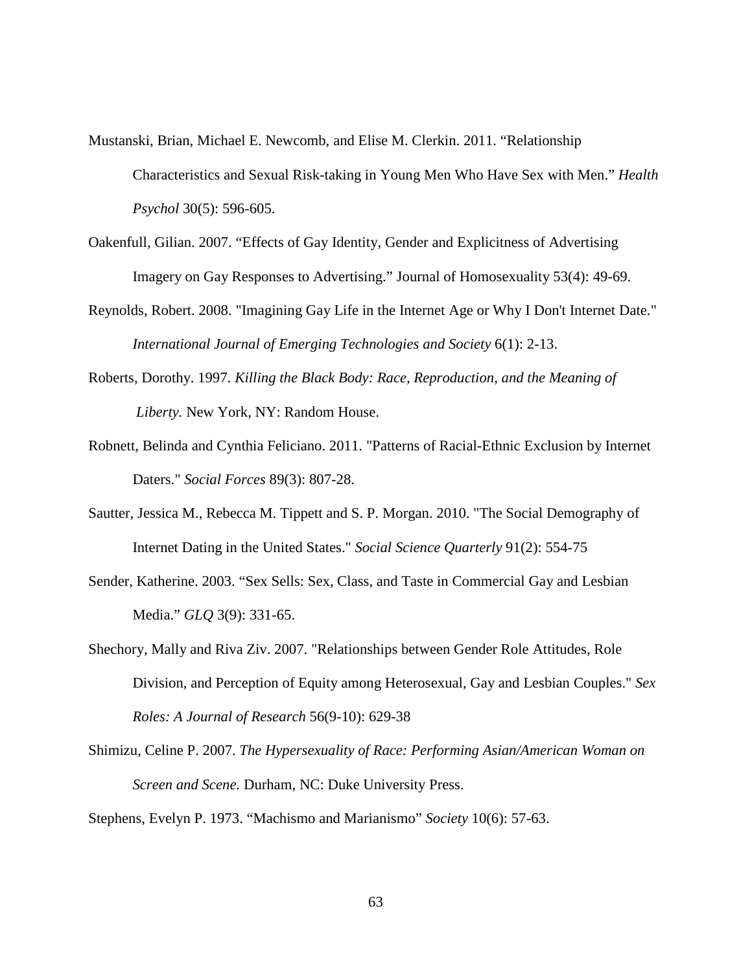Mustanski, Brian, Michael E. Newcomb, and Elise M. Clerkin. 2011. "Relationship Characteristics and Sexual Risk-taking in Young Men Who Have Sex with Men." *Health Psychol* 30(5): 596-605.

- Oakenfull, Gilian. 2007. "Effects of Gay Identity, Gender and Explicitness of Advertising Imagery on Gay Responses to Advertising." Journal of Homosexuality 53(4): 49-69.
- Reynolds, Robert. 2008. "Imagining Gay Life in the Internet Age or Why I Don't Internet Date." *International Journal of Emerging Technologies and Society* 6(1): 2-13.
- Roberts, Dorothy. 1997. *Killing the Black Body: Race, Reproduction, and the Meaning of Liberty.* New York, NY: Random House.
- Robnett, Belinda and Cynthia Feliciano. 2011. "Patterns of Racial-Ethnic Exclusion by Internet Daters." *Social Forces* 89(3): 807-28.
- Sautter, Jessica M., Rebecca M. Tippett and S. P. Morgan. 2010. "The Social Demography of Internet Dating in the United States." *Social Science Quarterly* 91(2): 554-75
- Sender, Katherine. 2003. "Sex Sells: Sex, Class, and Taste in Commercial Gay and Lesbian Media." *GLQ* 3(9): 331-65.
- Shechory, Mally and Riva Ziv. 2007. "Relationships between Gender Role Attitudes, Role Division, and Perception of Equity among Heterosexual, Gay and Lesbian Couples." *Sex Roles: A Journal of Research* 56(9-10): 629-38
- Shimizu, Celine P. 2007. *The Hypersexuality of Race: Performing Asian/American Woman on Screen and Scene.* Durham, NC: Duke University Press.

Stephens, Evelyn P. 1973. "Machismo and Marianismo" *Society* 10(6): 57-63.